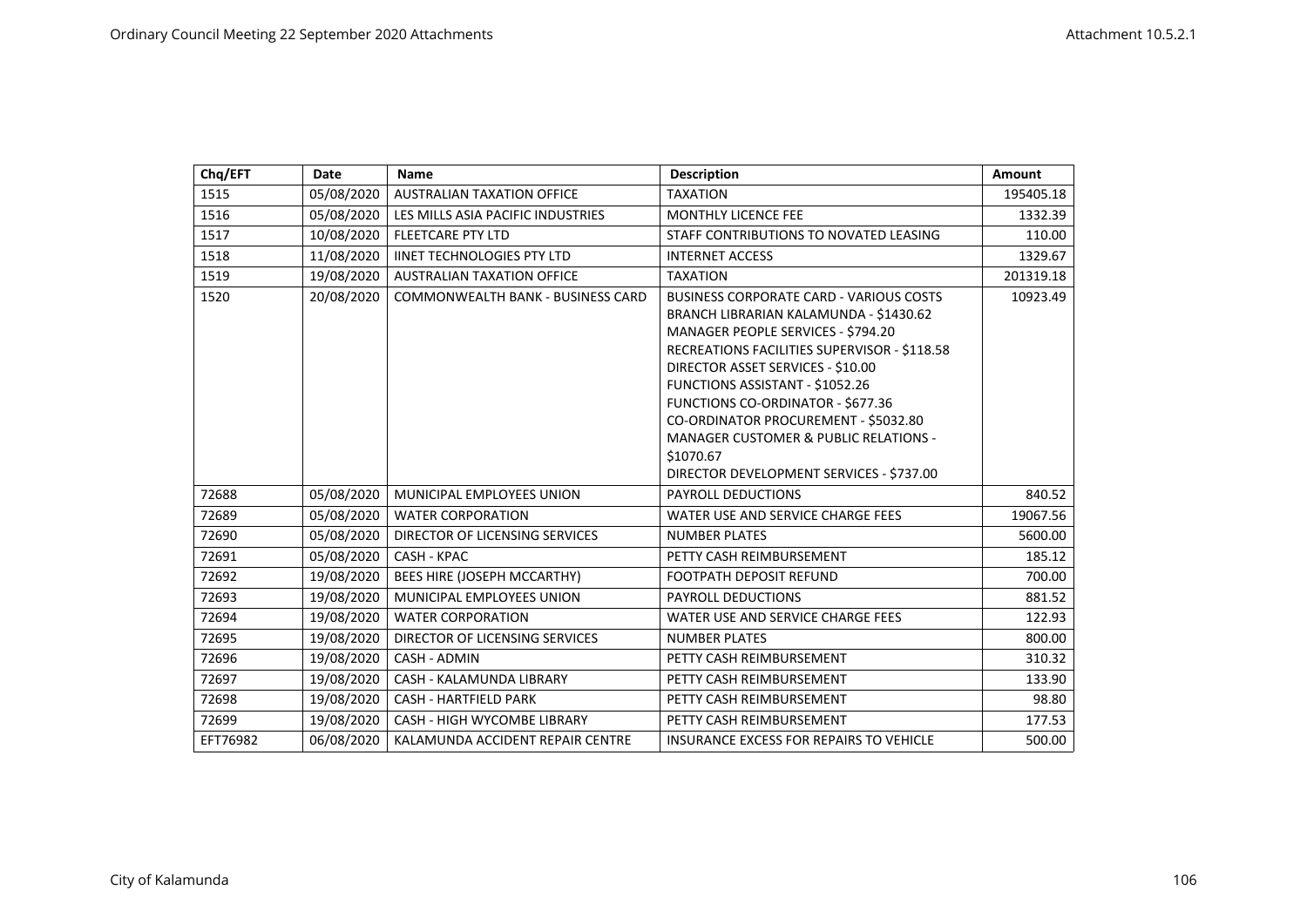| Chq/EFT  | Date       | <b>Name</b>                        | <b>Description</b>                                                                                                                                                                                                                                                                                                                                                                                                                               | Amount    |
|----------|------------|------------------------------------|--------------------------------------------------------------------------------------------------------------------------------------------------------------------------------------------------------------------------------------------------------------------------------------------------------------------------------------------------------------------------------------------------------------------------------------------------|-----------|
| 1515     | 05/08/2020 | <b>AUSTRALIAN TAXATION OFFICE</b>  | <b>TAXATION</b>                                                                                                                                                                                                                                                                                                                                                                                                                                  | 195405.18 |
| 1516     | 05/08/2020 | LES MILLS ASIA PACIFIC INDUSTRIES  | <b>MONTHLY LICENCE FEE</b>                                                                                                                                                                                                                                                                                                                                                                                                                       | 1332.39   |
| 1517     | 10/08/2020 | <b>FLEETCARE PTY LTD</b>           | STAFF CONTRIBUTIONS TO NOVATED LEASING                                                                                                                                                                                                                                                                                                                                                                                                           | 110.00    |
| 1518     | 11/08/2020 | <b>IINET TECHNOLOGIES PTY LTD</b>  | <b>INTERNET ACCESS</b>                                                                                                                                                                                                                                                                                                                                                                                                                           | 1329.67   |
| 1519     | 19/08/2020 | <b>AUSTRALIAN TAXATION OFFICE</b>  | <b>TAXATION</b>                                                                                                                                                                                                                                                                                                                                                                                                                                  | 201319.18 |
| 1520     | 20/08/2020 | COMMONWEALTH BANK - BUSINESS CARD  | <b>BUSINESS CORPORATE CARD - VARIOUS COSTS</b><br>BRANCH LIBRARIAN KALAMUNDA - \$1430.62<br>MANAGER PEOPLE SERVICES - \$794.20<br>RECREATIONS FACILITIES SUPERVISOR - \$118.58<br>DIRECTOR ASSET SERVICES - \$10.00<br>FUNCTIONS ASSISTANT - \$1052.26<br>FUNCTIONS CO-ORDINATOR - \$677.36<br>CO-ORDINATOR PROCUREMENT - \$5032.80<br><b>MANAGER CUSTOMER &amp; PUBLIC RELATIONS -</b><br>\$1070.67<br>DIRECTOR DEVELOPMENT SERVICES - \$737.00 | 10923.49  |
| 72688    | 05/08/2020 | MUNICIPAL EMPLOYEES UNION          | <b>PAYROLL DEDUCTIONS</b>                                                                                                                                                                                                                                                                                                                                                                                                                        | 840.52    |
| 72689    | 05/08/2020 | <b>WATER CORPORATION</b>           | WATER USE AND SERVICE CHARGE FEES                                                                                                                                                                                                                                                                                                                                                                                                                | 19067.56  |
| 72690    | 05/08/2020 | DIRECTOR OF LICENSING SERVICES     | <b>NUMBER PLATES</b>                                                                                                                                                                                                                                                                                                                                                                                                                             | 5600.00   |
| 72691    | 05/08/2020 | CASH - KPAC                        | PETTY CASH REIMBURSEMENT                                                                                                                                                                                                                                                                                                                                                                                                                         | 185.12    |
| 72692    | 19/08/2020 | BEES HIRE (JOSEPH MCCARTHY)        | <b>FOOTPATH DEPOSIT REFUND</b>                                                                                                                                                                                                                                                                                                                                                                                                                   | 700.00    |
| 72693    | 19/08/2020 | MUNICIPAL EMPLOYEES UNION          | <b>PAYROLL DEDUCTIONS</b>                                                                                                                                                                                                                                                                                                                                                                                                                        | 881.52    |
| 72694    | 19/08/2020 | <b>WATER CORPORATION</b>           | WATER USE AND SERVICE CHARGE FEES                                                                                                                                                                                                                                                                                                                                                                                                                | 122.93    |
| 72695    | 19/08/2020 | DIRECTOR OF LICENSING SERVICES     | <b>NUMBER PLATES</b>                                                                                                                                                                                                                                                                                                                                                                                                                             | 800.00    |
| 72696    | 19/08/2020 | CASH - ADMIN                       | PETTY CASH REIMBURSEMENT                                                                                                                                                                                                                                                                                                                                                                                                                         | 310.32    |
| 72697    | 19/08/2020 | CASH - KALAMUNDA LIBRARY           | PETTY CASH REIMBURSEMENT                                                                                                                                                                                                                                                                                                                                                                                                                         | 133.90    |
| 72698    | 19/08/2020 | <b>CASH - HARTFIELD PARK</b>       | PETTY CASH REIMBURSEMENT                                                                                                                                                                                                                                                                                                                                                                                                                         | 98.80     |
| 72699    | 19/08/2020 | <b>CASH - HIGH WYCOMBE LIBRARY</b> | PETTY CASH REIMBURSEMENT                                                                                                                                                                                                                                                                                                                                                                                                                         | 177.53    |
| EFT76982 | 06/08/2020 | KALAMUNDA ACCIDENT REPAIR CENTRE   | <b>INSURANCE EXCESS FOR REPAIRS TO VEHICLE</b>                                                                                                                                                                                                                                                                                                                                                                                                   | 500.00    |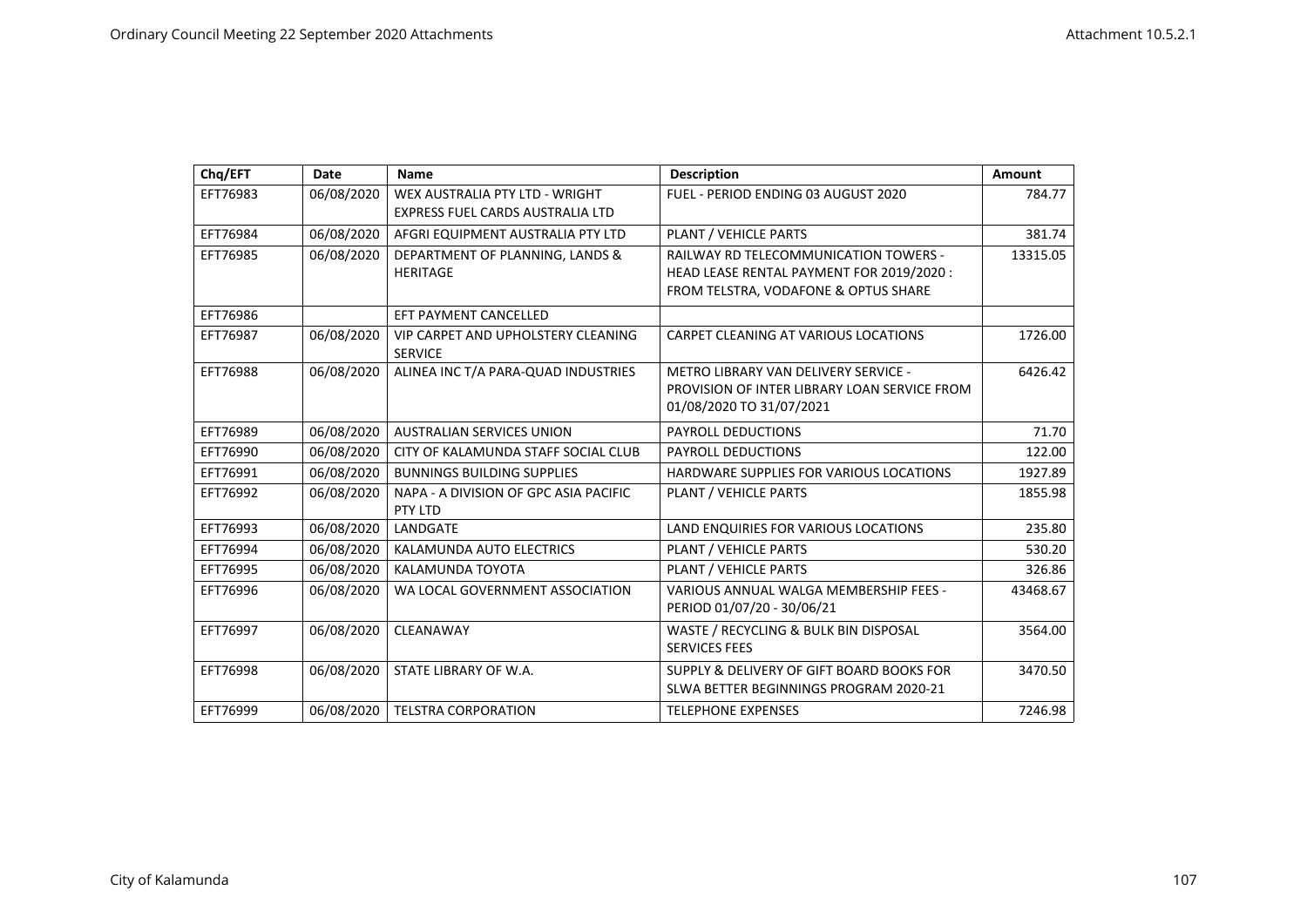| Chq/EFT  | <b>Date</b> | <b>Name</b>                                      | <b>Description</b>                           | <b>Amount</b> |
|----------|-------------|--------------------------------------------------|----------------------------------------------|---------------|
| EFT76983 | 06/08/2020  | WEX AUSTRALIA PTY LTD - WRIGHT                   | FUEL - PERIOD ENDING 03 AUGUST 2020          | 784.77        |
|          |             | EXPRESS FUEL CARDS AUSTRALIA LTD                 |                                              |               |
| EFT76984 | 06/08/2020  | AFGRI EQUIPMENT AUSTRALIA PTY LTD                | PLANT / VEHICLE PARTS                        | 381.74        |
| EFT76985 | 06/08/2020  | DEPARTMENT OF PLANNING, LANDS &                  | <b>RAILWAY RD TELECOMMUNICATION TOWERS -</b> | 13315.05      |
|          |             | <b>HERITAGE</b>                                  | HEAD LEASE RENTAL PAYMENT FOR 2019/2020 :    |               |
|          |             |                                                  | FROM TELSTRA, VODAFONE & OPTUS SHARE         |               |
| EFT76986 |             | EFT PAYMENT CANCELLED                            |                                              |               |
| EFT76987 | 06/08/2020  | VIP CARPET AND UPHOLSTERY CLEANING               | CARPET CLEANING AT VARIOUS LOCATIONS         | 1726.00       |
|          |             | <b>SERVICE</b>                                   |                                              |               |
| EFT76988 | 06/08/2020  | ALINEA INC T/A PARA-QUAD INDUSTRIES              | METRO LIBRARY VAN DELIVERY SERVICE -         | 6426.42       |
|          |             |                                                  | PROVISION OF INTER LIBRARY LOAN SERVICE FROM |               |
|          |             |                                                  | 01/08/2020 TO 31/07/2021                     |               |
| EFT76989 | 06/08/2020  | <b>AUSTRALIAN SERVICES UNION</b>                 | PAYROLL DEDUCTIONS                           | 71.70         |
| EFT76990 | 06/08/2020  | CITY OF KALAMUNDA STAFF SOCIAL CLUB              | <b>PAYROLL DEDUCTIONS</b>                    | 122.00        |
| EFT76991 | 06/08/2020  | <b>BUNNINGS BUILDING SUPPLIES</b>                | HARDWARE SUPPLIES FOR VARIOUS LOCATIONS      | 1927.89       |
| EFT76992 | 06/08/2020  | NAPA - A DIVISION OF GPC ASIA PACIFIC<br>PTY LTD | PLANT / VEHICLE PARTS                        | 1855.98       |
| EFT76993 | 06/08/2020  | LANDGATE                                         | LAND ENQUIRIES FOR VARIOUS LOCATIONS         | 235.80        |
| EFT76994 | 06/08/2020  | KALAMUNDA AUTO ELECTRICS                         | PLANT / VEHICLE PARTS                        | 530.20        |
| EFT76995 | 06/08/2020  | KALAMUNDA TOYOTA                                 | PLANT / VEHICLE PARTS                        | 326.86        |
| EFT76996 | 06/08/2020  | WA LOCAL GOVERNMENT ASSOCIATION                  | VARIOUS ANNUAL WALGA MEMBERSHIP FEES -       | 43468.67      |
|          |             |                                                  | PERIOD 01/07/20 - 30/06/21                   |               |
| EFT76997 | 06/08/2020  | CLEANAWAY                                        | WASTE / RECYCLING & BULK BIN DISPOSAL        | 3564.00       |
|          |             |                                                  | <b>SERVICES FEES</b>                         |               |
| EFT76998 | 06/08/2020  | STATE LIBRARY OF W.A.                            | SUPPLY & DELIVERY OF GIFT BOARD BOOKS FOR    | 3470.50       |
|          |             |                                                  | SLWA BETTER BEGINNINGS PROGRAM 2020-21       |               |
| EFT76999 | 06/08/2020  | <b>TELSTRA CORPORATION</b>                       | <b>TELEPHONE EXPENSES</b>                    | 7246.98       |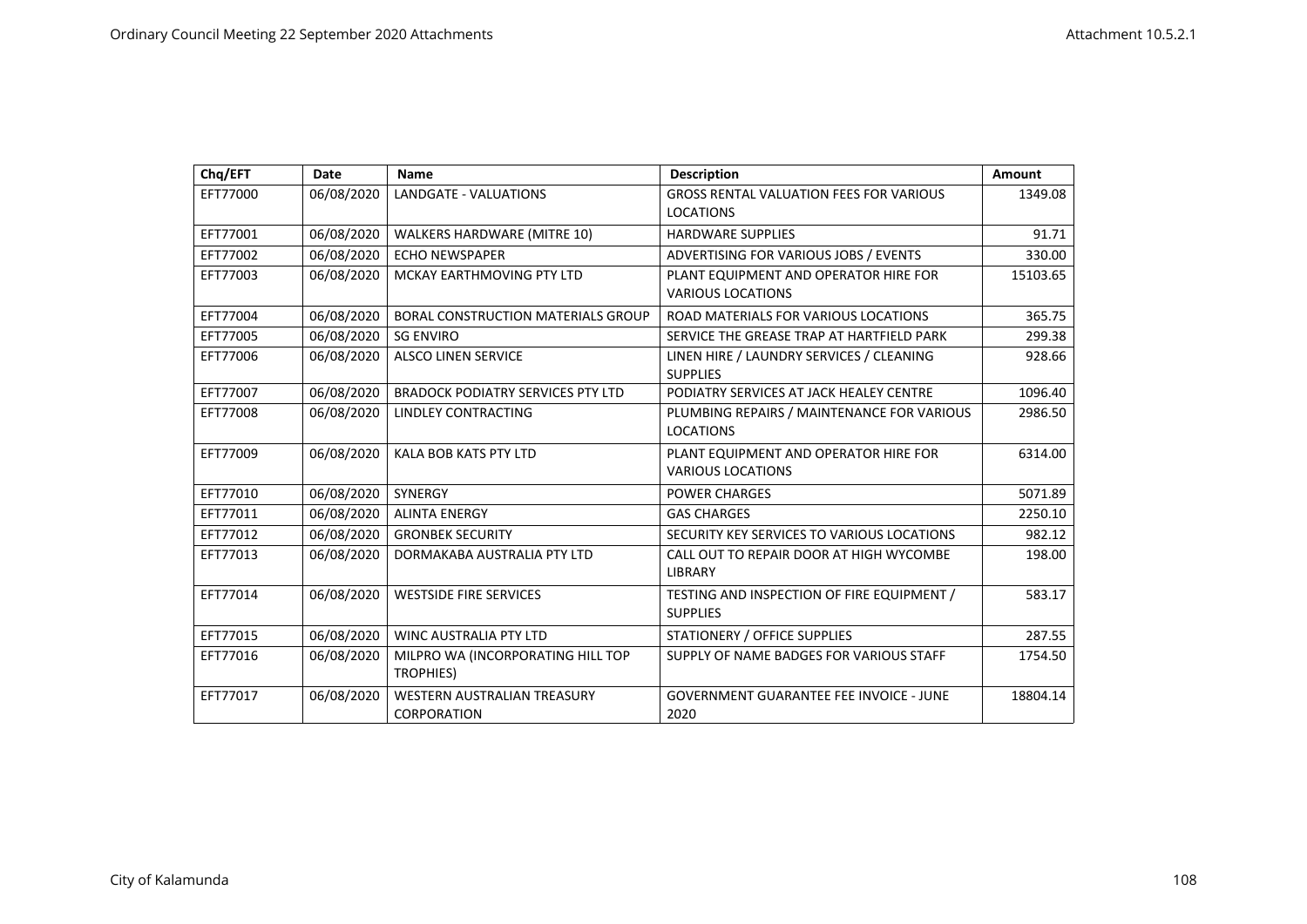| Chq/EFT  | Date       | <b>Name</b>                               | <b>Description</b>                             | Amount   |
|----------|------------|-------------------------------------------|------------------------------------------------|----------|
| EFT77000 | 06/08/2020 | <b>LANDGATE - VALUATIONS</b>              | <b>GROSS RENTAL VALUATION FEES FOR VARIOUS</b> | 1349.08  |
|          |            |                                           | <b>LOCATIONS</b>                               |          |
| EFT77001 | 06/08/2020 | WALKERS HARDWARE (MITRE 10)               | <b>HARDWARE SUPPLIES</b>                       | 91.71    |
| EFT77002 | 06/08/2020 | <b>ECHO NEWSPAPER</b>                     | ADVERTISING FOR VARIOUS JOBS / EVENTS          | 330.00   |
| EFT77003 | 06/08/2020 | MCKAY EARTHMOVING PTY LTD                 | PLANT EQUIPMENT AND OPERATOR HIRE FOR          | 15103.65 |
|          |            |                                           | <b>VARIOUS LOCATIONS</b>                       |          |
| EFT77004 | 06/08/2020 | <b>BORAL CONSTRUCTION MATERIALS GROUP</b> | ROAD MATERIALS FOR VARIOUS LOCATIONS           | 365.75   |
| EFT77005 | 06/08/2020 | <b>SG ENVIRO</b>                          | SERVICE THE GREASE TRAP AT HARTFIELD PARK      | 299.38   |
| EFT77006 | 06/08/2020 | <b>ALSCO LINEN SERVICE</b>                | LINEN HIRE / LAUNDRY SERVICES / CLEANING       | 928.66   |
|          |            |                                           | <b>SUPPLIES</b>                                |          |
| EFT77007 | 06/08/2020 | <b>BRADOCK PODIATRY SERVICES PTY LTD</b>  | PODIATRY SERVICES AT JACK HEALEY CENTRE        | 1096.40  |
| EFT77008 | 06/08/2020 | LINDLEY CONTRACTING                       | PLUMBING REPAIRS / MAINTENANCE FOR VARIOUS     | 2986.50  |
|          |            |                                           | <b>LOCATIONS</b>                               |          |
| EFT77009 | 06/08/2020 | KALA BOB KATS PTY LTD                     | PLANT EQUIPMENT AND OPERATOR HIRE FOR          | 6314.00  |
|          |            |                                           | <b>VARIOUS LOCATIONS</b>                       |          |
| EFT77010 | 06/08/2020 | <b>SYNERGY</b>                            | <b>POWER CHARGES</b>                           | 5071.89  |
| EFT77011 | 06/08/2020 | <b>ALINTA ENERGY</b>                      | <b>GAS CHARGES</b>                             | 2250.10  |
| EFT77012 | 06/08/2020 | <b>GRONBEK SECURITY</b>                   | SECURITY KEY SERVICES TO VARIOUS LOCATIONS     | 982.12   |
| EFT77013 | 06/08/2020 | DORMAKABA AUSTRALIA PTY LTD               | CALL OUT TO REPAIR DOOR AT HIGH WYCOMBE        | 198.00   |
|          |            |                                           | <b>LIBRARY</b>                                 |          |
| EFT77014 | 06/08/2020 | <b>WESTSIDE FIRE SERVICES</b>             | TESTING AND INSPECTION OF FIRE EQUIPMENT /     | 583.17   |
|          |            |                                           | <b>SUPPLIES</b>                                |          |
| EFT77015 | 06/08/2020 | <b>WINC AUSTRALIA PTY LTD</b>             | <b>STATIONERY / OFFICE SUPPLIES</b>            | 287.55   |
| EFT77016 | 06/08/2020 | MILPRO WA (INCORPORATING HILL TOP         | SUPPLY OF NAME BADGES FOR VARIOUS STAFF        | 1754.50  |
|          |            | <b>TROPHIES)</b>                          |                                                |          |
| EFT77017 | 06/08/2020 | <b>WESTERN AUSTRALIAN TREASURY</b>        | <b>GOVERNMENT GUARANTEE FEE INVOICE - JUNE</b> | 18804.14 |
|          |            | <b>CORPORATION</b>                        | 2020                                           |          |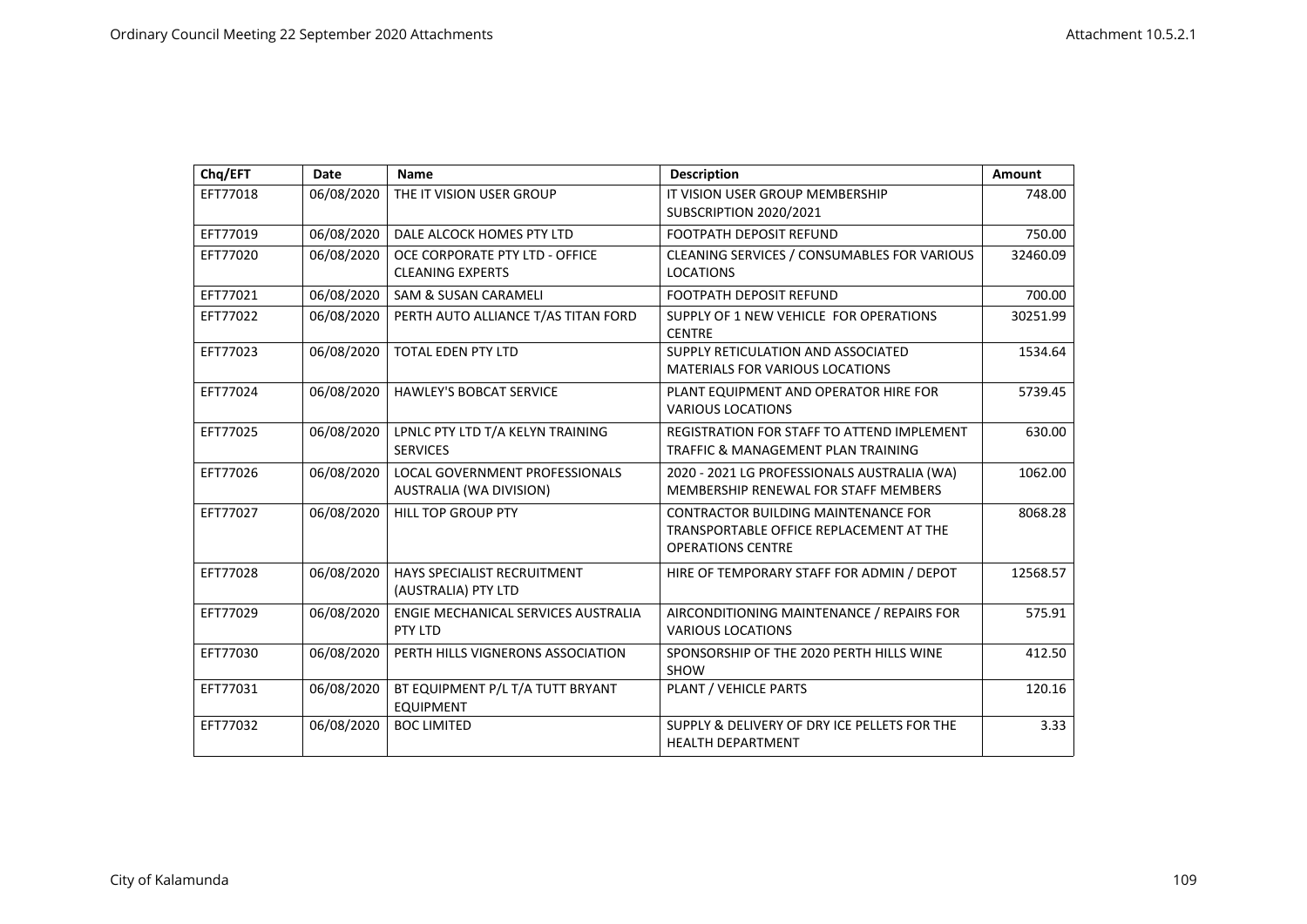| Chq/EFT  | Date       | <b>Name</b>                                               | <b>Description</b>                                                                                                | Amount   |
|----------|------------|-----------------------------------------------------------|-------------------------------------------------------------------------------------------------------------------|----------|
| EFT77018 | 06/08/2020 | THE IT VISION USER GROUP                                  | IT VISION USER GROUP MEMBERSHIP<br>SUBSCRIPTION 2020/2021                                                         | 748.00   |
| EFT77019 | 06/08/2020 | DALE ALCOCK HOMES PTY LTD                                 | <b>FOOTPATH DEPOSIT REFUND</b>                                                                                    | 750.00   |
| EFT77020 | 06/08/2020 | OCE CORPORATE PTY LTD - OFFICE<br><b>CLEANING EXPERTS</b> | CLEANING SERVICES / CONSUMABLES FOR VARIOUS<br><b>LOCATIONS</b>                                                   | 32460.09 |
| EFT77021 | 06/08/2020 | <b>SAM &amp; SUSAN CARAMELI</b>                           | <b>FOOTPATH DEPOSIT REFUND</b>                                                                                    | 700.00   |
| EFT77022 | 06/08/2020 | PERTH AUTO ALLIANCE T/AS TITAN FORD                       | SUPPLY OF 1 NEW VEHICLE FOR OPERATIONS<br><b>CENTRE</b>                                                           | 30251.99 |
| EFT77023 | 06/08/2020 | <b>TOTAL EDEN PTY LTD</b>                                 | SUPPLY RETICULATION AND ASSOCIATED<br><b>MATERIALS FOR VARIOUS LOCATIONS</b>                                      | 1534.64  |
| EFT77024 | 06/08/2020 | <b>HAWLEY'S BOBCAT SERVICE</b>                            | PLANT EQUIPMENT AND OPERATOR HIRE FOR<br><b>VARIOUS LOCATIONS</b>                                                 | 5739.45  |
| EFT77025 | 06/08/2020 | LPNLC PTY LTD T/A KELYN TRAINING<br><b>SERVICES</b>       | <b>REGISTRATION FOR STAFF TO ATTEND IMPLEMENT</b><br>TRAFFIC & MANAGEMENT PLAN TRAINING                           | 630.00   |
| EFT77026 | 06/08/2020 | LOCAL GOVERNMENT PROFESSIONALS<br>AUSTRALIA (WA DIVISION) | 2020 - 2021 LG PROFESSIONALS AUSTRALIA (WA)<br>MEMBERSHIP RENEWAL FOR STAFF MEMBERS                               | 1062.00  |
| EFT77027 | 06/08/2020 | <b>HILL TOP GROUP PTY</b>                                 | <b>CONTRACTOR BUILDING MAINTENANCE FOR</b><br>TRANSPORTABLE OFFICE REPLACEMENT AT THE<br><b>OPERATIONS CENTRE</b> | 8068.28  |
| EFT77028 | 06/08/2020 | HAYS SPECIALIST RECRUITMENT<br>(AUSTRALIA) PTY LTD        | HIRE OF TEMPORARY STAFF FOR ADMIN / DEPOT                                                                         | 12568.57 |
| EFT77029 | 06/08/2020 | ENGIE MECHANICAL SERVICES AUSTRALIA<br>PTY LTD            | AIRCONDITIONING MAINTENANCE / REPAIRS FOR<br><b>VARIOUS LOCATIONS</b>                                             | 575.91   |
| EFT77030 | 06/08/2020 | PERTH HILLS VIGNERONS ASSOCIATION                         | SPONSORSHIP OF THE 2020 PERTH HILLS WINE<br><b>SHOW</b>                                                           | 412.50   |
| EFT77031 | 06/08/2020 | BT EQUIPMENT P/L T/A TUTT BRYANT<br><b>EQUIPMENT</b>      | PLANT / VEHICLE PARTS                                                                                             | 120.16   |
| EFT77032 | 06/08/2020 | <b>BOC LIMITED</b>                                        | SUPPLY & DELIVERY OF DRY ICE PELLETS FOR THE<br><b>HEALTH DEPARTMENT</b>                                          | 3.33     |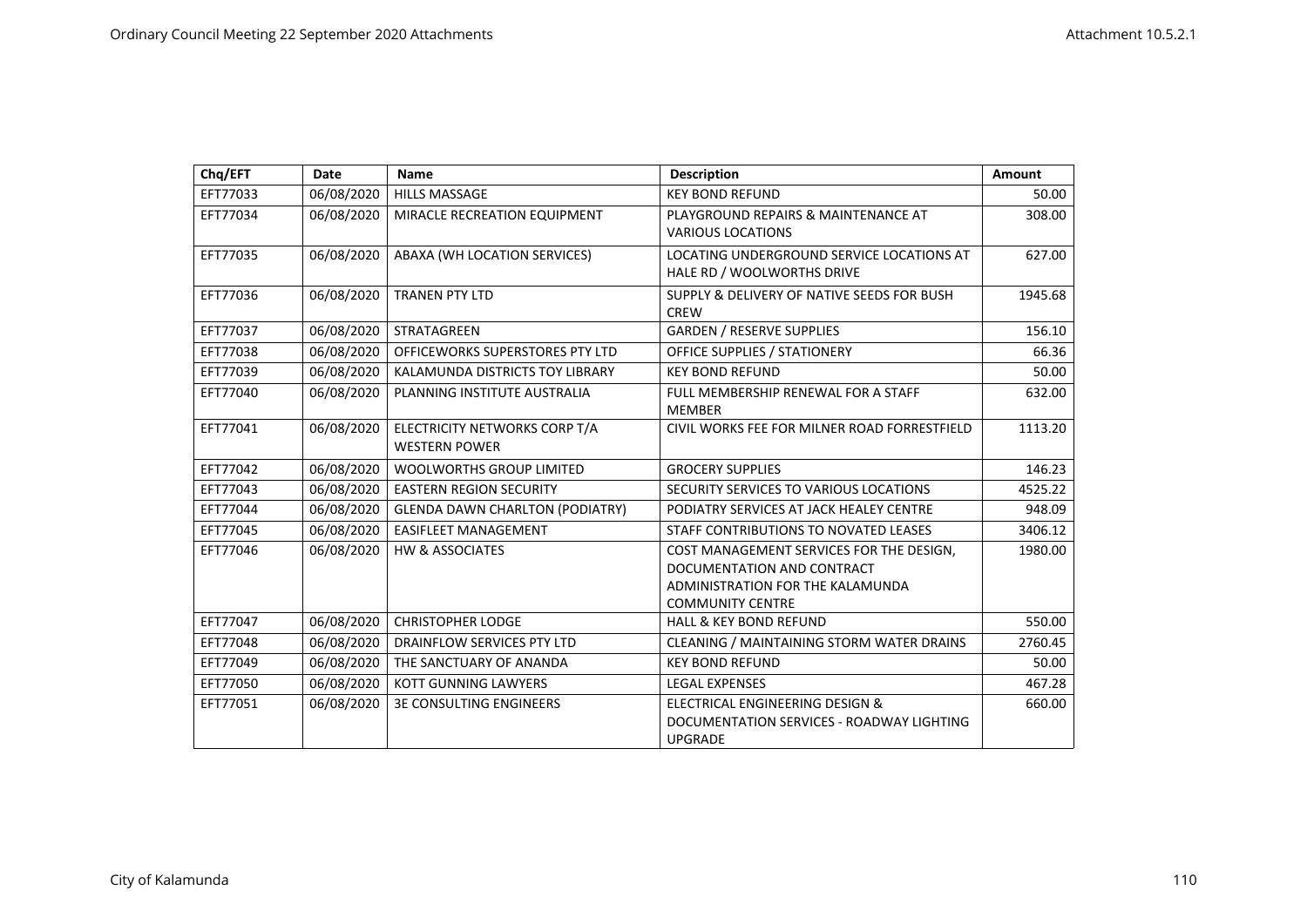| Chq/EFT  | Date       | <b>Name</b>                                           | <b>Description</b>                                                                                                                    | Amount  |
|----------|------------|-------------------------------------------------------|---------------------------------------------------------------------------------------------------------------------------------------|---------|
| EFT77033 | 06/08/2020 | <b>HILLS MASSAGE</b>                                  | <b>KEY BOND REFUND</b>                                                                                                                | 50.00   |
| EFT77034 | 06/08/2020 | MIRACLE RECREATION EQUIPMENT                          | PLAYGROUND REPAIRS & MAINTENANCE AT<br><b>VARIOUS LOCATIONS</b>                                                                       | 308.00  |
| EFT77035 | 06/08/2020 | ABAXA (WH LOCATION SERVICES)                          | LOCATING UNDERGROUND SERVICE LOCATIONS AT<br>HALE RD / WOOLWORTHS DRIVE                                                               | 627.00  |
| EFT77036 | 06/08/2020 | <b>TRANEN PTY LTD</b>                                 | SUPPLY & DELIVERY OF NATIVE SEEDS FOR BUSH<br><b>CREW</b>                                                                             | 1945.68 |
| EFT77037 | 06/08/2020 | <b>STRATAGREEN</b>                                    | <b>GARDEN / RESERVE SUPPLIES</b>                                                                                                      | 156.10  |
| EFT77038 | 06/08/2020 | OFFICEWORKS SUPERSTORES PTY LTD                       | <b>OFFICE SUPPLIES / STATIONERY</b>                                                                                                   | 66.36   |
| EFT77039 | 06/08/2020 | KALAMUNDA DISTRICTS TOY LIBRARY                       | <b>KEY BOND REFUND</b>                                                                                                                | 50.00   |
| EFT77040 | 06/08/2020 | PLANNING INSTITUTE AUSTRALIA                          | FULL MEMBERSHIP RENEWAL FOR A STAFF<br><b>MEMBER</b>                                                                                  | 632.00  |
| EFT77041 | 06/08/2020 | ELECTRICITY NETWORKS CORP T/A<br><b>WESTERN POWER</b> | CIVIL WORKS FEE FOR MILNER ROAD FORRESTFIELD                                                                                          | 1113.20 |
| EFT77042 | 06/08/2020 | <b>WOOLWORTHS GROUP LIMITED</b>                       | <b>GROCERY SUPPLIES</b>                                                                                                               | 146.23  |
| EFT77043 | 06/08/2020 | <b>EASTERN REGION SECURITY</b>                        | SECURITY SERVICES TO VARIOUS LOCATIONS                                                                                                | 4525.22 |
| EFT77044 | 06/08/2020 | <b>GLENDA DAWN CHARLTON (PODIATRY)</b>                | PODIATRY SERVICES AT JACK HEALEY CENTRE                                                                                               | 948.09  |
| EFT77045 | 06/08/2020 | <b>EASIFLEET MANAGEMENT</b>                           | STAFF CONTRIBUTIONS TO NOVATED LEASES                                                                                                 | 3406.12 |
| EFT77046 | 06/08/2020 | <b>HW &amp; ASSOCIATES</b>                            | COST MANAGEMENT SERVICES FOR THE DESIGN,<br>DOCUMENTATION AND CONTRACT<br>ADMINISTRATION FOR THE KALAMUNDA<br><b>COMMUNITY CENTRE</b> | 1980.00 |
| EFT77047 | 06/08/2020 | <b>CHRISTOPHER LODGE</b>                              | <b>HALL &amp; KEY BOND REFUND</b>                                                                                                     | 550.00  |
| EFT77048 | 06/08/2020 | DRAINFLOW SERVICES PTY LTD                            | CLEANING / MAINTAINING STORM WATER DRAINS                                                                                             | 2760.45 |
| EFT77049 | 06/08/2020 | THE SANCTUARY OF ANANDA                               | <b>KEY BOND REFUND</b>                                                                                                                | 50.00   |
| EFT77050 | 06/08/2020 | <b>KOTT GUNNING LAWYERS</b>                           | <b>LEGAL EXPENSES</b>                                                                                                                 | 467.28  |
| EFT77051 | 06/08/2020 | <b>3E CONSULTING ENGINEERS</b>                        | ELECTRICAL ENGINEERING DESIGN &<br>DOCUMENTATION SERVICES - ROADWAY LIGHTING<br><b>UPGRADE</b>                                        | 660.00  |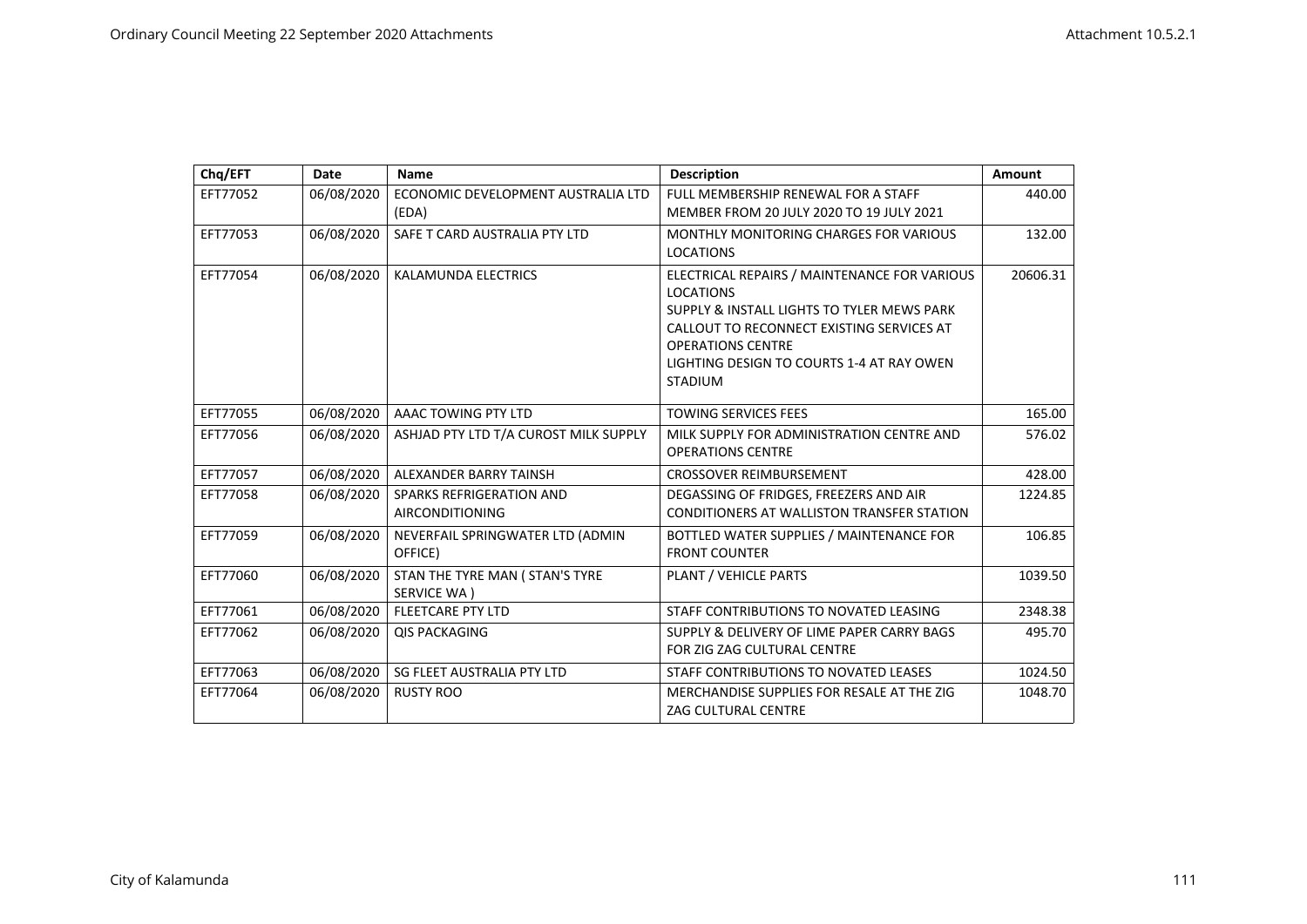| Chq/EFT  | Date       | <b>Name</b>                           | <b>Description</b>                                                    | <b>Amount</b> |
|----------|------------|---------------------------------------|-----------------------------------------------------------------------|---------------|
| EFT77052 | 06/08/2020 | ECONOMIC DEVELOPMENT AUSTRALIA LTD    | FULL MEMBERSHIP RENEWAL FOR A STAFF                                   | 440.00        |
|          |            | (EDA)                                 | MEMBER FROM 20 JULY 2020 TO 19 JULY 2021                              |               |
| EFT77053 | 06/08/2020 | SAFE T CARD AUSTRALIA PTY LTD         | <b>MONTHLY MONITORING CHARGES FOR VARIOUS</b>                         | 132.00        |
|          |            |                                       | <b>LOCATIONS</b>                                                      |               |
| EFT77054 | 06/08/2020 | KALAMUNDA ELECTRICS                   | ELECTRICAL REPAIRS / MAINTENANCE FOR VARIOUS                          | 20606.31      |
|          |            |                                       | <b>LOCATIONS</b>                                                      |               |
|          |            |                                       | SUPPLY & INSTALL LIGHTS TO TYLER MEWS PARK                            |               |
|          |            |                                       | CALLOUT TO RECONNECT EXISTING SERVICES AT<br><b>OPERATIONS CENTRE</b> |               |
|          |            |                                       | LIGHTING DESIGN TO COURTS 1-4 AT RAY OWEN                             |               |
|          |            |                                       | <b>STADIUM</b>                                                        |               |
|          |            |                                       |                                                                       |               |
| EFT77055 | 06/08/2020 | AAAC TOWING PTY LTD                   | <b>TOWING SERVICES FEES</b>                                           | 165.00        |
| EFT77056 | 06/08/2020 | ASHJAD PTY LTD T/A CUROST MILK SUPPLY | MILK SUPPLY FOR ADMINISTRATION CENTRE AND                             | 576.02        |
|          |            |                                       | <b>OPERATIONS CENTRE</b>                                              |               |
| EFT77057 | 06/08/2020 | ALEXANDER BARRY TAINSH                | <b>CROSSOVER REIMBURSEMENT</b>                                        | 428.00        |
| EFT77058 | 06/08/2020 | SPARKS REFRIGERATION AND              | DEGASSING OF FRIDGES, FREEZERS AND AIR                                | 1224.85       |
|          |            | <b>AIRCONDITIONING</b>                | CONDITIONERS AT WALLISTON TRANSFER STATION                            |               |
| EFT77059 | 06/08/2020 | NEVERFAIL SPRINGWATER LTD (ADMIN      | BOTTLED WATER SUPPLIES / MAINTENANCE FOR                              | 106.85        |
|          |            | OFFICE)                               | <b>FRONT COUNTER</b>                                                  |               |
| EFT77060 | 06/08/2020 | STAN THE TYRE MAN ( STAN'S TYRE       | PLANT / VEHICLE PARTS                                                 | 1039.50       |
|          |            | SERVICE WA)                           |                                                                       |               |
| EFT77061 | 06/08/2020 | <b>FLEETCARE PTY LTD</b>              | STAFF CONTRIBUTIONS TO NOVATED LEASING                                | 2348.38       |
| EFT77062 | 06/08/2020 | <b>QIS PACKAGING</b>                  | SUPPLY & DELIVERY OF LIME PAPER CARRY BAGS                            | 495.70        |
|          |            |                                       | FOR ZIG ZAG CULTURAL CENTRE                                           |               |
| EFT77063 | 06/08/2020 | SG FLEET AUSTRALIA PTY LTD            | STAFF CONTRIBUTIONS TO NOVATED LEASES                                 | 1024.50       |
| EFT77064 | 06/08/2020 | <b>RUSTY ROO</b>                      | MERCHANDISE SUPPLIES FOR RESALE AT THE ZIG                            | 1048.70       |
|          |            |                                       | <b>ZAG CULTURAL CENTRE</b>                                            |               |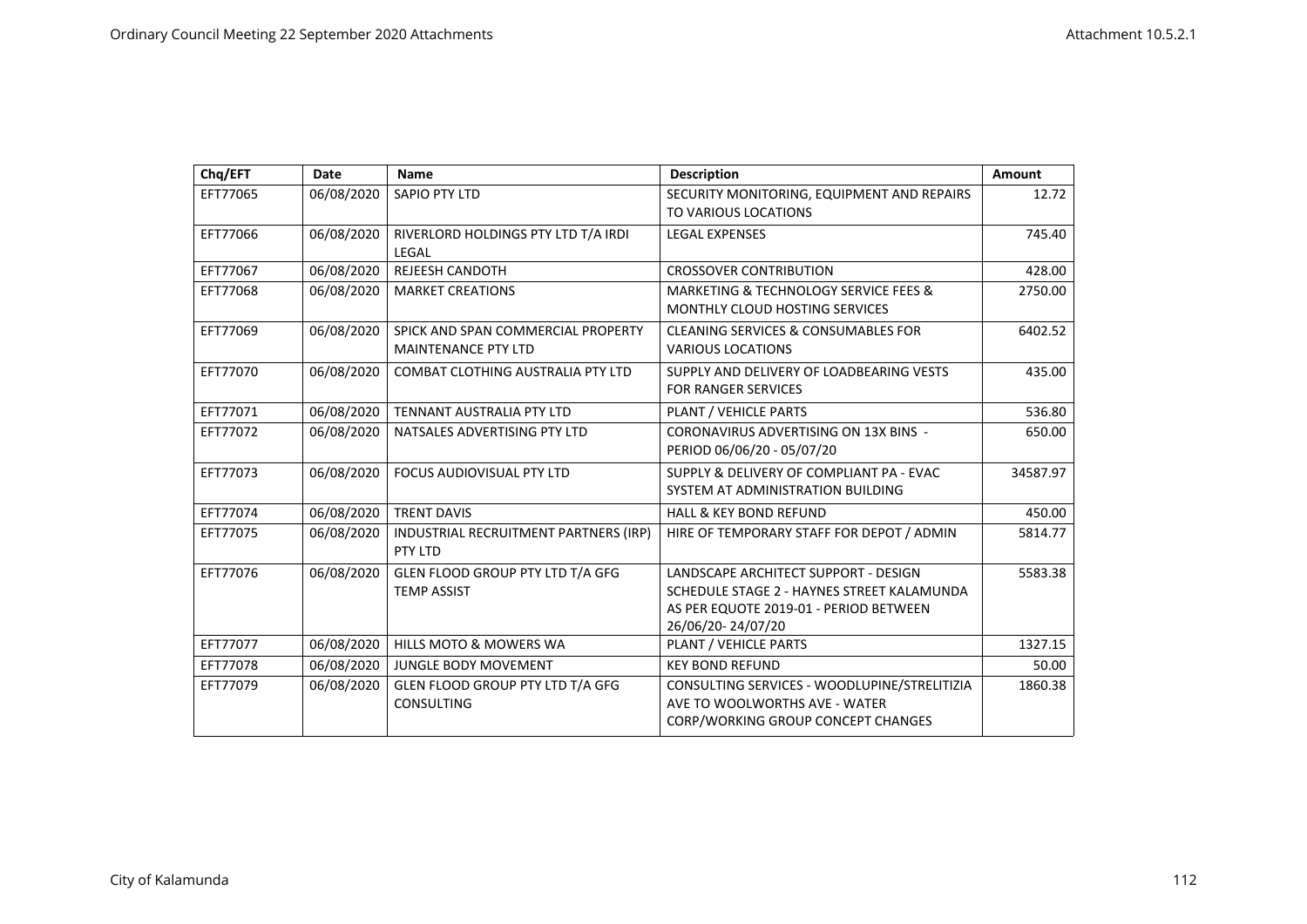| Chq/EFT  | Date       | <b>Name</b>                                                      | <b>Description</b>                                                                                                                                | Amount   |
|----------|------------|------------------------------------------------------------------|---------------------------------------------------------------------------------------------------------------------------------------------------|----------|
| EFT77065 | 06/08/2020 | SAPIO PTY LTD                                                    | SECURITY MONITORING, EQUIPMENT AND REPAIRS<br>TO VARIOUS LOCATIONS                                                                                | 12.72    |
| EFT77066 | 06/08/2020 | RIVERLORD HOLDINGS PTY LTD T/A IRDI<br>LEGAL                     | <b>LEGAL EXPENSES</b>                                                                                                                             | 745.40   |
| EFT77067 | 06/08/2020 | <b>REJEESH CANDOTH</b>                                           | <b>CROSSOVER CONTRIBUTION</b>                                                                                                                     | 428.00   |
| EFT77068 | 06/08/2020 | <b>MARKET CREATIONS</b>                                          | MARKETING & TECHNOLOGY SERVICE FEES &<br>MONTHLY CLOUD HOSTING SERVICES                                                                           | 2750.00  |
| EFT77069 | 06/08/2020 | SPICK AND SPAN COMMERCIAL PROPERTY<br><b>MAINTENANCE PTY LTD</b> | <b>CLEANING SERVICES &amp; CONSUMABLES FOR</b><br><b>VARIOUS LOCATIONS</b>                                                                        | 6402.52  |
| EFT77070 | 06/08/2020 | <b>COMBAT CLOTHING AUSTRALIA PTY LTD</b>                         | SUPPLY AND DELIVERY OF LOADBEARING VESTS<br>FOR RANGER SERVICES                                                                                   | 435.00   |
| EFT77071 | 06/08/2020 | TENNANT AUSTRALIA PTY LTD                                        | PLANT / VEHICLE PARTS                                                                                                                             | 536.80   |
| EFT77072 | 06/08/2020 | NATSALES ADVERTISING PTY LTD                                     | CORONAVIRUS ADVERTISING ON 13X BINS -<br>PERIOD 06/06/20 - 05/07/20                                                                               | 650.00   |
| EFT77073 | 06/08/2020 | <b>FOCUS AUDIOVISUAL PTY LTD</b>                                 | SUPPLY & DELIVERY OF COMPLIANT PA - EVAC<br>SYSTEM AT ADMINISTRATION BUILDING                                                                     | 34587.97 |
| EFT77074 | 06/08/2020 | <b>TRENT DAVIS</b>                                               | <b>HALL &amp; KEY BOND REFUND</b>                                                                                                                 | 450.00   |
| EFT77075 | 06/08/2020 | INDUSTRIAL RECRUITMENT PARTNERS (IRP)<br>PTY LTD                 | HIRE OF TEMPORARY STAFF FOR DEPOT / ADMIN                                                                                                         | 5814.77  |
| EFT77076 | 06/08/2020 | GLEN FLOOD GROUP PTY LTD T/A GFG<br><b>TEMP ASSIST</b>           | LANDSCAPE ARCHITECT SUPPORT - DESIGN<br>SCHEDULE STAGE 2 - HAYNES STREET KALAMUNDA<br>AS PER EQUOTE 2019-01 - PERIOD BETWEEN<br>26/06/20-24/07/20 | 5583.38  |
| EFT77077 | 06/08/2020 | <b>HILLS MOTO &amp; MOWERS WA</b>                                | PLANT / VEHICLE PARTS                                                                                                                             | 1327.15  |
| EFT77078 | 06/08/2020 | <b>JUNGLE BODY MOVEMENT</b>                                      | <b>KEY BOND REFUND</b>                                                                                                                            | 50.00    |
| EFT77079 | 06/08/2020 | GLEN FLOOD GROUP PTY LTD T/A GFG<br><b>CONSULTING</b>            | CONSULTING SERVICES - WOODLUPINE/STRELITIZIA<br>AVE TO WOOLWORTHS AVE - WATER<br>CORP/WORKING GROUP CONCEPT CHANGES                               | 1860.38  |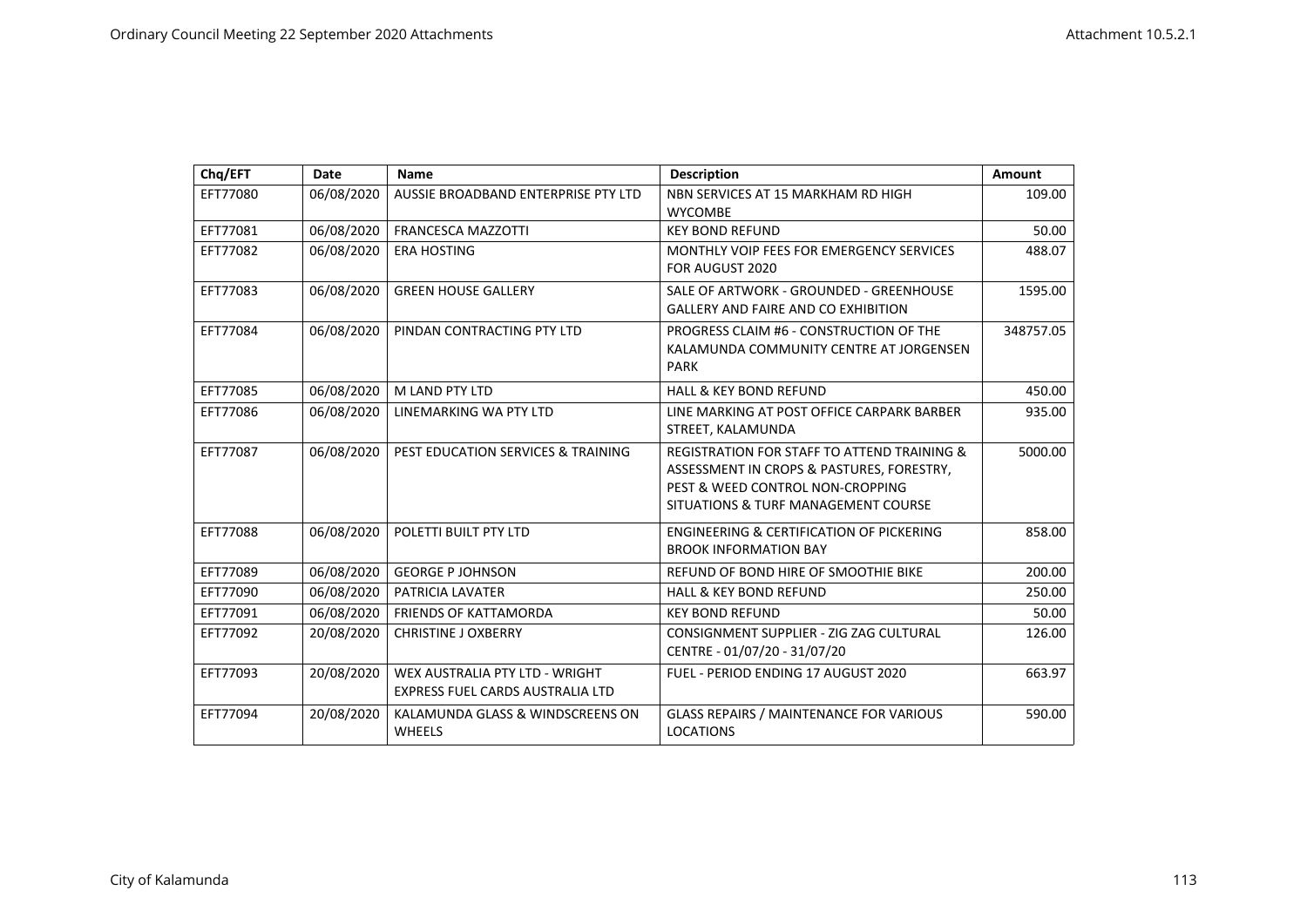| Chq/EFT  | Date       | <b>Name</b>                                                        | <b>Description</b>                                                                                                                                                             | Amount    |
|----------|------------|--------------------------------------------------------------------|--------------------------------------------------------------------------------------------------------------------------------------------------------------------------------|-----------|
| EFT77080 | 06/08/2020 | AUSSIE BROADBAND ENTERPRISE PTY LTD                                | NBN SERVICES AT 15 MARKHAM RD HIGH<br><b>WYCOMBE</b>                                                                                                                           | 109.00    |
| EFT77081 | 06/08/2020 | <b>FRANCESCA MAZZOTTI</b>                                          | <b>KEY BOND REFUND</b>                                                                                                                                                         | 50.00     |
| EFT77082 | 06/08/2020 | <b>ERA HOSTING</b>                                                 | MONTHLY VOIP FEES FOR EMERGENCY SERVICES<br>FOR AUGUST 2020                                                                                                                    | 488.07    |
| EFT77083 | 06/08/2020 | <b>GREEN HOUSE GALLERY</b>                                         | SALE OF ARTWORK - GROUNDED - GREENHOUSE<br><b>GALLERY AND FAIRE AND CO EXHIBITION</b>                                                                                          | 1595.00   |
| EFT77084 | 06/08/2020 | PINDAN CONTRACTING PTY LTD                                         | PROGRESS CLAIM #6 - CONSTRUCTION OF THE<br>KALAMUNDA COMMUNITY CENTRE AT JORGENSEN<br><b>PARK</b>                                                                              | 348757.05 |
| EFT77085 | 06/08/2020 | M LAND PTY LTD                                                     | <b>HALL &amp; KEY BOND REFUND</b>                                                                                                                                              | 450.00    |
| EFT77086 | 06/08/2020 | LINEMARKING WA PTY LTD                                             | LINE MARKING AT POST OFFICE CARPARK BARBER<br>STREET, KALAMUNDA                                                                                                                | 935.00    |
| EFT77087 | 06/08/2020 | PEST EDUCATION SERVICES & TRAINING                                 | <b>REGISTRATION FOR STAFF TO ATTEND TRAINING &amp;</b><br>ASSESSMENT IN CROPS & PASTURES, FORESTRY,<br>PEST & WEED CONTROL NON-CROPPING<br>SITUATIONS & TURF MANAGEMENT COURSE | 5000.00   |
| EFT77088 | 06/08/2020 | POLETTI BUILT PTY LTD                                              | <b>ENGINEERING &amp; CERTIFICATION OF PICKERING</b><br><b>BROOK INFORMATION BAY</b>                                                                                            | 858.00    |
| EFT77089 | 06/08/2020 | <b>GEORGE P JOHNSON</b>                                            | REFUND OF BOND HIRE OF SMOOTHIE BIKE                                                                                                                                           | 200.00    |
| EFT77090 | 06/08/2020 | PATRICIA LAVATER                                                   | <b>HALL &amp; KEY BOND REFUND</b>                                                                                                                                              | 250.00    |
| EFT77091 | 06/08/2020 | <b>FRIENDS OF KATTAMORDA</b>                                       | <b>KEY BOND REFUND</b>                                                                                                                                                         | 50.00     |
| EFT77092 | 20/08/2020 | <b>CHRISTINE J OXBERRY</b>                                         | CONSIGNMENT SUPPLIER - ZIG ZAG CULTURAL<br>CENTRE - 01/07/20 - 31/07/20                                                                                                        | 126.00    |
| EFT77093 | 20/08/2020 | WEX AUSTRALIA PTY LTD - WRIGHT<br>EXPRESS FUEL CARDS AUSTRALIA LTD | FUEL - PERIOD ENDING 17 AUGUST 2020                                                                                                                                            | 663.97    |
| EFT77094 | 20/08/2020 | KALAMUNDA GLASS & WINDSCREENS ON<br><b>WHEELS</b>                  | <b>GLASS REPAIRS / MAINTENANCE FOR VARIOUS</b><br><b>LOCATIONS</b>                                                                                                             | 590.00    |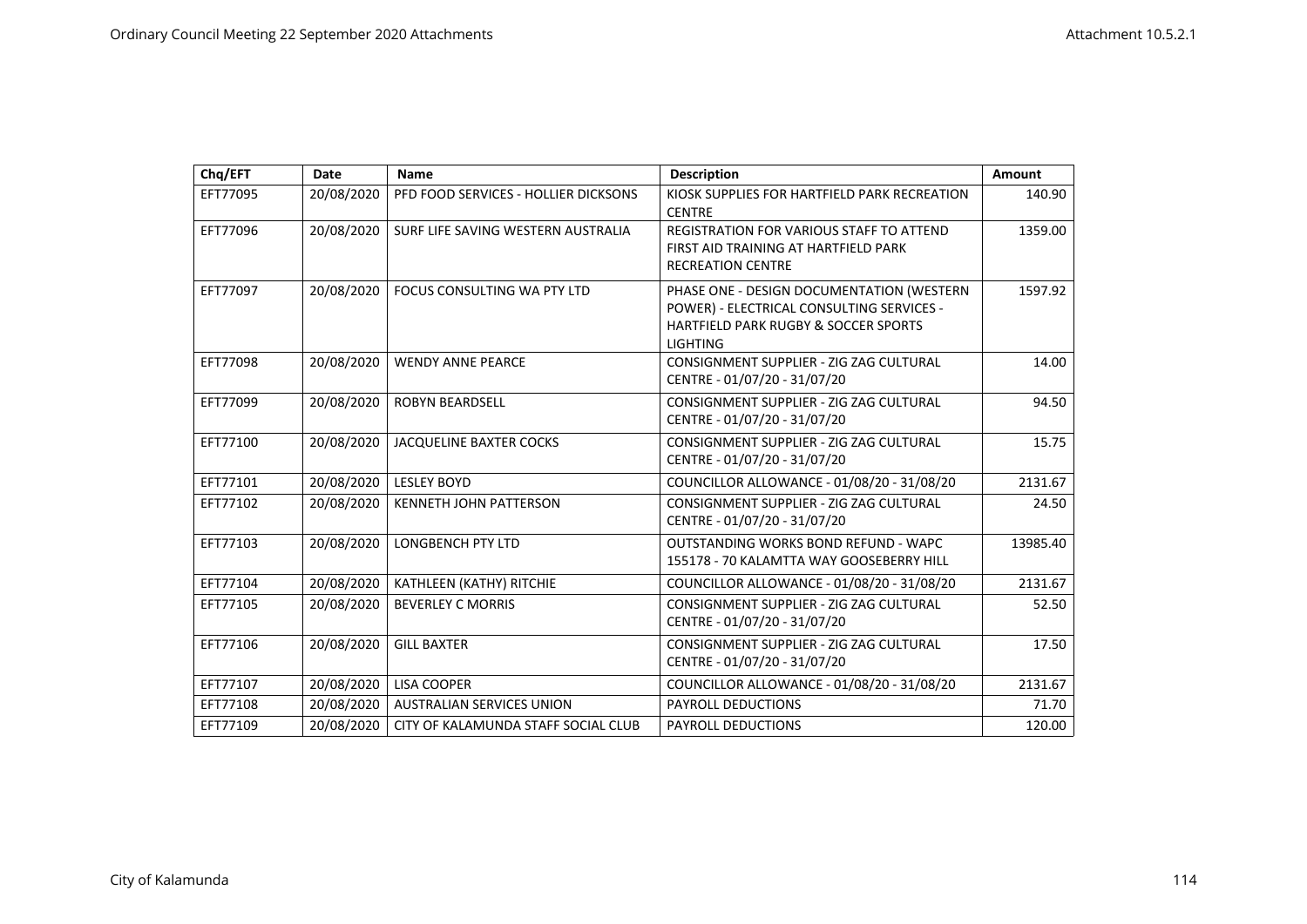| Chq/EFT  | Date       | <b>Name</b>                          | <b>Description</b>                                                                                                                                           | Amount   |
|----------|------------|--------------------------------------|--------------------------------------------------------------------------------------------------------------------------------------------------------------|----------|
| EFT77095 | 20/08/2020 | PFD FOOD SERVICES - HOLLIER DICKSONS | KIOSK SUPPLIES FOR HARTFIELD PARK RECREATION<br><b>CENTRE</b>                                                                                                | 140.90   |
| EFT77096 | 20/08/2020 | SURF LIFE SAVING WESTERN AUSTRALIA   | REGISTRATION FOR VARIOUS STAFF TO ATTEND<br>FIRST AID TRAINING AT HARTFIELD PARK<br><b>RECREATION CENTRE</b>                                                 | 1359.00  |
| EFT77097 | 20/08/2020 | FOCUS CONSULTING WA PTY LTD          | PHASE ONE - DESIGN DOCUMENTATION (WESTERN<br>POWER) - ELECTRICAL CONSULTING SERVICES -<br><b>HARTFIELD PARK RUGBY &amp; SOCCER SPORTS</b><br><b>LIGHTING</b> | 1597.92  |
| EFT77098 | 20/08/2020 | <b>WENDY ANNE PEARCE</b>             | CONSIGNMENT SUPPLIER - ZIG ZAG CULTURAL<br>CENTRE - 01/07/20 - 31/07/20                                                                                      | 14.00    |
| EFT77099 | 20/08/2020 | <b>ROBYN BEARDSELL</b>               | CONSIGNMENT SUPPLIER - ZIG ZAG CULTURAL<br>CENTRE - 01/07/20 - 31/07/20                                                                                      | 94.50    |
| EFT77100 | 20/08/2020 | JACQUELINE BAXTER COCKS              | CONSIGNMENT SUPPLIER - ZIG ZAG CULTURAL<br>CENTRE - 01/07/20 - 31/07/20                                                                                      | 15.75    |
| EFT77101 | 20/08/2020 | <b>LESLEY BOYD</b>                   | COUNCILLOR ALLOWANCE - 01/08/20 - 31/08/20                                                                                                                   | 2131.67  |
| EFT77102 | 20/08/2020 | <b>KENNETH JOHN PATTERSON</b>        | CONSIGNMENT SUPPLIER - ZIG ZAG CULTURAL<br>CENTRE - 01/07/20 - 31/07/20                                                                                      | 24.50    |
| EFT77103 | 20/08/2020 | <b>LONGBENCH PTY LTD</b>             | <b>OUTSTANDING WORKS BOND REFUND - WAPC</b><br>155178 - 70 KALAMTTA WAY GOOSEBERRY HILL                                                                      | 13985.40 |
| EFT77104 | 20/08/2020 | KATHLEEN (KATHY) RITCHIE             | COUNCILLOR ALLOWANCE - 01/08/20 - 31/08/20                                                                                                                   | 2131.67  |
| EFT77105 | 20/08/2020 | <b>BEVERLEY C MORRIS</b>             | CONSIGNMENT SUPPLIER - ZIG ZAG CULTURAL<br>CENTRE - 01/07/20 - 31/07/20                                                                                      | 52.50    |
| EFT77106 | 20/08/2020 | <b>GILL BAXTER</b>                   | CONSIGNMENT SUPPLIER - ZIG ZAG CULTURAL<br>CENTRE - 01/07/20 - 31/07/20                                                                                      | 17.50    |
| EFT77107 | 20/08/2020 | <b>LISA COOPER</b>                   | COUNCILLOR ALLOWANCE - 01/08/20 - 31/08/20                                                                                                                   | 2131.67  |
| EFT77108 | 20/08/2020 | <b>AUSTRALIAN SERVICES UNION</b>     | PAYROLL DEDUCTIONS                                                                                                                                           | 71.70    |
| EFT77109 | 20/08/2020 | CITY OF KALAMUNDA STAFF SOCIAL CLUB  | <b>PAYROLL DEDUCTIONS</b>                                                                                                                                    | 120.00   |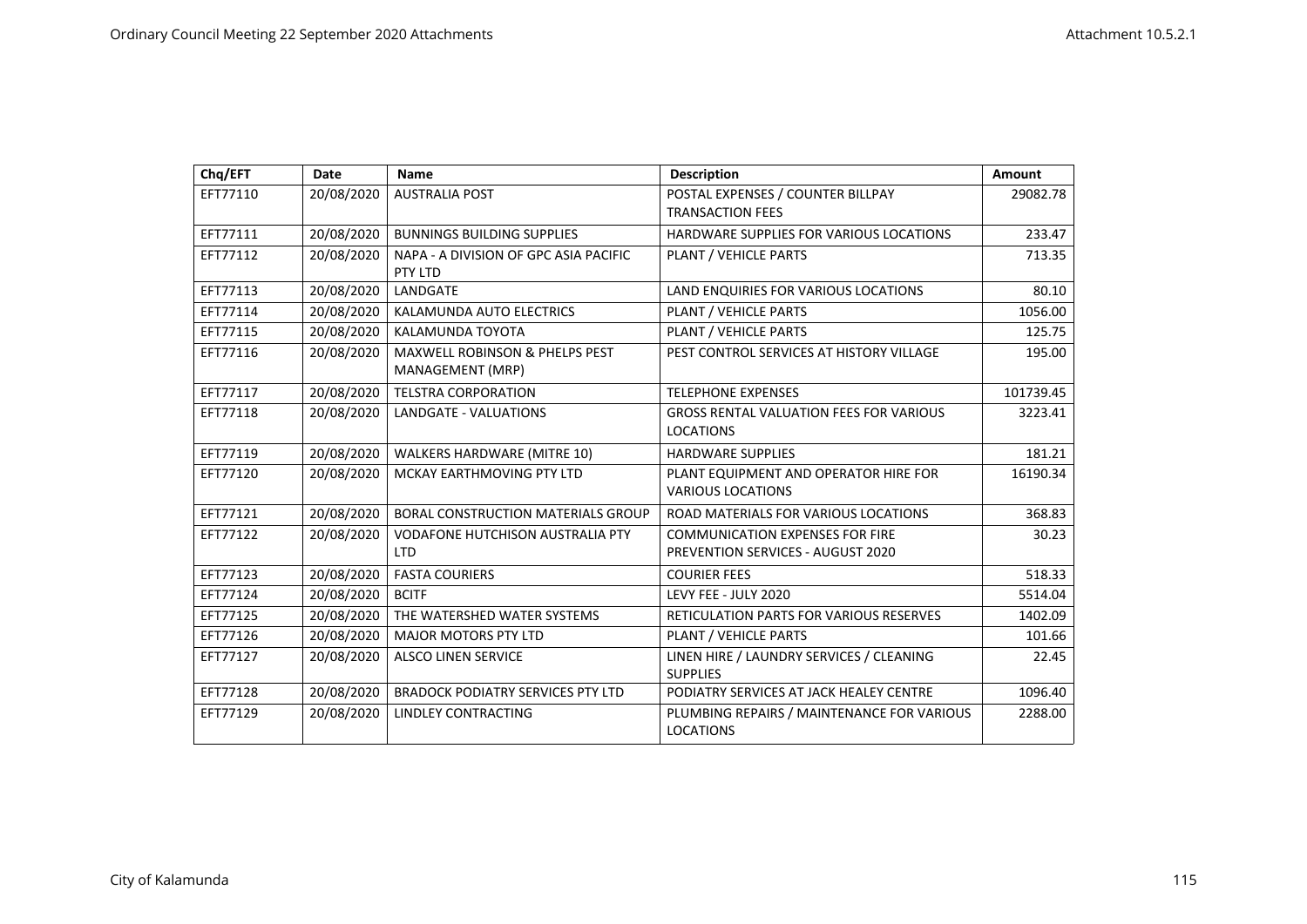| Chq/EFT  | Date       | <b>Name</b>                               | <b>Description</b>                             | Amount    |
|----------|------------|-------------------------------------------|------------------------------------------------|-----------|
| EFT77110 | 20/08/2020 | <b>AUSTRALIA POST</b>                     | POSTAL EXPENSES / COUNTER BILLPAY              | 29082.78  |
|          |            |                                           | <b>TRANSACTION FEES</b>                        |           |
| EFT77111 | 20/08/2020 | <b>BUNNINGS BUILDING SUPPLIES</b>         | HARDWARE SUPPLIES FOR VARIOUS LOCATIONS        | 233.47    |
| EFT77112 | 20/08/2020 | NAPA - A DIVISION OF GPC ASIA PACIFIC     | PLANT / VEHICLE PARTS                          | 713.35    |
|          |            | PTY LTD                                   |                                                |           |
| EFT77113 | 20/08/2020 | LANDGATE                                  | LAND ENQUIRIES FOR VARIOUS LOCATIONS           | 80.10     |
| EFT77114 | 20/08/2020 | KALAMUNDA AUTO ELECTRICS                  | PLANT / VEHICLE PARTS                          | 1056.00   |
| EFT77115 | 20/08/2020 | KALAMUNDA TOYOTA                          | PLANT / VEHICLE PARTS                          | 125.75    |
| EFT77116 | 20/08/2020 | <b>MAXWELL ROBINSON &amp; PHELPS PEST</b> | PEST CONTROL SERVICES AT HISTORY VILLAGE       | 195.00    |
|          |            | MANAGEMENT (MRP)                          |                                                |           |
| EFT77117 | 20/08/2020 | <b>TELSTRA CORPORATION</b>                | <b>TELEPHONE EXPENSES</b>                      | 101739.45 |
| EFT77118 | 20/08/2020 | <b>LANDGATE - VALUATIONS</b>              | <b>GROSS RENTAL VALUATION FEES FOR VARIOUS</b> | 3223.41   |
|          |            |                                           | <b>LOCATIONS</b>                               |           |
| EFT77119 | 20/08/2020 | <b>WALKERS HARDWARE (MITRE 10)</b>        | <b>HARDWARE SUPPLIES</b>                       | 181.21    |
| EFT77120 | 20/08/2020 | MCKAY EARTHMOVING PTY LTD                 | PLANT EQUIPMENT AND OPERATOR HIRE FOR          | 16190.34  |
|          |            |                                           | <b>VARIOUS LOCATIONS</b>                       |           |
| EFT77121 | 20/08/2020 | <b>BORAL CONSTRUCTION MATERIALS GROUP</b> | ROAD MATERIALS FOR VARIOUS LOCATIONS           | 368.83    |
| EFT77122 | 20/08/2020 | <b>VODAFONE HUTCHISON AUSTRALIA PTY</b>   | <b>COMMUNICATION EXPENSES FOR FIRE</b>         | 30.23     |
|          |            | <b>LTD</b>                                | <b>PREVENTION SERVICES - AUGUST 2020</b>       |           |
| EFT77123 | 20/08/2020 | <b>FASTA COURIERS</b>                     | <b>COURIER FEES</b>                            | 518.33    |
| EFT77124 | 20/08/2020 | <b>BCITF</b>                              | LEVY FEE - JULY 2020                           | 5514.04   |
| EFT77125 | 20/08/2020 | THE WATERSHED WATER SYSTEMS               | <b>RETICULATION PARTS FOR VARIOUS RESERVES</b> | 1402.09   |
| EFT77126 | 20/08/2020 | <b>MAJOR MOTORS PTY LTD</b>               | PLANT / VEHICLE PARTS                          | 101.66    |
| EFT77127 | 20/08/2020 | <b>ALSCO LINEN SERVICE</b>                | LINEN HIRE / LAUNDRY SERVICES / CLEANING       | 22.45     |
|          |            |                                           | <b>SUPPLIES</b>                                |           |
| EFT77128 | 20/08/2020 | <b>BRADOCK PODIATRY SERVICES PTY LTD</b>  | PODIATRY SERVICES AT JACK HEALEY CENTRE        | 1096.40   |
| EFT77129 | 20/08/2020 | <b>LINDLEY CONTRACTING</b>                | PLUMBING REPAIRS / MAINTENANCE FOR VARIOUS     | 2288.00   |
|          |            |                                           | <b>LOCATIONS</b>                               |           |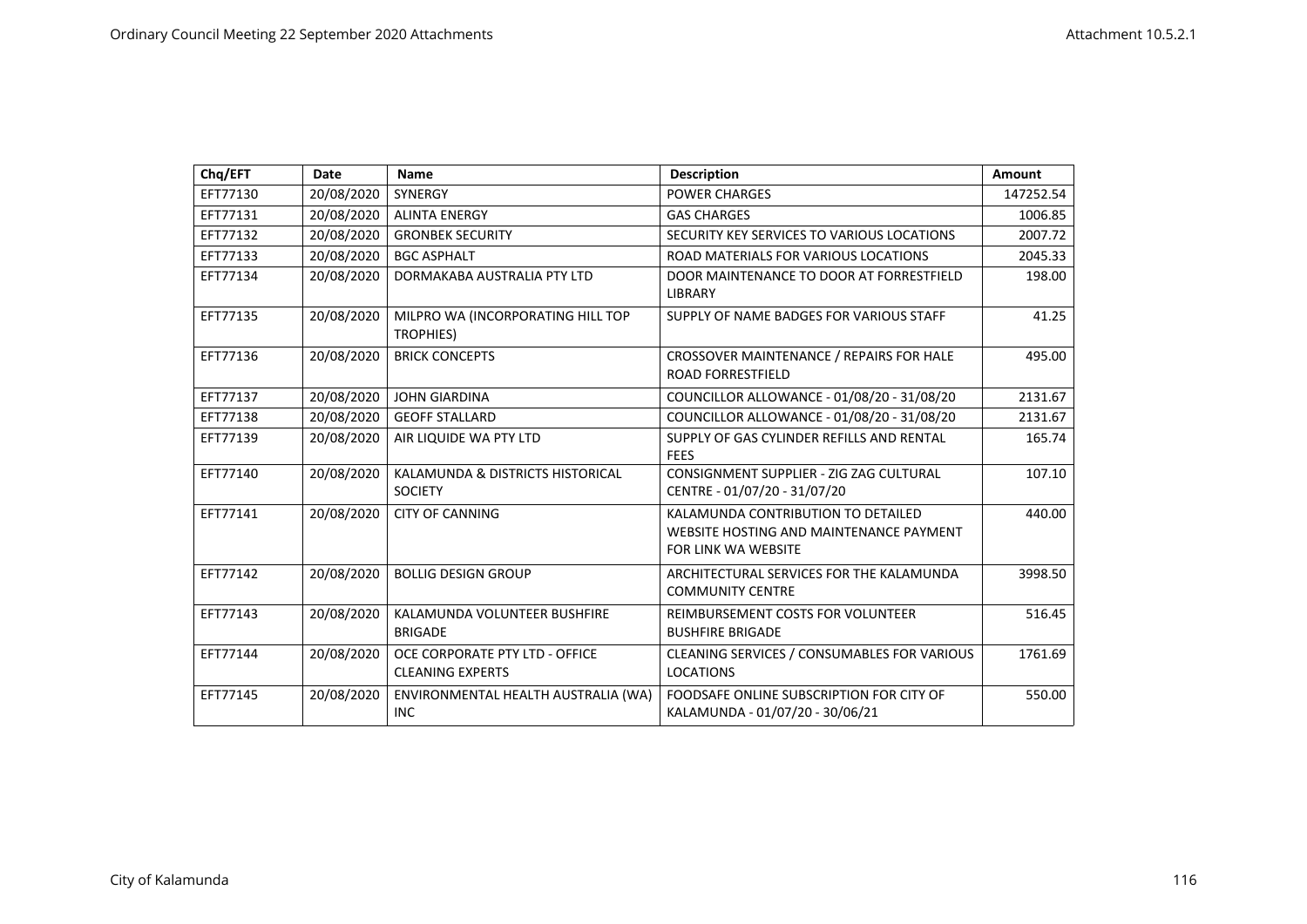| Chq/EFT  | <b>Date</b> | <b>Name</b>                                               | <b>Description</b>                                                                                          | Amount    |
|----------|-------------|-----------------------------------------------------------|-------------------------------------------------------------------------------------------------------------|-----------|
| EFT77130 | 20/08/2020  | <b>SYNERGY</b>                                            | <b>POWER CHARGES</b>                                                                                        | 147252.54 |
| EFT77131 | 20/08/2020  | <b>ALINTA ENERGY</b>                                      | <b>GAS CHARGES</b>                                                                                          | 1006.85   |
| EFT77132 | 20/08/2020  | <b>GRONBEK SECURITY</b>                                   | SECURITY KEY SERVICES TO VARIOUS LOCATIONS                                                                  | 2007.72   |
| EFT77133 | 20/08/2020  | <b>BGC ASPHALT</b>                                        | ROAD MATERIALS FOR VARIOUS LOCATIONS                                                                        | 2045.33   |
| EFT77134 | 20/08/2020  | DORMAKABA AUSTRALIA PTY LTD                               | DOOR MAINTENANCE TO DOOR AT FORRESTFIELD<br><b>LIBRARY</b>                                                  | 198.00    |
| EFT77135 | 20/08/2020  | MILPRO WA (INCORPORATING HILL TOP<br>TROPHIES)            | SUPPLY OF NAME BADGES FOR VARIOUS STAFF                                                                     | 41.25     |
| EFT77136 | 20/08/2020  | <b>BRICK CONCEPTS</b>                                     | CROSSOVER MAINTENANCE / REPAIRS FOR HALE<br><b>ROAD FORRESTFIELD</b>                                        | 495.00    |
| EFT77137 | 20/08/2020  | <b>JOHN GIARDINA</b>                                      | COUNCILLOR ALLOWANCE - 01/08/20 - 31/08/20                                                                  | 2131.67   |
| EFT77138 | 20/08/2020  | <b>GEOFF STALLARD</b>                                     | COUNCILLOR ALLOWANCE - 01/08/20 - 31/08/20                                                                  | 2131.67   |
| EFT77139 | 20/08/2020  | AIR LIQUIDE WA PTY LTD                                    | SUPPLY OF GAS CYLINDER REFILLS AND RENTAL<br><b>FEES</b>                                                    | 165.74    |
| EFT77140 | 20/08/2020  | KALAMUNDA & DISTRICTS HISTORICAL<br><b>SOCIETY</b>        | CONSIGNMENT SUPPLIER - ZIG ZAG CULTURAL<br>CENTRE - 01/07/20 - 31/07/20                                     | 107.10    |
| EFT77141 | 20/08/2020  | <b>CITY OF CANNING</b>                                    | KALAMUNDA CONTRIBUTION TO DETAILED<br>WEBSITE HOSTING AND MAINTENANCE PAYMENT<br><b>FOR LINK WA WEBSITE</b> | 440.00    |
| EFT77142 | 20/08/2020  | <b>BOLLIG DESIGN GROUP</b>                                | ARCHITECTURAL SERVICES FOR THE KALAMUNDA<br><b>COMMUNITY CENTRE</b>                                         | 3998.50   |
| EFT77143 | 20/08/2020  | KALAMUNDA VOLUNTEER BUSHFIRE<br><b>BRIGADE</b>            | REIMBURSEMENT COSTS FOR VOLUNTEER<br><b>BUSHFIRE BRIGADE</b>                                                | 516.45    |
| EFT77144 | 20/08/2020  | OCE CORPORATE PTY LTD - OFFICE<br><b>CLEANING EXPERTS</b> | CLEANING SERVICES / CONSUMABLES FOR VARIOUS<br><b>LOCATIONS</b>                                             | 1761.69   |
| EFT77145 | 20/08/2020  | ENVIRONMENTAL HEALTH AUSTRALIA (WA)<br><b>INC</b>         | FOODSAFE ONLINE SUBSCRIPTION FOR CITY OF<br>KALAMUNDA - 01/07/20 - 30/06/21                                 | 550.00    |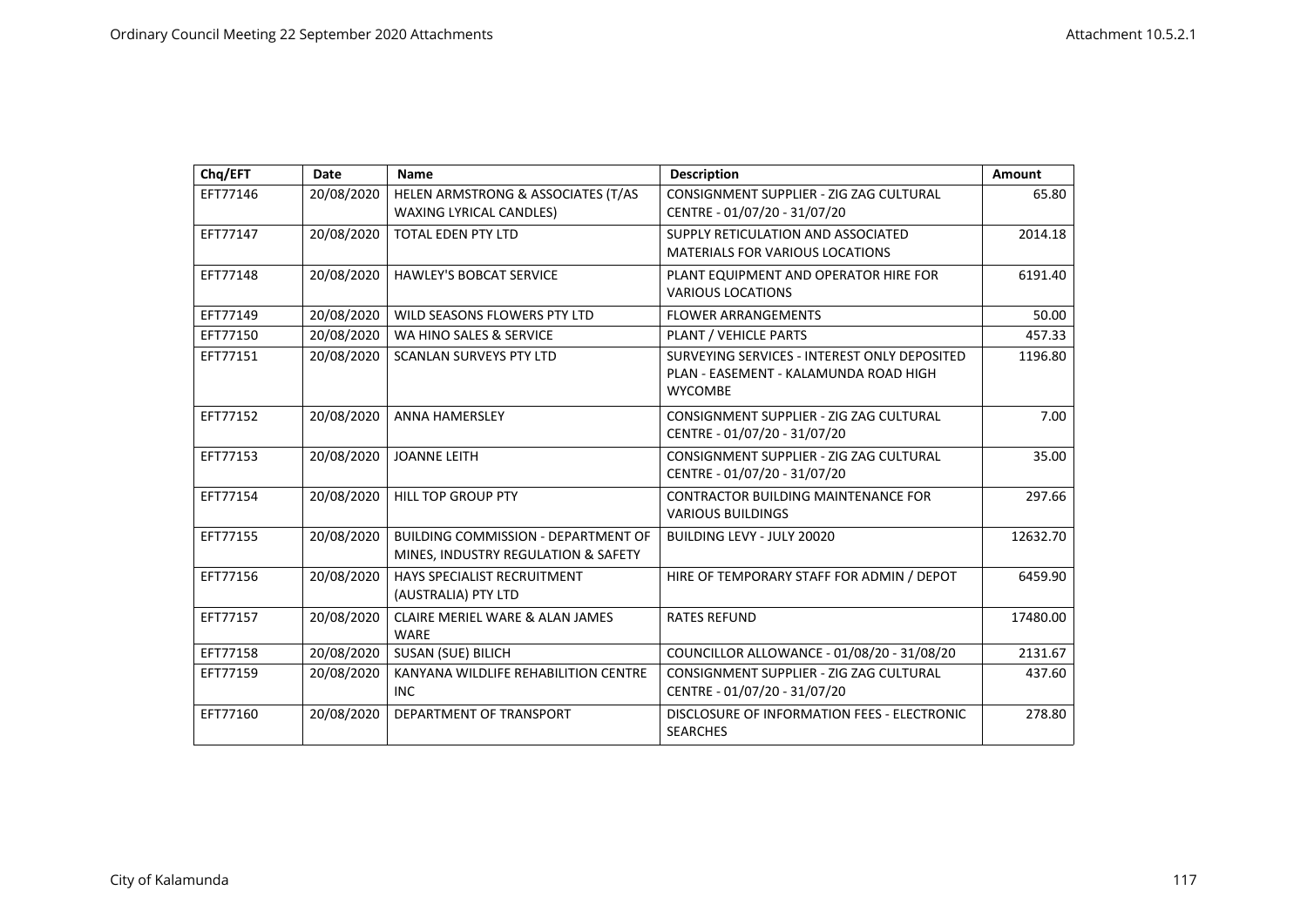| Chq/EFT  | Date       | Name                                                                              | <b>Description</b>                                                                                      | Amount   |
|----------|------------|-----------------------------------------------------------------------------------|---------------------------------------------------------------------------------------------------------|----------|
| EFT77146 | 20/08/2020 | HELEN ARMSTRONG & ASSOCIATES (T/AS<br><b>WAXING LYRICAL CANDLES)</b>              | CONSIGNMENT SUPPLIER - ZIG ZAG CULTURAL<br>CENTRE - 01/07/20 - 31/07/20                                 | 65.80    |
| EFT77147 | 20/08/2020 | <b>TOTAL EDEN PTY LTD</b>                                                         | SUPPLY RETICULATION AND ASSOCIATED<br><b>MATERIALS FOR VARIOUS LOCATIONS</b>                            | 2014.18  |
| EFT77148 | 20/08/2020 | <b>HAWLEY'S BOBCAT SERVICE</b>                                                    | PLANT EQUIPMENT AND OPERATOR HIRE FOR<br><b>VARIOUS LOCATIONS</b>                                       | 6191.40  |
| EFT77149 | 20/08/2020 | WILD SEASONS FLOWERS PTY LTD                                                      | <b>FLOWER ARRANGEMENTS</b>                                                                              | 50.00    |
| EFT77150 | 20/08/2020 | WA HINO SALES & SERVICE                                                           | PLANT / VEHICLE PARTS                                                                                   | 457.33   |
| EFT77151 | 20/08/2020 | <b>SCANLAN SURVEYS PTY LTD</b>                                                    | SURVEYING SERVICES - INTEREST ONLY DEPOSITED<br>PLAN - EASEMENT - KALAMUNDA ROAD HIGH<br><b>WYCOMBE</b> | 1196.80  |
| EFT77152 | 20/08/2020 | <b>ANNA HAMERSLEY</b>                                                             | CONSIGNMENT SUPPLIER - ZIG ZAG CULTURAL<br>CENTRE - 01/07/20 - 31/07/20                                 | 7.00     |
| EFT77153 | 20/08/2020 | <b>JOANNE LEITH</b>                                                               | CONSIGNMENT SUPPLIER - ZIG ZAG CULTURAL<br>CENTRE - 01/07/20 - 31/07/20                                 | 35.00    |
| EFT77154 | 20/08/2020 | <b>HILL TOP GROUP PTY</b>                                                         | CONTRACTOR BUILDING MAINTENANCE FOR<br><b>VARIOUS BUILDINGS</b>                                         | 297.66   |
| EFT77155 | 20/08/2020 | <b>BUILDING COMMISSION - DEPARTMENT OF</b><br>MINES, INDUSTRY REGULATION & SAFETY | <b>BUILDING LEVY - JULY 20020</b>                                                                       | 12632.70 |
| EFT77156 | 20/08/2020 | HAYS SPECIALIST RECRUITMENT<br>(AUSTRALIA) PTY LTD                                | HIRE OF TEMPORARY STAFF FOR ADMIN / DEPOT                                                               | 6459.90  |
| EFT77157 | 20/08/2020 | <b>CLAIRE MERIEL WARE &amp; ALAN JAMES</b><br><b>WARE</b>                         | <b>RATES REFUND</b>                                                                                     | 17480.00 |
| EFT77158 | 20/08/2020 | SUSAN (SUE) BILICH                                                                | COUNCILLOR ALLOWANCE - 01/08/20 - 31/08/20                                                              | 2131.67  |
| EFT77159 | 20/08/2020 | KANYANA WILDLIFE REHABILITION CENTRE<br>INC.                                      | CONSIGNMENT SUPPLIER - ZIG ZAG CULTURAL<br>CENTRE - 01/07/20 - 31/07/20                                 | 437.60   |
| EFT77160 | 20/08/2020 | DEPARTMENT OF TRANSPORT                                                           | DISCLOSURE OF INFORMATION FEES - ELECTRONIC<br><b>SEARCHES</b>                                          | 278.80   |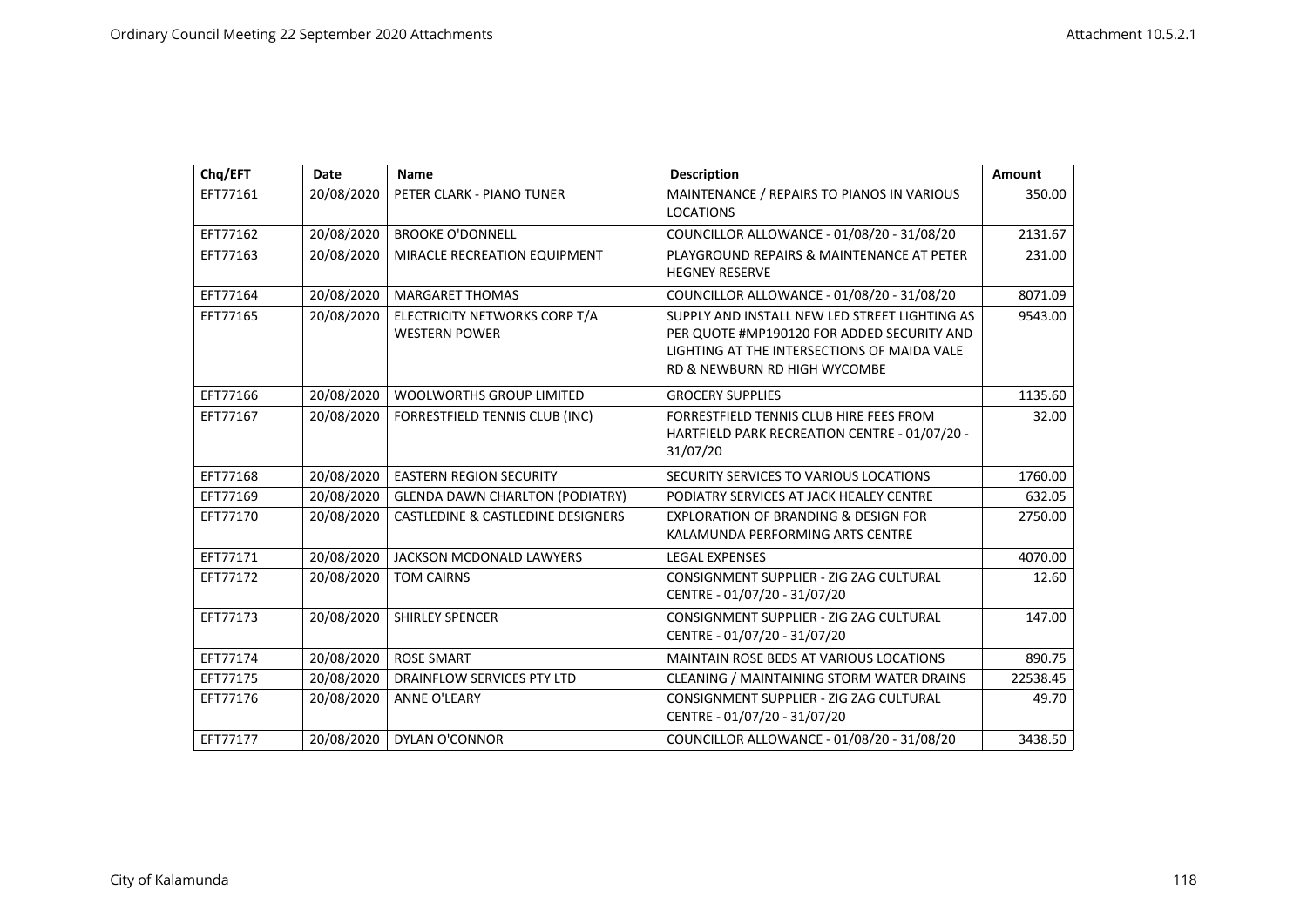| Chq/EFT  | <b>Date</b> | <b>Name</b>                                  | <b>Description</b>                              | Amount   |
|----------|-------------|----------------------------------------------|-------------------------------------------------|----------|
| EFT77161 | 20/08/2020  | PETER CLARK - PIANO TUNER                    | MAINTENANCE / REPAIRS TO PIANOS IN VARIOUS      | 350.00   |
|          |             |                                              | <b>LOCATIONS</b>                                |          |
| EFT77162 | 20/08/2020  | <b>BROOKE O'DONNELL</b>                      | COUNCILLOR ALLOWANCE - 01/08/20 - 31/08/20      | 2131.67  |
| EFT77163 | 20/08/2020  | MIRACLE RECREATION EQUIPMENT                 | PLAYGROUND REPAIRS & MAINTENANCE AT PETER       | 231.00   |
|          |             |                                              | <b>HEGNEY RESERVE</b>                           |          |
| EFT77164 | 20/08/2020  | <b>MARGARET THOMAS</b>                       | COUNCILLOR ALLOWANCE - 01/08/20 - 31/08/20      | 8071.09  |
| EFT77165 | 20/08/2020  | ELECTRICITY NETWORKS CORP T/A                | SUPPLY AND INSTALL NEW LED STREET LIGHTING AS   | 9543.00  |
|          |             | <b>WESTERN POWER</b>                         | PER QUOTE #MP190120 FOR ADDED SECURITY AND      |          |
|          |             |                                              | LIGHTING AT THE INTERSECTIONS OF MAIDA VALE     |          |
|          |             |                                              | <b>RD &amp; NEWBURN RD HIGH WYCOMBE</b>         |          |
| EFT77166 | 20/08/2020  | <b>WOOLWORTHS GROUP LIMITED</b>              | <b>GROCERY SUPPLIES</b>                         | 1135.60  |
| EFT77167 | 20/08/2020  | FORRESTFIELD TENNIS CLUB (INC)               | FORRESTFIELD TENNIS CLUB HIRE FEES FROM         | 32.00    |
|          |             |                                              | HARTFIELD PARK RECREATION CENTRE - 01/07/20 -   |          |
|          |             |                                              | 31/07/20                                        |          |
| EFT77168 | 20/08/2020  | <b>EASTERN REGION SECURITY</b>               | SECURITY SERVICES TO VARIOUS LOCATIONS          | 1760.00  |
| EFT77169 | 20/08/2020  | <b>GLENDA DAWN CHARLTON (PODIATRY)</b>       | PODIATRY SERVICES AT JACK HEALEY CENTRE         | 632.05   |
| EFT77170 | 20/08/2020  | <b>CASTLEDINE &amp; CASTLEDINE DESIGNERS</b> | <b>EXPLORATION OF BRANDING &amp; DESIGN FOR</b> | 2750.00  |
|          |             |                                              | KALAMUNDA PERFORMING ARTS CENTRE                |          |
| EFT77171 | 20/08/2020  | JACKSON MCDONALD LAWYERS                     | <b>LEGAL EXPENSES</b>                           | 4070.00  |
| EFT77172 | 20/08/2020  | <b>TOM CAIRNS</b>                            | CONSIGNMENT SUPPLIER - ZIG ZAG CULTURAL         | 12.60    |
|          |             |                                              | CENTRE - 01/07/20 - 31/07/20                    |          |
| EFT77173 | 20/08/2020  | <b>SHIRLEY SPENCER</b>                       | CONSIGNMENT SUPPLIER - ZIG ZAG CULTURAL         | 147.00   |
|          |             |                                              | CENTRE - 01/07/20 - 31/07/20                    |          |
| EFT77174 | 20/08/2020  | <b>ROSE SMART</b>                            | <b>MAINTAIN ROSE BEDS AT VARIOUS LOCATIONS</b>  | 890.75   |
| EFT77175 | 20/08/2020  | DRAINFLOW SERVICES PTY LTD                   | CLEANING / MAINTAINING STORM WATER DRAINS       | 22538.45 |
| EFT77176 | 20/08/2020  | <b>ANNE O'LEARY</b>                          | CONSIGNMENT SUPPLIER - ZIG ZAG CULTURAL         | 49.70    |
|          |             |                                              | CENTRE - 01/07/20 - 31/07/20                    |          |
| EFT77177 | 20/08/2020  | <b>DYLAN O'CONNOR</b>                        | COUNCILLOR ALLOWANCE - 01/08/20 - 31/08/20      | 3438.50  |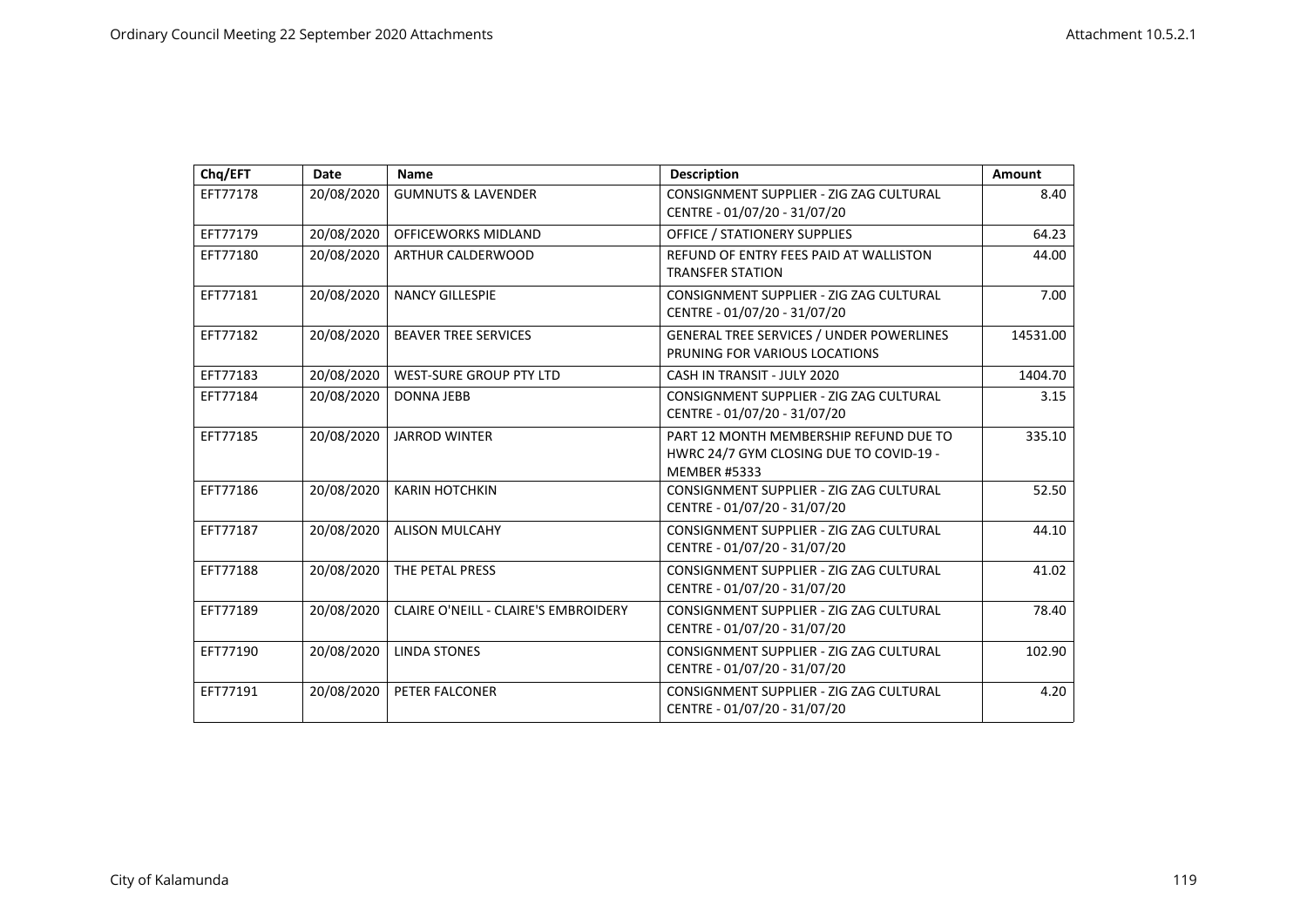| Chq/EFT  | Date       | <b>Name</b>                          | <b>Description</b>                                                                                       | Amount   |
|----------|------------|--------------------------------------|----------------------------------------------------------------------------------------------------------|----------|
| EFT77178 | 20/08/2020 | <b>GUMNUTS &amp; LAVENDER</b>        | CONSIGNMENT SUPPLIER - ZIG ZAG CULTURAL<br>CENTRE - 01/07/20 - 31/07/20                                  | 8.40     |
| EFT77179 | 20/08/2020 | <b>OFFICEWORKS MIDLAND</b>           | <b>OFFICE / STATIONERY SUPPLIES</b>                                                                      | 64.23    |
| EFT77180 | 20/08/2020 | ARTHUR CALDERWOOD                    | REFUND OF ENTRY FEES PAID AT WALLISTON<br><b>TRANSFER STATION</b>                                        | 44.00    |
| EFT77181 | 20/08/2020 | <b>NANCY GILLESPIE</b>               | CONSIGNMENT SUPPLIER - ZIG ZAG CULTURAL<br>CENTRE - 01/07/20 - 31/07/20                                  | 7.00     |
| EFT77182 | 20/08/2020 | <b>BEAVER TREE SERVICES</b>          | <b>GENERAL TREE SERVICES / UNDER POWERLINES</b><br>PRUNING FOR VARIOUS LOCATIONS                         | 14531.00 |
| EFT77183 | 20/08/2020 | <b>WEST-SURE GROUP PTY LTD</b>       | CASH IN TRANSIT - JULY 2020                                                                              | 1404.70  |
| EFT77184 | 20/08/2020 | <b>DONNA JEBB</b>                    | CONSIGNMENT SUPPLIER - ZIG ZAG CULTURAL<br>CENTRE - 01/07/20 - 31/07/20                                  | 3.15     |
| EFT77185 | 20/08/2020 | <b>JARROD WINTER</b>                 | PART 12 MONTH MEMBERSHIP REFUND DUE TO<br>HWRC 24/7 GYM CLOSING DUE TO COVID-19 -<br><b>MEMBER #5333</b> | 335.10   |
| EFT77186 | 20/08/2020 | <b>KARIN HOTCHKIN</b>                | CONSIGNMENT SUPPLIER - ZIG ZAG CULTURAL<br>CENTRE - 01/07/20 - 31/07/20                                  | 52.50    |
| EFT77187 | 20/08/2020 | <b>ALISON MULCAHY</b>                | CONSIGNMENT SUPPLIER - ZIG ZAG CULTURAL<br>CENTRE - 01/07/20 - 31/07/20                                  | 44.10    |
| EFT77188 | 20/08/2020 | THE PETAL PRESS                      | CONSIGNMENT SUPPLIER - ZIG ZAG CULTURAL<br>CENTRE - 01/07/20 - 31/07/20                                  | 41.02    |
| EFT77189 | 20/08/2020 | CLAIRE O'NEILL - CLAIRE'S EMBROIDERY | CONSIGNMENT SUPPLIER - ZIG ZAG CULTURAL<br>CENTRE - 01/07/20 - 31/07/20                                  | 78.40    |
| EFT77190 | 20/08/2020 | <b>LINDA STONES</b>                  | CONSIGNMENT SUPPLIER - ZIG ZAG CULTURAL<br>CENTRE - 01/07/20 - 31/07/20                                  | 102.90   |
| EFT77191 | 20/08/2020 | PETER FALCONER                       | CONSIGNMENT SUPPLIER - ZIG ZAG CULTURAL<br>CENTRE - 01/07/20 - 31/07/20                                  | 4.20     |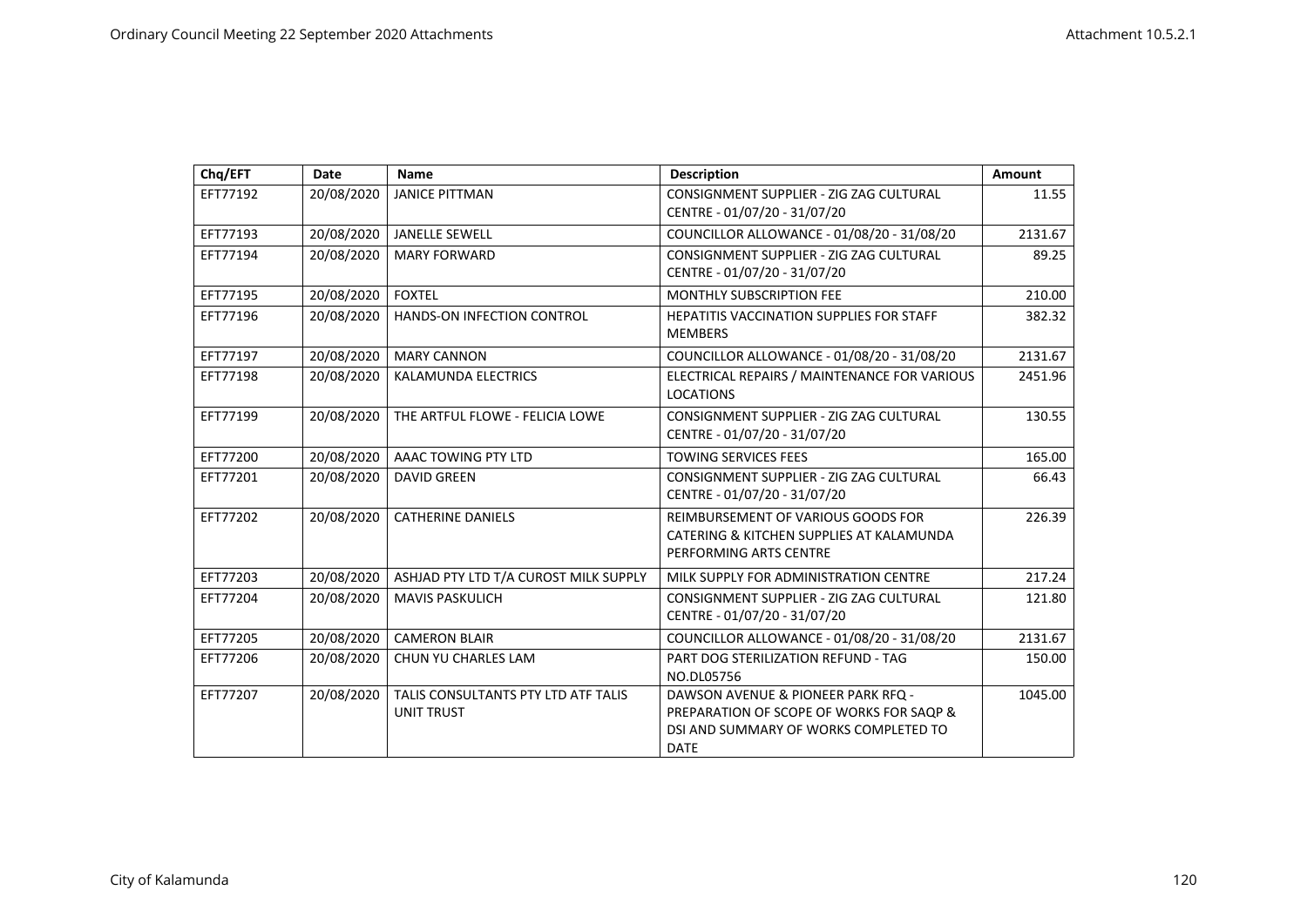| Chq/EFT  | Date       | <b>Name</b>                                              | <b>Description</b>                                                                                                                     | Amount  |
|----------|------------|----------------------------------------------------------|----------------------------------------------------------------------------------------------------------------------------------------|---------|
| EFT77192 | 20/08/2020 | <b>JANICE PITTMAN</b>                                    | CONSIGNMENT SUPPLIER - ZIG ZAG CULTURAL<br>CENTRE - 01/07/20 - 31/07/20                                                                | 11.55   |
| EFT77193 | 20/08/2020 | <b>JANELLE SEWELL</b>                                    | COUNCILLOR ALLOWANCE - 01/08/20 - 31/08/20                                                                                             | 2131.67 |
| EFT77194 | 20/08/2020 | <b>MARY FORWARD</b>                                      | CONSIGNMENT SUPPLIER - ZIG ZAG CULTURAL<br>CENTRE - 01/07/20 - 31/07/20                                                                | 89.25   |
| EFT77195 | 20/08/2020 | <b>FOXTEL</b>                                            | <b>MONTHLY SUBSCRIPTION FEE</b>                                                                                                        | 210.00  |
| EFT77196 | 20/08/2020 | HANDS-ON INFECTION CONTROL                               | <b>HEPATITIS VACCINATION SUPPLIES FOR STAFF</b><br><b>MEMBERS</b>                                                                      | 382.32  |
| EFT77197 | 20/08/2020 | <b>MARY CANNON</b>                                       | COUNCILLOR ALLOWANCE - 01/08/20 - 31/08/20                                                                                             | 2131.67 |
| EFT77198 | 20/08/2020 | <b>KALAMUNDA ELECTRICS</b>                               | ELECTRICAL REPAIRS / MAINTENANCE FOR VARIOUS<br><b>LOCATIONS</b>                                                                       | 2451.96 |
| EFT77199 | 20/08/2020 | THE ARTFUL FLOWE - FELICIA LOWE                          | CONSIGNMENT SUPPLIER - ZIG ZAG CULTURAL<br>CENTRE - 01/07/20 - 31/07/20                                                                | 130.55  |
| EFT77200 | 20/08/2020 | AAAC TOWING PTY LTD                                      | <b>TOWING SERVICES FEES</b>                                                                                                            | 165.00  |
| EFT77201 | 20/08/2020 | <b>DAVID GREEN</b>                                       | CONSIGNMENT SUPPLIER - ZIG ZAG CULTURAL<br>CENTRE - 01/07/20 - 31/07/20                                                                | 66.43   |
| EFT77202 | 20/08/2020 | <b>CATHERINE DANIELS</b>                                 | REIMBURSEMENT OF VARIOUS GOODS FOR<br>CATERING & KITCHEN SUPPLIES AT KALAMUNDA<br>PERFORMING ARTS CENTRE                               | 226.39  |
| EFT77203 | 20/08/2020 | ASHJAD PTY LTD T/A CUROST MILK SUPPLY                    | MILK SUPPLY FOR ADMINISTRATION CENTRE                                                                                                  | 217.24  |
| EFT77204 | 20/08/2020 | <b>MAVIS PASKULICH</b>                                   | CONSIGNMENT SUPPLIER - ZIG ZAG CULTURAL<br>CENTRE - 01/07/20 - 31/07/20                                                                | 121.80  |
| EFT77205 | 20/08/2020 | <b>CAMERON BLAIR</b>                                     | COUNCILLOR ALLOWANCE - 01/08/20 - 31/08/20                                                                                             | 2131.67 |
| EFT77206 | 20/08/2020 | CHUN YU CHARLES LAM                                      | PART DOG STERILIZATION REFUND - TAG<br>NO.DL05756                                                                                      | 150.00  |
| EFT77207 | 20/08/2020 | TALIS CONSULTANTS PTY LTD ATF TALIS<br><b>UNIT TRUST</b> | DAWSON AVENUE & PIONEER PARK RFQ -<br>PREPARATION OF SCOPE OF WORKS FOR SAOP &<br>DSI AND SUMMARY OF WORKS COMPLETED TO<br><b>DATE</b> | 1045.00 |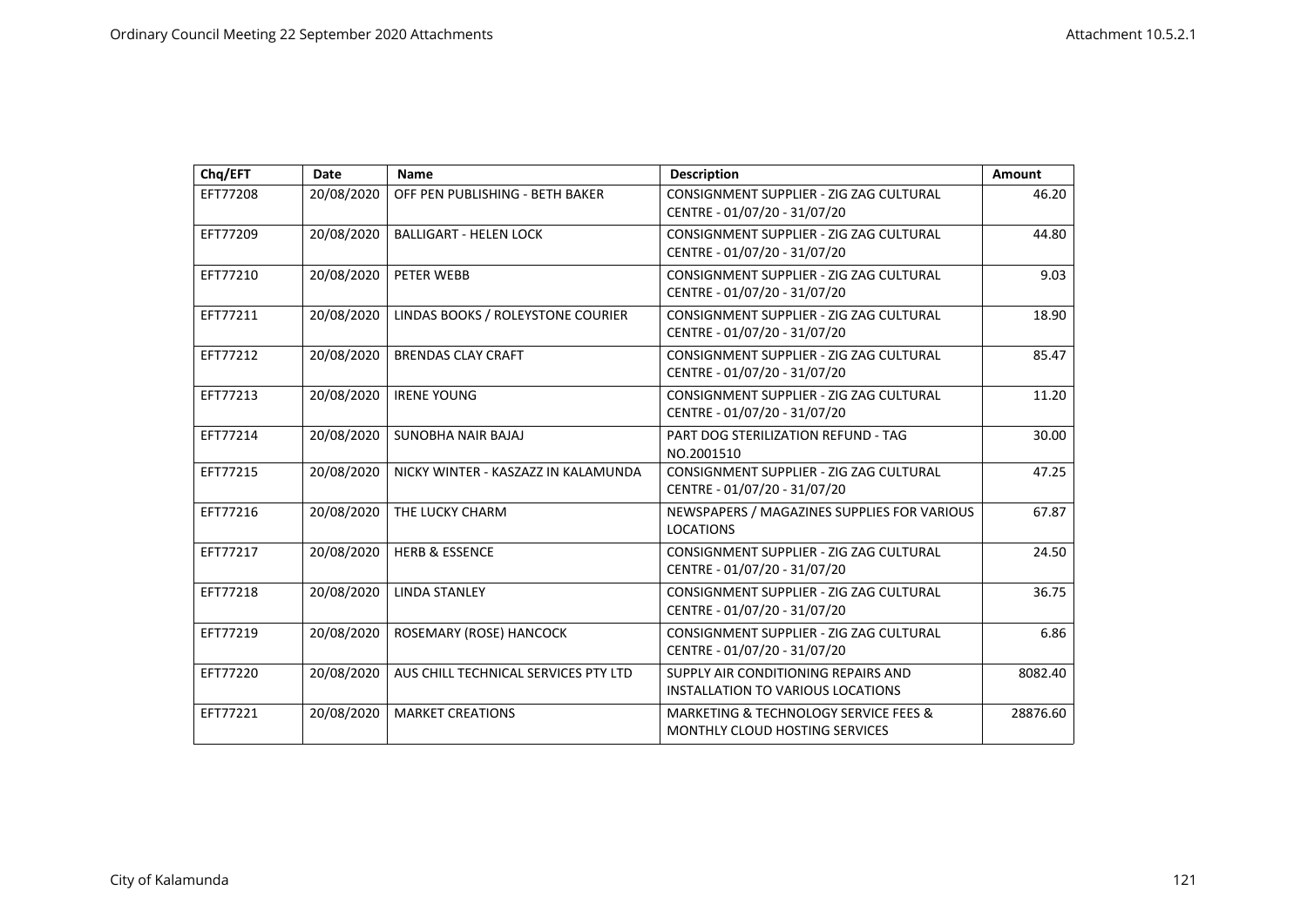| Chq/EFT  | Date       | <b>Name</b>                          | <b>Description</b>                                                                     | Amount   |
|----------|------------|--------------------------------------|----------------------------------------------------------------------------------------|----------|
| EFT77208 | 20/08/2020 | OFF PEN PUBLISHING - BETH BAKER      | CONSIGNMENT SUPPLIER - ZIG ZAG CULTURAL<br>CENTRE - 01/07/20 - 31/07/20                | 46.20    |
| EFT77209 | 20/08/2020 | <b>BALLIGART - HELEN LOCK</b>        | CONSIGNMENT SUPPLIER - ZIG ZAG CULTURAL<br>CENTRE - 01/07/20 - 31/07/20                | 44.80    |
| EFT77210 | 20/08/2020 | PETER WEBB                           | CONSIGNMENT SUPPLIER - ZIG ZAG CULTURAL<br>CENTRE - 01/07/20 - 31/07/20                | 9.03     |
| EFT77211 | 20/08/2020 | LINDAS BOOKS / ROLEYSTONE COURIER    | CONSIGNMENT SUPPLIER - ZIG ZAG CULTURAL<br>CENTRE - 01/07/20 - 31/07/20                | 18.90    |
| EFT77212 | 20/08/2020 | <b>BRENDAS CLAY CRAFT</b>            | CONSIGNMENT SUPPLIER - ZIG ZAG CULTURAL<br>CENTRE - 01/07/20 - 31/07/20                | 85.47    |
| EFT77213 | 20/08/2020 | <b>IRENE YOUNG</b>                   | CONSIGNMENT SUPPLIER - ZIG ZAG CULTURAL<br>CENTRE - 01/07/20 - 31/07/20                | 11.20    |
| EFT77214 | 20/08/2020 | <b>SUNOBHA NAIR BAJAJ</b>            | PART DOG STERILIZATION REFUND - TAG<br>NO.2001510                                      | 30.00    |
| EFT77215 | 20/08/2020 | NICKY WINTER - KASZAZZ IN KALAMUNDA  | CONSIGNMENT SUPPLIER - ZIG ZAG CULTURAL<br>CENTRE - 01/07/20 - 31/07/20                | 47.25    |
| EFT77216 | 20/08/2020 | THE LUCKY CHARM                      | NEWSPAPERS / MAGAZINES SUPPLIES FOR VARIOUS<br><b>LOCATIONS</b>                        | 67.87    |
| EFT77217 | 20/08/2020 | <b>HERB &amp; ESSENCE</b>            | CONSIGNMENT SUPPLIER - ZIG ZAG CULTURAL<br>CENTRE - 01/07/20 - 31/07/20                | 24.50    |
| EFT77218 | 20/08/2020 | <b>LINDA STANLEY</b>                 | CONSIGNMENT SUPPLIER - ZIG ZAG CULTURAL<br>CENTRE - 01/07/20 - 31/07/20                | 36.75    |
| EFT77219 | 20/08/2020 | ROSEMARY (ROSE) HANCOCK              | CONSIGNMENT SUPPLIER - ZIG ZAG CULTURAL<br>CENTRE - 01/07/20 - 31/07/20                | 6.86     |
| EFT77220 | 20/08/2020 | AUS CHILL TECHNICAL SERVICES PTY LTD | SUPPLY AIR CONDITIONING REPAIRS AND<br>INSTALLATION TO VARIOUS LOCATIONS               | 8082.40  |
| EFT77221 | 20/08/2020 | <b>MARKET CREATIONS</b>              | <b>MARKETING &amp; TECHNOLOGY SERVICE FEES &amp;</b><br>MONTHLY CLOUD HOSTING SERVICES | 28876.60 |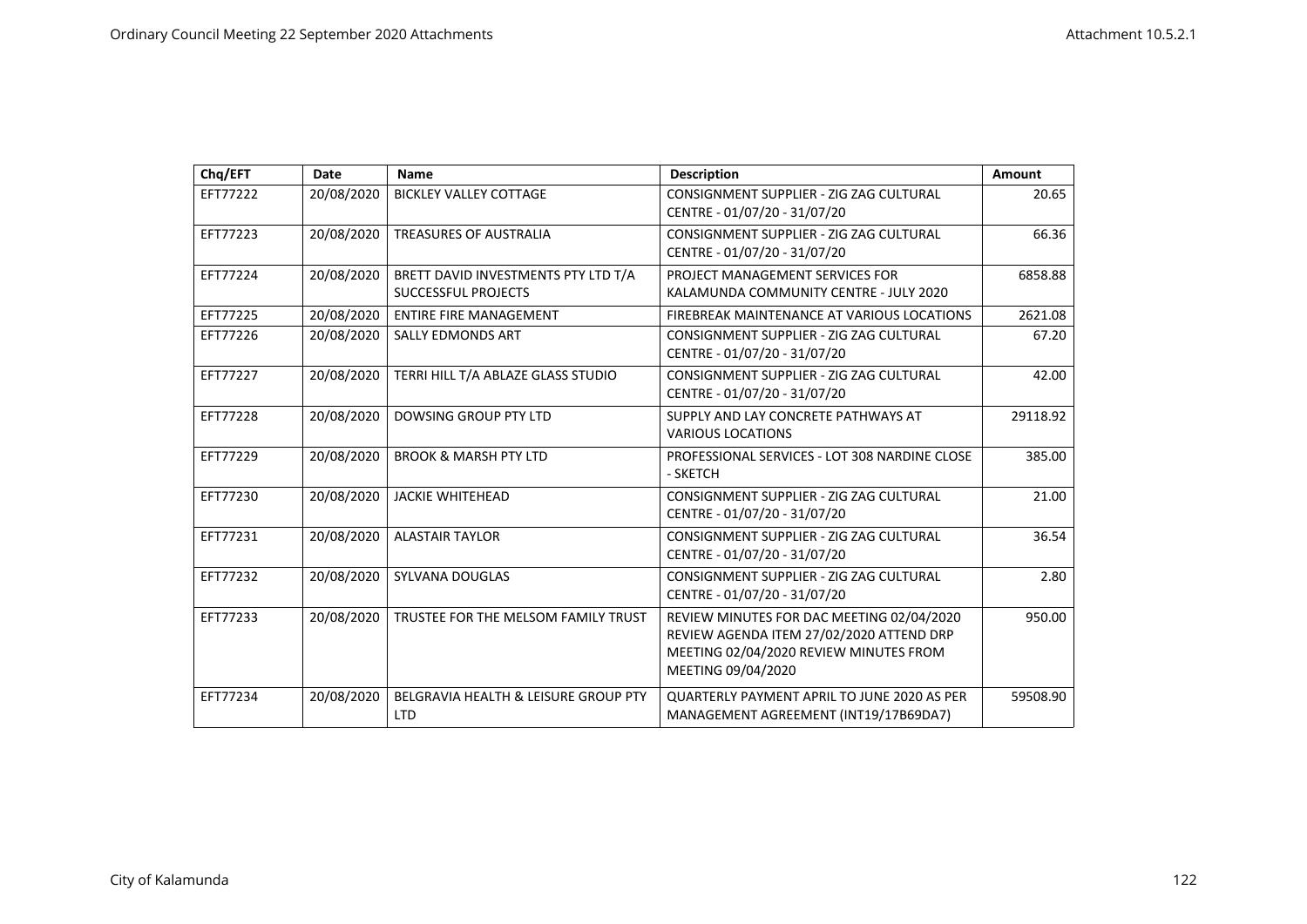| Chq/EFT  | Date       | <b>Name</b>                                                       | <b>Description</b>                                                                                                                                    | Amount   |
|----------|------------|-------------------------------------------------------------------|-------------------------------------------------------------------------------------------------------------------------------------------------------|----------|
| EFT77222 | 20/08/2020 | <b>BICKLEY VALLEY COTTAGE</b>                                     | CONSIGNMENT SUPPLIER - ZIG ZAG CULTURAL<br>CENTRE - 01/07/20 - 31/07/20                                                                               | 20.65    |
| EFT77223 | 20/08/2020 | <b>TREASURES OF AUSTRALIA</b>                                     | CONSIGNMENT SUPPLIER - ZIG ZAG CULTURAL<br>CENTRE - 01/07/20 - 31/07/20                                                                               | 66.36    |
| EFT77224 | 20/08/2020 | BRETT DAVID INVESTMENTS PTY LTD T/A<br><b>SUCCESSFUL PROJECTS</b> | PROJECT MANAGEMENT SERVICES FOR<br>KALAMUNDA COMMUNITY CENTRE - JULY 2020                                                                             | 6858.88  |
| EFT77225 | 20/08/2020 | <b>ENTIRE FIRE MANAGEMENT</b>                                     | FIREBREAK MAINTENANCE AT VARIOUS LOCATIONS                                                                                                            | 2621.08  |
| EFT77226 | 20/08/2020 | <b>SALLY EDMONDS ART</b>                                          | CONSIGNMENT SUPPLIER - ZIG ZAG CULTURAL<br>CENTRE - 01/07/20 - 31/07/20                                                                               | 67.20    |
| EFT77227 | 20/08/2020 | TERRI HILL T/A ABLAZE GLASS STUDIO                                | CONSIGNMENT SUPPLIER - ZIG ZAG CULTURAL<br>CENTRE - 01/07/20 - 31/07/20                                                                               | 42.00    |
| EFT77228 | 20/08/2020 | <b>DOWSING GROUP PTY LTD</b>                                      | SUPPLY AND LAY CONCRETE PATHWAYS AT<br><b>VARIOUS LOCATIONS</b>                                                                                       | 29118.92 |
| EFT77229 | 20/08/2020 | <b>BROOK &amp; MARSH PTY LTD</b>                                  | PROFESSIONAL SERVICES - LOT 308 NARDINE CLOSE<br>- SKETCH                                                                                             | 385.00   |
| EFT77230 | 20/08/2020 | <b>JACKIE WHITEHEAD</b>                                           | CONSIGNMENT SUPPLIER - ZIG ZAG CULTURAL<br>CENTRE - 01/07/20 - 31/07/20                                                                               | 21.00    |
| EFT77231 | 20/08/2020 | <b>ALASTAIR TAYLOR</b>                                            | CONSIGNMENT SUPPLIER - ZIG ZAG CULTURAL<br>CENTRE - 01/07/20 - 31/07/20                                                                               | 36.54    |
| EFT77232 | 20/08/2020 | SYLVANA DOUGLAS                                                   | CONSIGNMENT SUPPLIER - ZIG ZAG CULTURAL<br>CENTRE - 01/07/20 - 31/07/20                                                                               | 2.80     |
| EFT77233 | 20/08/2020 | TRUSTEE FOR THE MELSOM FAMILY TRUST                               | REVIEW MINUTES FOR DAC MEETING 02/04/2020<br>REVIEW AGENDA ITEM 27/02/2020 ATTEND DRP<br>MEETING 02/04/2020 REVIEW MINUTES FROM<br>MEETING 09/04/2020 | 950.00   |
| EFT77234 | 20/08/2020 | BELGRAVIA HEALTH & LEISURE GROUP PTY<br><b>LTD</b>                | <b>QUARTERLY PAYMENT APRIL TO JUNE 2020 AS PER</b><br>MANAGEMENT AGREEMENT (INT19/17B69DA7)                                                           | 59508.90 |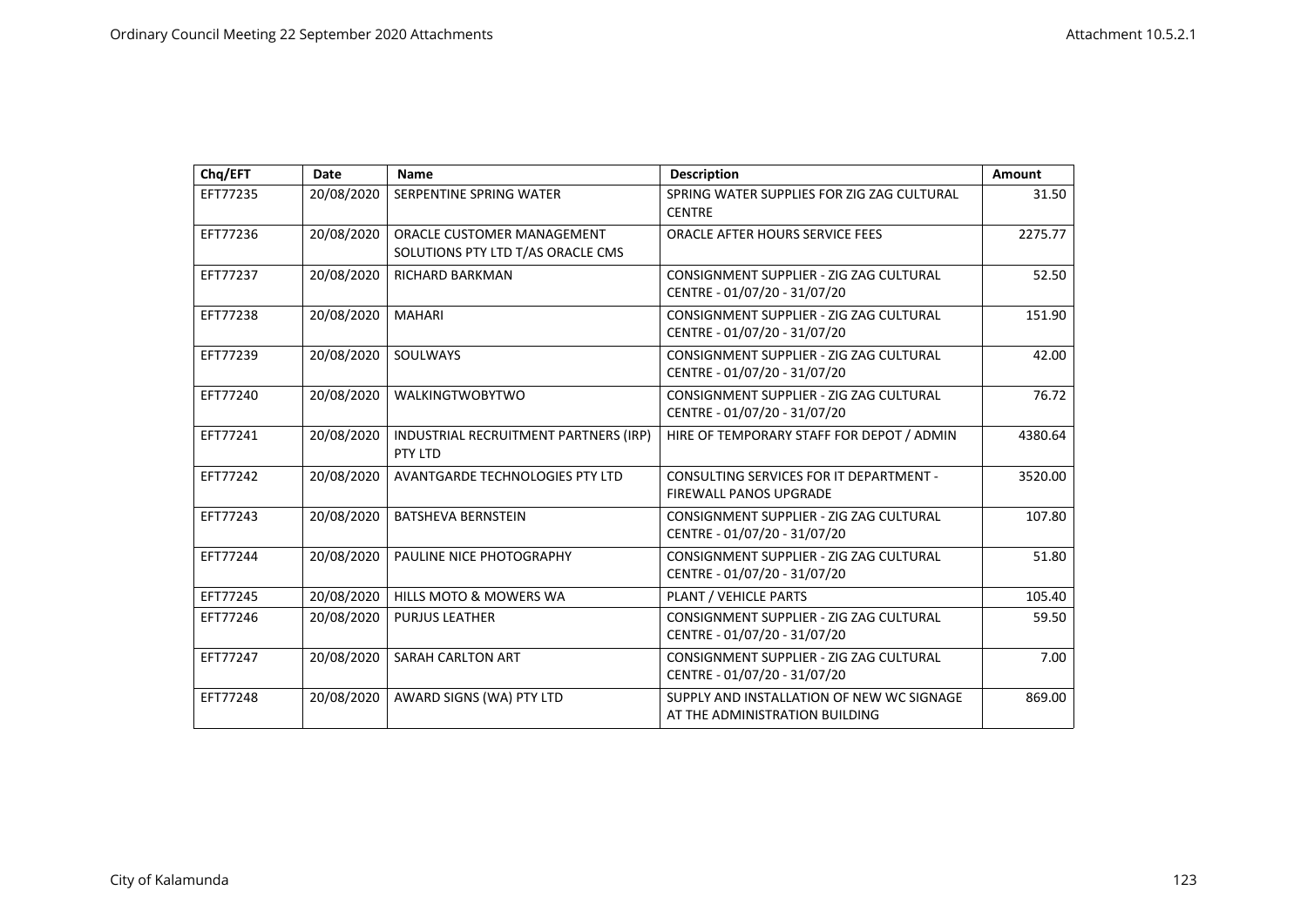| Chq/EFT  | Date       | <b>Name</b>                                                            | <b>Description</b>                                                          | Amount  |
|----------|------------|------------------------------------------------------------------------|-----------------------------------------------------------------------------|---------|
| EFT77235 | 20/08/2020 | SERPENTINE SPRING WATER                                                | SPRING WATER SUPPLIES FOR ZIG ZAG CULTURAL<br><b>CENTRE</b>                 | 31.50   |
| EFT77236 | 20/08/2020 | <b>ORACLE CUSTOMER MANAGEMENT</b><br>SOLUTIONS PTY LTD T/AS ORACLE CMS | <b>ORACLE AFTER HOURS SERVICE FEES</b>                                      | 2275.77 |
| EFT77237 | 20/08/2020 | <b>RICHARD BARKMAN</b>                                                 | CONSIGNMENT SUPPLIER - ZIG ZAG CULTURAL<br>CENTRE - 01/07/20 - 31/07/20     | 52.50   |
| EFT77238 | 20/08/2020 | <b>MAHARI</b>                                                          | CONSIGNMENT SUPPLIER - ZIG ZAG CULTURAL<br>CENTRE - 01/07/20 - 31/07/20     | 151.90  |
| EFT77239 | 20/08/2020 | SOULWAYS                                                               | CONSIGNMENT SUPPLIER - ZIG ZAG CULTURAL<br>CENTRE - 01/07/20 - 31/07/20     | 42.00   |
| EFT77240 | 20/08/2020 | <b>WALKINGTWOBYTWO</b>                                                 | CONSIGNMENT SUPPLIER - ZIG ZAG CULTURAL<br>CENTRE - 01/07/20 - 31/07/20     | 76.72   |
| EFT77241 | 20/08/2020 | INDUSTRIAL RECRUITMENT PARTNERS (IRP)<br>PTY LTD                       | HIRE OF TEMPORARY STAFF FOR DEPOT / ADMIN                                   | 4380.64 |
| EFT77242 | 20/08/2020 | AVANTGARDE TECHNOLOGIES PTY LTD                                        | CONSULTING SERVICES FOR IT DEPARTMENT -<br><b>FIREWALL PANOS UPGRADE</b>    | 3520.00 |
| EFT77243 | 20/08/2020 | <b>BATSHEVA BERNSTEIN</b>                                              | CONSIGNMENT SUPPLIER - ZIG ZAG CULTURAL<br>CENTRE - 01/07/20 - 31/07/20     | 107.80  |
| EFT77244 | 20/08/2020 | PAULINE NICE PHOTOGRAPHY                                               | CONSIGNMENT SUPPLIER - ZIG ZAG CULTURAL<br>CENTRE - 01/07/20 - 31/07/20     | 51.80   |
| EFT77245 | 20/08/2020 | HILLS MOTO & MOWERS WA                                                 | PLANT / VEHICLE PARTS                                                       | 105.40  |
| EFT77246 | 20/08/2020 | <b>PURJUS LEATHER</b>                                                  | CONSIGNMENT SUPPLIER - ZIG ZAG CULTURAL<br>CENTRE - 01/07/20 - 31/07/20     | 59.50   |
| EFT77247 | 20/08/2020 | SARAH CARLTON ART                                                      | CONSIGNMENT SUPPLIER - ZIG ZAG CULTURAL<br>CENTRE - 01/07/20 - 31/07/20     | 7.00    |
| EFT77248 | 20/08/2020 | AWARD SIGNS (WA) PTY LTD                                               | SUPPLY AND INSTALLATION OF NEW WC SIGNAGE<br>AT THE ADMINISTRATION BUILDING | 869.00  |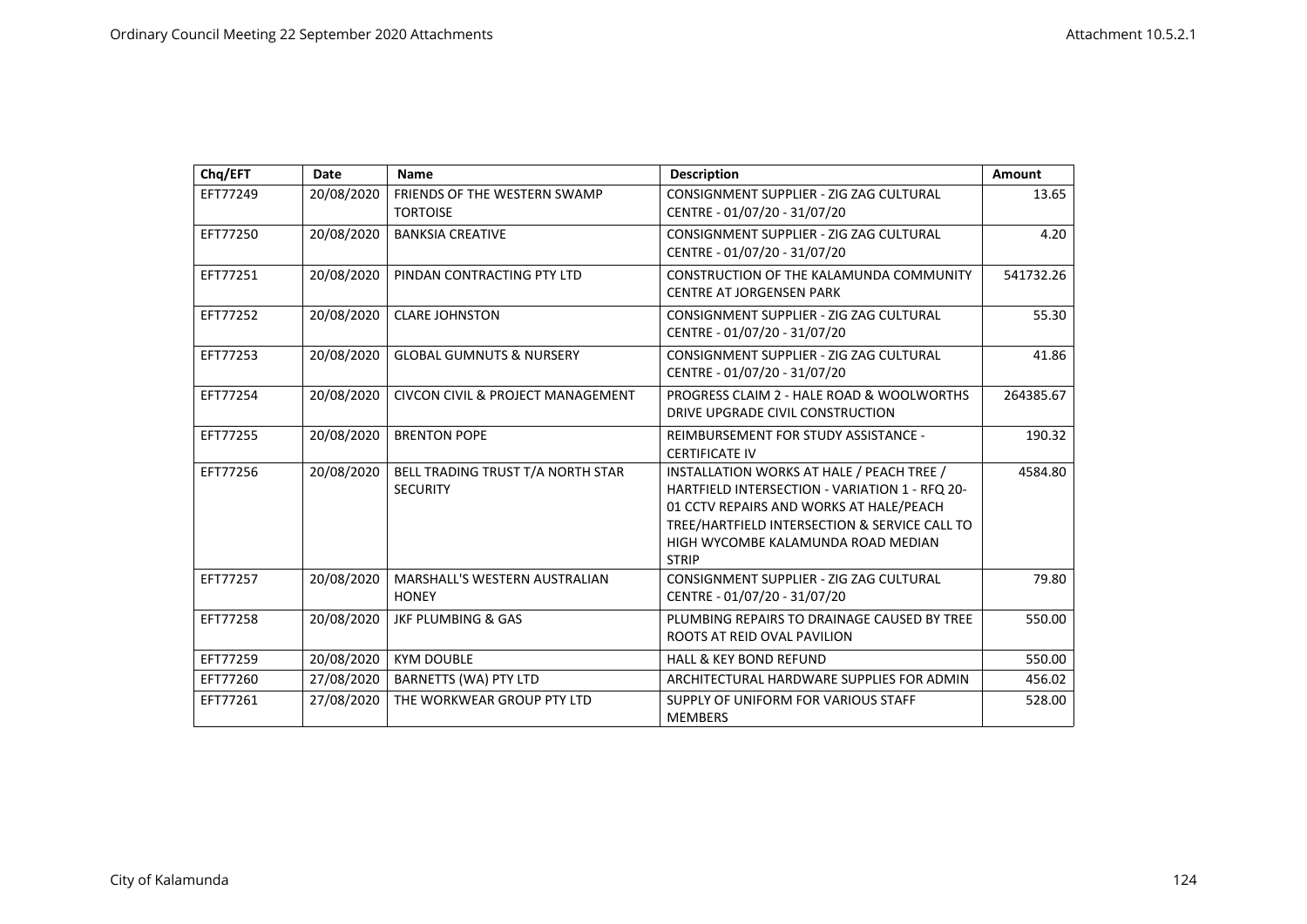| Chq/EFT  | <b>Date</b> | <b>Name</b>                                          | <b>Description</b>                                                                                                                                                                                                                            | Amount    |
|----------|-------------|------------------------------------------------------|-----------------------------------------------------------------------------------------------------------------------------------------------------------------------------------------------------------------------------------------------|-----------|
| EFT77249 | 20/08/2020  | FRIENDS OF THE WESTERN SWAMP<br><b>TORTOISE</b>      | CONSIGNMENT SUPPLIER - ZIG ZAG CULTURAL<br>CENTRE - 01/07/20 - 31/07/20                                                                                                                                                                       | 13.65     |
| EFT77250 | 20/08/2020  | <b>BANKSIA CREATIVE</b>                              | CONSIGNMENT SUPPLIER - ZIG ZAG CULTURAL<br>CENTRE - 01/07/20 - 31/07/20                                                                                                                                                                       | 4.20      |
| EFT77251 | 20/08/2020  | PINDAN CONTRACTING PTY LTD                           | CONSTRUCTION OF THE KALAMUNDA COMMUNITY<br><b>CENTRE AT JORGENSEN PARK</b>                                                                                                                                                                    | 541732.26 |
| EFT77252 | 20/08/2020  | <b>CLARE JOHNSTON</b>                                | CONSIGNMENT SUPPLIER - ZIG ZAG CULTURAL<br>CENTRE - 01/07/20 - 31/07/20                                                                                                                                                                       | 55.30     |
| EFT77253 | 20/08/2020  | <b>GLOBAL GUMNUTS &amp; NURSERY</b>                  | CONSIGNMENT SUPPLIER - ZIG ZAG CULTURAL<br>CENTRE - 01/07/20 - 31/07/20                                                                                                                                                                       | 41.86     |
| EFT77254 | 20/08/2020  | <b>CIVCON CIVIL &amp; PROJECT MANAGEMENT</b>         | PROGRESS CLAIM 2 - HALE ROAD & WOOLWORTHS<br>DRIVE UPGRADE CIVIL CONSTRUCTION                                                                                                                                                                 | 264385.67 |
| EFT77255 | 20/08/2020  | <b>BRENTON POPE</b>                                  | REIMBURSEMENT FOR STUDY ASSISTANCE -<br><b>CERTIFICATE IV</b>                                                                                                                                                                                 | 190.32    |
| EFT77256 | 20/08/2020  | BELL TRADING TRUST T/A NORTH STAR<br><b>SECURITY</b> | INSTALLATION WORKS AT HALE / PEACH TREE /<br>HARTFIELD INTERSECTION - VARIATION 1 - RFQ 20-<br>01 CCTV REPAIRS AND WORKS AT HALE/PEACH<br>TREE/HARTFIELD INTERSECTION & SERVICE CALL TO<br>HIGH WYCOMBE KALAMUNDA ROAD MEDIAN<br><b>STRIP</b> | 4584.80   |
| EFT77257 | 20/08/2020  | MARSHALL'S WESTERN AUSTRALIAN<br><b>HONEY</b>        | CONSIGNMENT SUPPLIER - ZIG ZAG CULTURAL<br>CENTRE - 01/07/20 - 31/07/20                                                                                                                                                                       | 79.80     |
| EFT77258 | 20/08/2020  | <b>JKF PLUMBING &amp; GAS</b>                        | PLUMBING REPAIRS TO DRAINAGE CAUSED BY TREE<br>ROOTS AT REID OVAL PAVILION                                                                                                                                                                    | 550.00    |
| EFT77259 | 20/08/2020  | <b>KYM DOUBLE</b>                                    | <b>HALL &amp; KEY BOND REFUND</b>                                                                                                                                                                                                             | 550.00    |
| EFT77260 | 27/08/2020  | <b>BARNETTS (WA) PTY LTD</b>                         | ARCHITECTURAL HARDWARE SUPPLIES FOR ADMIN                                                                                                                                                                                                     | 456.02    |
| EFT77261 | 27/08/2020  | THE WORKWEAR GROUP PTY LTD                           | SUPPLY OF UNIFORM FOR VARIOUS STAFF<br><b>MEMBERS</b>                                                                                                                                                                                         | 528.00    |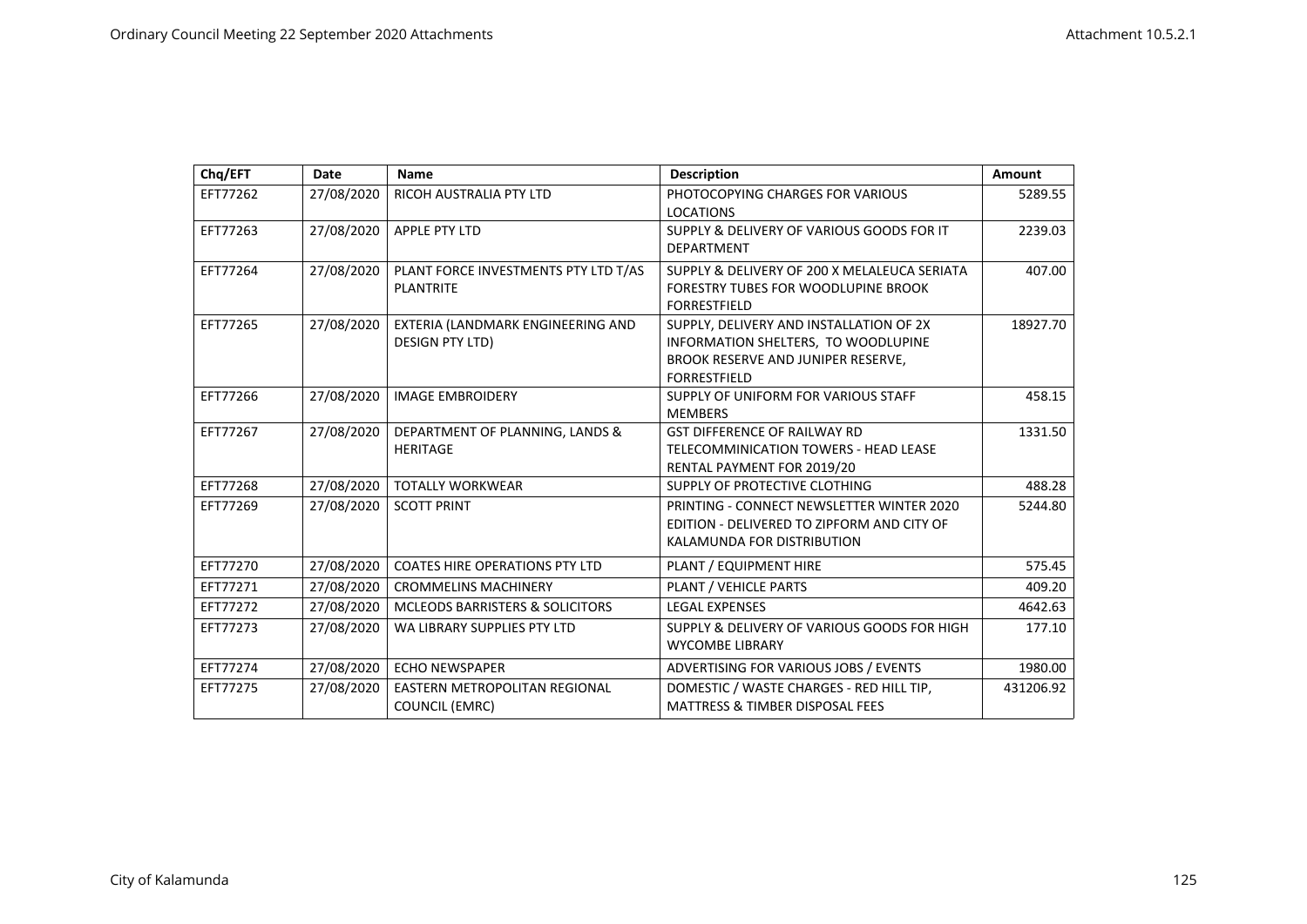| Chq/EFT  | <b>Date</b> | <b>Name</b>                                                   | <b>Description</b>                                                                                                                          | Amount    |
|----------|-------------|---------------------------------------------------------------|---------------------------------------------------------------------------------------------------------------------------------------------|-----------|
| EFT77262 | 27/08/2020  | RICOH AUSTRALIA PTY LTD                                       | PHOTOCOPYING CHARGES FOR VARIOUS<br><b>LOCATIONS</b>                                                                                        | 5289.55   |
| EFT77263 | 27/08/2020  | <b>APPLE PTY LTD</b>                                          | SUPPLY & DELIVERY OF VARIOUS GOODS FOR IT<br><b>DEPARTMENT</b>                                                                              | 2239.03   |
| EFT77264 | 27/08/2020  | PLANT FORCE INVESTMENTS PTY LTD T/AS<br><b>PLANTRITE</b>      | SUPPLY & DELIVERY OF 200 X MELALEUCA SERIATA<br><b>FORESTRY TUBES FOR WOODLUPINE BROOK</b><br><b>FORRESTFIELD</b>                           | 407.00    |
| EFT77265 | 27/08/2020  | EXTERIA (LANDMARK ENGINEERING AND<br><b>DESIGN PTY LTD)</b>   | SUPPLY, DELIVERY AND INSTALLATION OF 2X<br>INFORMATION SHELTERS, TO WOODLUPINE<br>BROOK RESERVE AND JUNIPER RESERVE,<br><b>FORRESTFIELD</b> | 18927.70  |
| EFT77266 | 27/08/2020  | <b>IMAGE EMBROIDERY</b>                                       | SUPPLY OF UNIFORM FOR VARIOUS STAFF<br><b>MEMBERS</b>                                                                                       | 458.15    |
| EFT77267 | 27/08/2020  | DEPARTMENT OF PLANNING, LANDS &<br><b>HERITAGE</b>            | <b>GST DIFFERENCE OF RAILWAY RD</b><br>TELECOMMINICATION TOWERS - HEAD LEASE<br>RENTAL PAYMENT FOR 2019/20                                  | 1331.50   |
| EFT77268 | 27/08/2020  | <b>TOTALLY WORKWEAR</b>                                       | SUPPLY OF PROTECTIVE CLOTHING                                                                                                               | 488.28    |
| EFT77269 | 27/08/2020  | <b>SCOTT PRINT</b>                                            | PRINTING - CONNECT NEWSLETTER WINTER 2020<br>EDITION - DELIVERED TO ZIPFORM AND CITY OF<br>KALAMUNDA FOR DISTRIBUTION                       | 5244.80   |
| EFT77270 | 27/08/2020  | <b>COATES HIRE OPERATIONS PTY LTD</b>                         | PLANT / EQUIPMENT HIRE                                                                                                                      | 575.45    |
| EFT77271 | 27/08/2020  | <b>CROMMELINS MACHINERY</b>                                   | <b>PLANT / VEHICLE PARTS</b>                                                                                                                | 409.20    |
| EFT77272 | 27/08/2020  | <b>MCLEODS BARRISTERS &amp; SOLICITORS</b>                    | <b>LEGAL EXPENSES</b>                                                                                                                       | 4642.63   |
| EFT77273 | 27/08/2020  | WA LIBRARY SUPPLIES PTY LTD                                   | SUPPLY & DELIVERY OF VARIOUS GOODS FOR HIGH<br><b>WYCOMBE LIBRARY</b>                                                                       | 177.10    |
| EFT77274 | 27/08/2020  | <b>ECHO NEWSPAPER</b>                                         | ADVERTISING FOR VARIOUS JOBS / EVENTS                                                                                                       | 1980.00   |
| EFT77275 | 27/08/2020  | <b>EASTERN METROPOLITAN REGIONAL</b><br><b>COUNCIL (EMRC)</b> | DOMESTIC / WASTE CHARGES - RED HILL TIP,<br><b>MATTRESS &amp; TIMBER DISPOSAL FEES</b>                                                      | 431206.92 |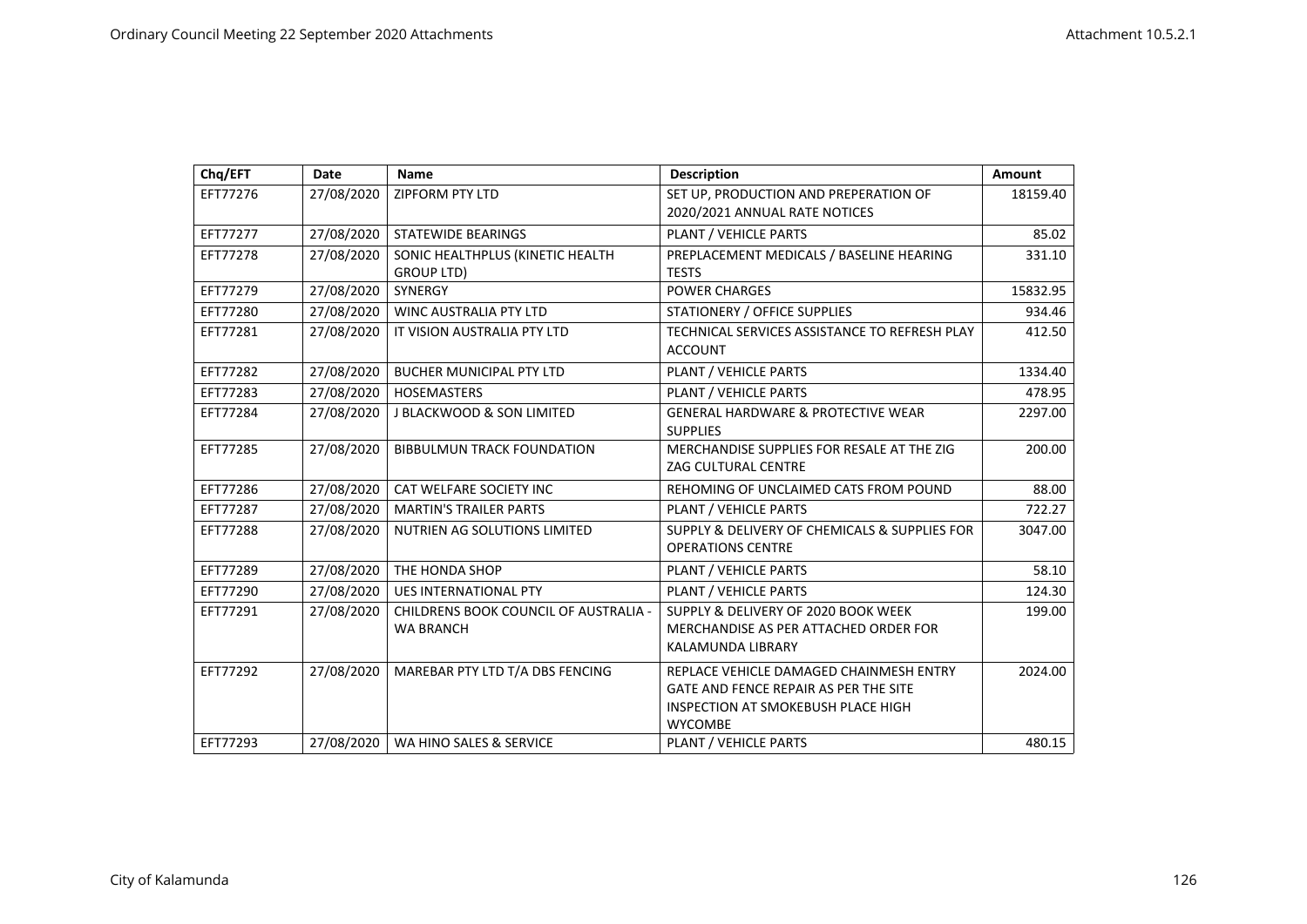| Chq/EFT  | <b>Date</b> | <b>Name</b>                                               | <b>Description</b>                                                                                                                       | Amount   |
|----------|-------------|-----------------------------------------------------------|------------------------------------------------------------------------------------------------------------------------------------------|----------|
| EFT77276 | 27/08/2020  | <b>ZIPFORM PTY LTD</b>                                    | SET UP, PRODUCTION AND PREPERATION OF<br>2020/2021 ANNUAL RATE NOTICES                                                                   | 18159.40 |
| EFT77277 | 27/08/2020  | <b>STATEWIDE BEARINGS</b>                                 | PLANT / VEHICLE PARTS                                                                                                                    | 85.02    |
| EFT77278 | 27/08/2020  | SONIC HEALTHPLUS (KINETIC HEALTH<br>GROUP LTD)            | PREPLACEMENT MEDICALS / BASELINE HEARING<br><b>TESTS</b>                                                                                 | 331.10   |
| EFT77279 | 27/08/2020  | SYNERGY                                                   | <b>POWER CHARGES</b>                                                                                                                     | 15832.95 |
| EFT77280 | 27/08/2020  | <b>WINC AUSTRALIA PTY LTD</b>                             | <b>STATIONERY / OFFICE SUPPLIES</b>                                                                                                      | 934.46   |
| EFT77281 | 27/08/2020  | IT VISION AUSTRALIA PTY LTD                               | TECHNICAL SERVICES ASSISTANCE TO REFRESH PLAY<br><b>ACCOUNT</b>                                                                          | 412.50   |
| EFT77282 | 27/08/2020  | <b>BUCHER MUNICIPAL PTY LTD</b>                           | PLANT / VEHICLE PARTS                                                                                                                    | 1334.40  |
| EFT77283 | 27/08/2020  | <b>HOSEMASTERS</b>                                        | PLANT / VEHICLE PARTS                                                                                                                    | 478.95   |
| EFT77284 | 27/08/2020  | <b>J BLACKWOOD &amp; SON LIMITED</b>                      | <b>GENERAL HARDWARE &amp; PROTECTIVE WEAR</b><br><b>SUPPLIES</b>                                                                         | 2297.00  |
| EFT77285 | 27/08/2020  | <b>BIBBULMUN TRACK FOUNDATION</b>                         | MERCHANDISE SUPPLIES FOR RESALE AT THE ZIG<br><b>ZAG CULTURAL CENTRE</b>                                                                 | 200.00   |
| EFT77286 | 27/08/2020  | CAT WELFARE SOCIETY INC                                   | REHOMING OF UNCLAIMED CATS FROM POUND                                                                                                    | 88.00    |
| EFT77287 | 27/08/2020  | <b>MARTIN'S TRAILER PARTS</b>                             | PLANT / VEHICLE PARTS                                                                                                                    | 722.27   |
| EFT77288 | 27/08/2020  | NUTRIEN AG SOLUTIONS LIMITED                              | SUPPLY & DELIVERY OF CHEMICALS & SUPPLIES FOR<br><b>OPERATIONS CENTRE</b>                                                                | 3047.00  |
| EFT77289 | 27/08/2020  | THE HONDA SHOP                                            | PLANT / VEHICLE PARTS                                                                                                                    | 58.10    |
| EFT77290 | 27/08/2020  | <b>UES INTERNATIONAL PTY</b>                              | <b>PLANT / VEHICLE PARTS</b>                                                                                                             | 124.30   |
| EFT77291 | 27/08/2020  | CHILDRENS BOOK COUNCIL OF AUSTRALIA -<br><b>WA BRANCH</b> | SUPPLY & DELIVERY OF 2020 BOOK WEEK<br>MERCHANDISE AS PER ATTACHED ORDER FOR<br>KALAMUNDA LIBRARY                                        | 199.00   |
| EFT77292 | 27/08/2020  | MAREBAR PTY LTD T/A DBS FENCING                           | REPLACE VEHICLE DAMAGED CHAINMESH ENTRY<br>GATE AND FENCE REPAIR AS PER THE SITE<br>INSPECTION AT SMOKEBUSH PLACE HIGH<br><b>WYCOMBE</b> | 2024.00  |
| EFT77293 | 27/08/2020  | WA HINO SALES & SERVICE                                   | PLANT / VEHICLE PARTS                                                                                                                    | 480.15   |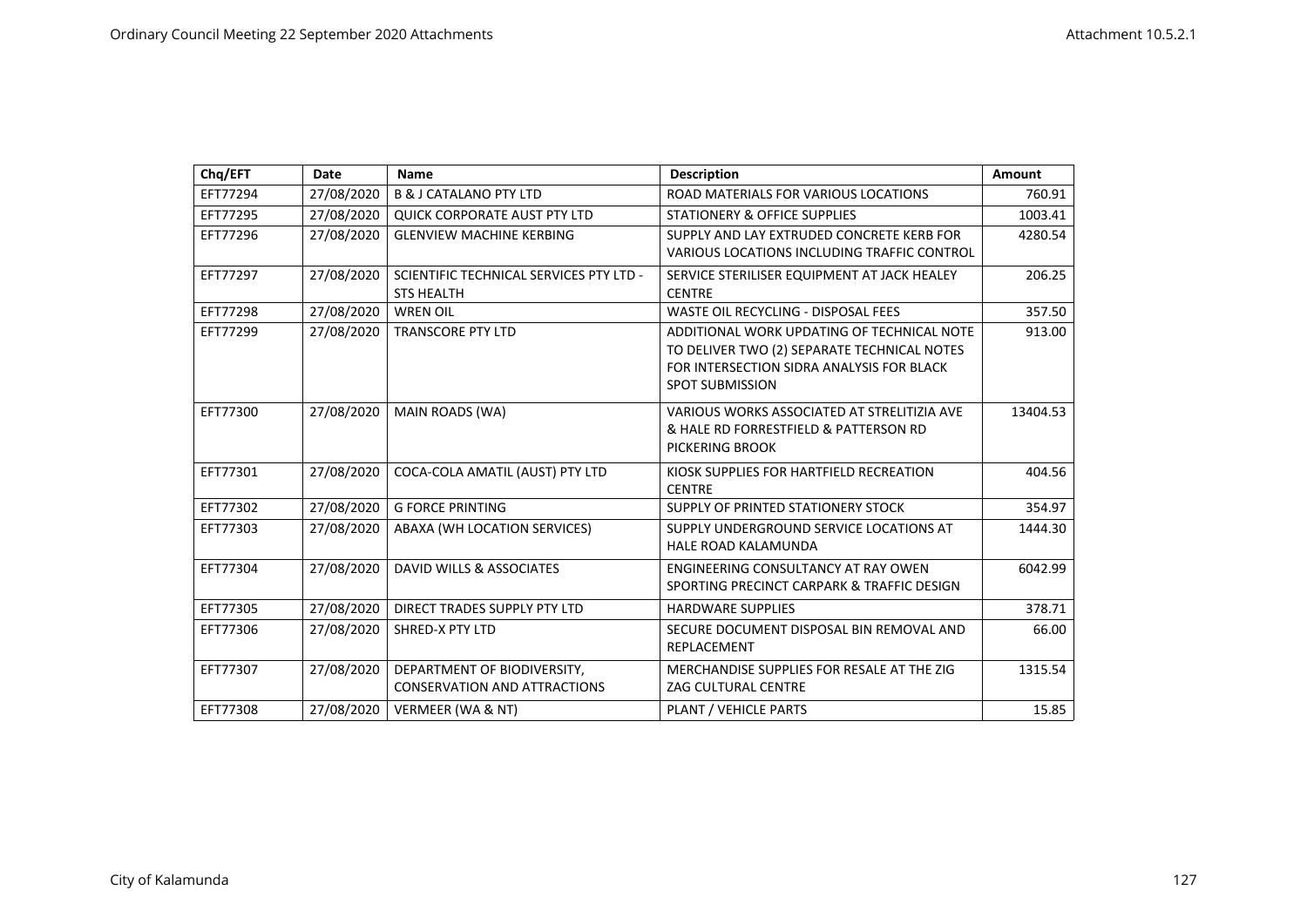| Chq/EFT  | <b>Date</b> | <b>Name</b>                                                        | <b>Description</b>                                                                                                                                               | Amount   |
|----------|-------------|--------------------------------------------------------------------|------------------------------------------------------------------------------------------------------------------------------------------------------------------|----------|
| EFT77294 | 27/08/2020  | <b>B &amp; J CATALANO PTY LTD</b>                                  | ROAD MATERIALS FOR VARIOUS LOCATIONS                                                                                                                             | 760.91   |
| EFT77295 | 27/08/2020  | <b>QUICK CORPORATE AUST PTY LTD</b>                                | <b>STATIONERY &amp; OFFICE SUPPLIES</b>                                                                                                                          | 1003.41  |
| EFT77296 | 27/08/2020  | <b>GLENVIEW MACHINE KERBING</b>                                    | SUPPLY AND LAY EXTRUDED CONCRETE KERB FOR<br>VARIOUS LOCATIONS INCLUDING TRAFFIC CONTROL                                                                         | 4280.54  |
| EFT77297 | 27/08/2020  | SCIENTIFIC TECHNICAL SERVICES PTY LTD -<br><b>STS HEALTH</b>       | SERVICE STERILISER EQUIPMENT AT JACK HEALEY<br><b>CENTRE</b>                                                                                                     | 206.25   |
| EFT77298 | 27/08/2020  | <b>WREN OIL</b>                                                    | WASTE OIL RECYCLING - DISPOSAL FEES                                                                                                                              | 357.50   |
| EFT77299 | 27/08/2020  | <b>TRANSCORE PTY LTD</b>                                           | ADDITIONAL WORK UPDATING OF TECHNICAL NOTE<br>TO DELIVER TWO (2) SEPARATE TECHNICAL NOTES<br>FOR INTERSECTION SIDRA ANALYSIS FOR BLACK<br><b>SPOT SUBMISSION</b> | 913.00   |
| EFT77300 | 27/08/2020  | MAIN ROADS (WA)                                                    | VARIOUS WORKS ASSOCIATED AT STRELITIZIA AVE<br>& HALE RD FORRESTFIELD & PATTERSON RD<br>PICKERING BROOK                                                          | 13404.53 |
| EFT77301 | 27/08/2020  | COCA-COLA AMATIL (AUST) PTY LTD                                    | KIOSK SUPPLIES FOR HARTFIELD RECREATION<br><b>CENTRE</b>                                                                                                         | 404.56   |
| EFT77302 | 27/08/2020  | <b>G FORCE PRINTING</b>                                            | SUPPLY OF PRINTED STATIONERY STOCK                                                                                                                               | 354.97   |
| EFT77303 | 27/08/2020  | ABAXA (WH LOCATION SERVICES)                                       | SUPPLY UNDERGROUND SERVICE LOCATIONS AT<br><b>HALE ROAD KALAMUNDA</b>                                                                                            | 1444.30  |
| EFT77304 | 27/08/2020  | DAVID WILLS & ASSOCIATES                                           | ENGINEERING CONSULTANCY AT RAY OWEN<br>SPORTING PRECINCT CARPARK & TRAFFIC DESIGN                                                                                | 6042.99  |
| EFT77305 | 27/08/2020  | DIRECT TRADES SUPPLY PTY LTD                                       | <b>HARDWARE SUPPLIES</b>                                                                                                                                         | 378.71   |
| EFT77306 | 27/08/2020  | SHRED-X PTY LTD                                                    | SECURE DOCUMENT DISPOSAL BIN REMOVAL AND<br>REPLACEMENT                                                                                                          | 66.00    |
| EFT77307 | 27/08/2020  | DEPARTMENT OF BIODIVERSITY,<br><b>CONSERVATION AND ATTRACTIONS</b> | MERCHANDISE SUPPLIES FOR RESALE AT THE ZIG<br><b>ZAG CULTURAL CENTRE</b>                                                                                         | 1315.54  |
| EFT77308 | 27/08/2020  | VERMEER (WA & NT)                                                  | PLANT / VEHICLE PARTS                                                                                                                                            | 15.85    |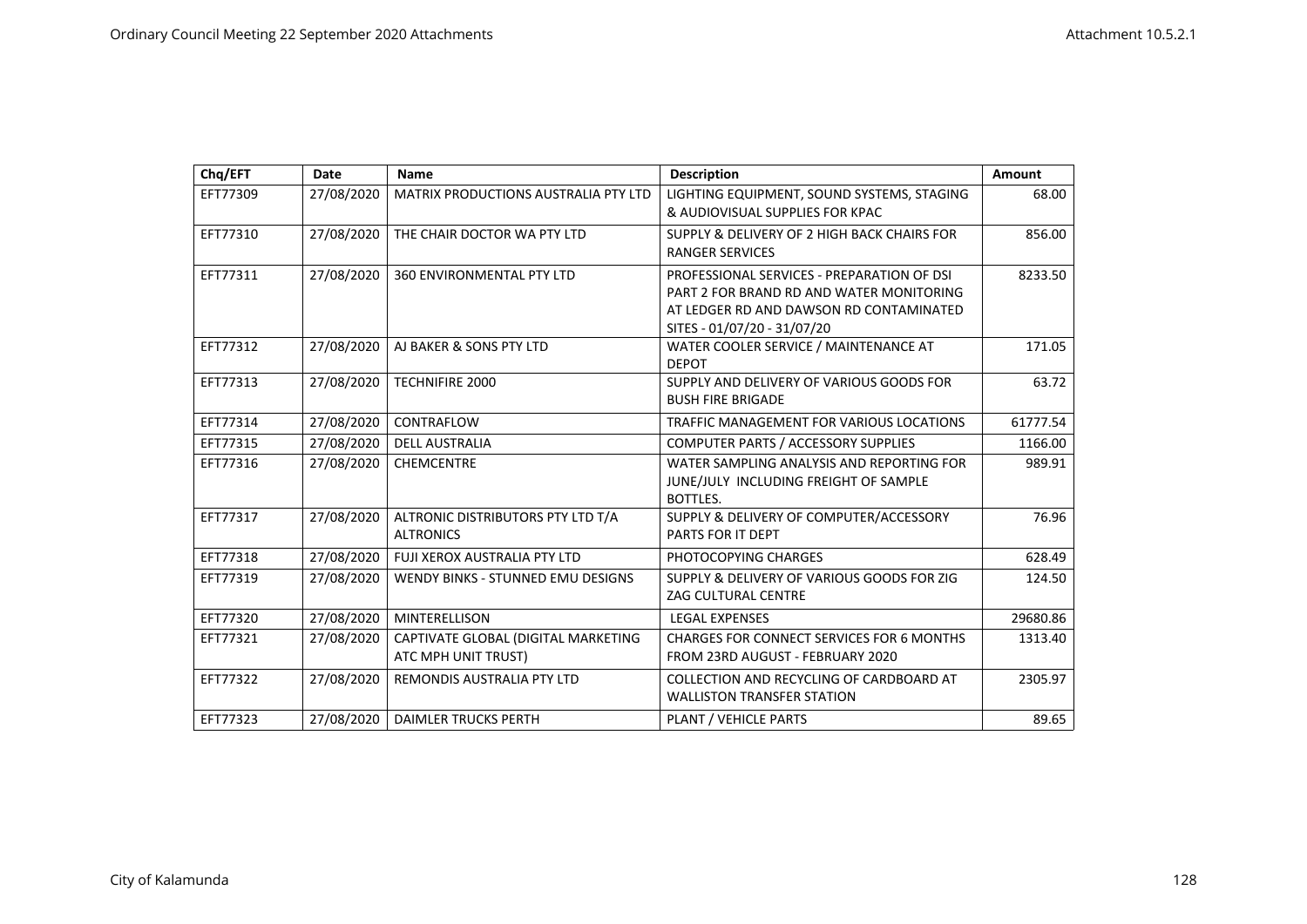| Chq/EFT  | Date       | <b>Name</b>                                                | <b>Description</b>                                                                                                                                               | Amount   |
|----------|------------|------------------------------------------------------------|------------------------------------------------------------------------------------------------------------------------------------------------------------------|----------|
| EFT77309 | 27/08/2020 | <b>MATRIX PRODUCTIONS AUSTRALIA PTY LTD</b>                | LIGHTING EQUIPMENT, SOUND SYSTEMS, STAGING<br>& AUDIOVISUAL SUPPLIES FOR KPAC                                                                                    | 68.00    |
| EFT77310 | 27/08/2020 | THE CHAIR DOCTOR WA PTY LTD                                | SUPPLY & DELIVERY OF 2 HIGH BACK CHAIRS FOR<br><b>RANGER SERVICES</b>                                                                                            | 856.00   |
| EFT77311 | 27/08/2020 | <b>360 ENVIRONMENTAL PTY LTD</b>                           | PROFESSIONAL SERVICES - PREPARATION OF DSI<br>PART 2 FOR BRAND RD AND WATER MONITORING<br>AT LEDGER RD AND DAWSON RD CONTAMINATED<br>SITES - 01/07/20 - 31/07/20 | 8233.50  |
| EFT77312 | 27/08/2020 | AJ BAKER & SONS PTY LTD                                    | WATER COOLER SERVICE / MAINTENANCE AT<br><b>DEPOT</b>                                                                                                            | 171.05   |
| EFT77313 | 27/08/2020 | <b>TECHNIFIRE 2000</b>                                     | SUPPLY AND DELIVERY OF VARIOUS GOODS FOR<br><b>BUSH FIRE BRIGADE</b>                                                                                             | 63.72    |
| EFT77314 | 27/08/2020 | CONTRAFLOW                                                 | TRAFFIC MANAGEMENT FOR VARIOUS LOCATIONS                                                                                                                         | 61777.54 |
| EFT77315 | 27/08/2020 | <b>DELL AUSTRALIA</b>                                      | COMPUTER PARTS / ACCESSORY SUPPLIES                                                                                                                              | 1166.00  |
| EFT77316 | 27/08/2020 | <b>CHEMCENTRE</b>                                          | WATER SAMPLING ANALYSIS AND REPORTING FOR<br>JUNE/JULY INCLUDING FREIGHT OF SAMPLE<br>BOTTLES.                                                                   | 989.91   |
| EFT77317 | 27/08/2020 | ALTRONIC DISTRIBUTORS PTY LTD T/A<br><b>ALTRONICS</b>      | SUPPLY & DELIVERY OF COMPUTER/ACCESSORY<br>PARTS FOR IT DEPT                                                                                                     | 76.96    |
| EFT77318 | 27/08/2020 | FUJI XEROX AUSTRALIA PTY LTD                               | PHOTOCOPYING CHARGES                                                                                                                                             | 628.49   |
| EFT77319 | 27/08/2020 | WENDY BINKS - STUNNED EMU DESIGNS                          | SUPPLY & DELIVERY OF VARIOUS GOODS FOR ZIG<br><b>ZAG CULTURAL CENTRE</b>                                                                                         | 124.50   |
| EFT77320 | 27/08/2020 | <b>MINTERELLISON</b>                                       | <b>LEGAL EXPENSES</b>                                                                                                                                            | 29680.86 |
| EFT77321 | 27/08/2020 | CAPTIVATE GLOBAL (DIGITAL MARKETING<br>ATC MPH UNIT TRUST) | <b>CHARGES FOR CONNECT SERVICES FOR 6 MONTHS</b><br>FROM 23RD AUGUST - FEBRUARY 2020                                                                             | 1313.40  |
| EFT77322 | 27/08/2020 | REMONDIS AUSTRALIA PTY LTD                                 | COLLECTION AND RECYCLING OF CARDBOARD AT<br><b>WALLISTON TRANSFER STATION</b>                                                                                    | 2305.97  |
| EFT77323 | 27/08/2020 | <b>DAIMLER TRUCKS PERTH</b>                                | PLANT / VEHICLE PARTS                                                                                                                                            | 89.65    |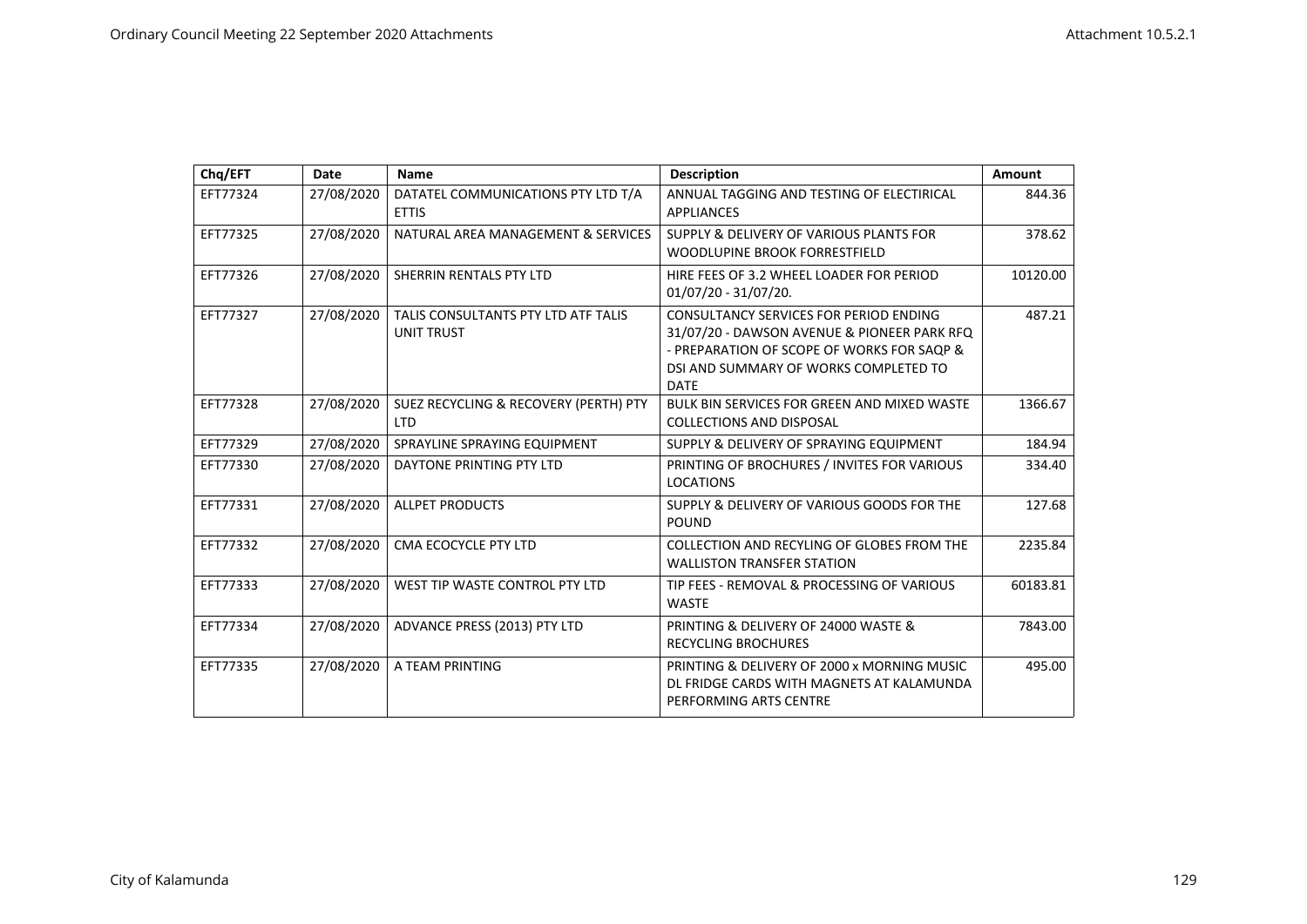| Chq/EFT  | <b>Date</b> | <b>Name</b>                                              | <b>Description</b>                                                                                                                                                                          | Amount   |
|----------|-------------|----------------------------------------------------------|---------------------------------------------------------------------------------------------------------------------------------------------------------------------------------------------|----------|
| EFT77324 | 27/08/2020  | DATATEL COMMUNICATIONS PTY LTD T/A<br><b>ETTIS</b>       | ANNUAL TAGGING AND TESTING OF ELECTIRICAL<br><b>APPLIANCES</b>                                                                                                                              | 844.36   |
| EFT77325 | 27/08/2020  | NATURAL AREA MANAGEMENT & SERVICES                       | SUPPLY & DELIVERY OF VARIOUS PLANTS FOR<br>WOODLUPINE BROOK FORRESTFIELD                                                                                                                    | 378.62   |
| EFT77326 | 27/08/2020  | SHERRIN RENTALS PTY LTD                                  | HIRE FEES OF 3.2 WHEEL LOADER FOR PERIOD<br>01/07/20 - 31/07/20.                                                                                                                            | 10120.00 |
| EFT77327 | 27/08/2020  | TALIS CONSULTANTS PTY LTD ATF TALIS<br><b>UNIT TRUST</b> | CONSULTANCY SERVICES FOR PERIOD ENDING<br>31/07/20 - DAWSON AVENUE & PIONEER PARK RFQ<br>- PREPARATION OF SCOPE OF WORKS FOR SAOP &<br>DSI AND SUMMARY OF WORKS COMPLETED TO<br><b>DATE</b> | 487.21   |
| EFT77328 | 27/08/2020  | SUEZ RECYCLING & RECOVERY (PERTH) PTY<br><b>LTD</b>      | <b>BULK BIN SERVICES FOR GREEN AND MIXED WASTE</b><br><b>COLLECTIONS AND DISPOSAL</b>                                                                                                       | 1366.67  |
| EFT77329 | 27/08/2020  | SPRAYLINE SPRAYING EQUIPMENT                             | SUPPLY & DELIVERY OF SPRAYING EQUIPMENT                                                                                                                                                     | 184.94   |
| EFT77330 | 27/08/2020  | DAYTONE PRINTING PTY LTD                                 | PRINTING OF BROCHURES / INVITES FOR VARIOUS<br><b>LOCATIONS</b>                                                                                                                             | 334.40   |
| EFT77331 | 27/08/2020  | <b>ALLPET PRODUCTS</b>                                   | SUPPLY & DELIVERY OF VARIOUS GOODS FOR THE<br><b>POUND</b>                                                                                                                                  | 127.68   |
| EFT77332 | 27/08/2020  | CMA ECOCYCLE PTY LTD                                     | COLLECTION AND RECYLING OF GLOBES FROM THE<br><b>WALLISTON TRANSFER STATION</b>                                                                                                             | 2235.84  |
| EFT77333 | 27/08/2020  | WEST TIP WASTE CONTROL PTY LTD                           | TIP FEES - REMOVAL & PROCESSING OF VARIOUS<br><b>WASTE</b>                                                                                                                                  | 60183.81 |
| EFT77334 | 27/08/2020  | ADVANCE PRESS (2013) PTY LTD                             | PRINTING & DELIVERY OF 24000 WASTE &<br><b>RECYCLING BROCHURES</b>                                                                                                                          | 7843.00  |
| EFT77335 | 27/08/2020  | A TEAM PRINTING                                          | PRINTING & DELIVERY OF 2000 x MORNING MUSIC<br>DL FRIDGE CARDS WITH MAGNETS AT KALAMUNDA<br>PERFORMING ARTS CENTRE                                                                          | 495.00   |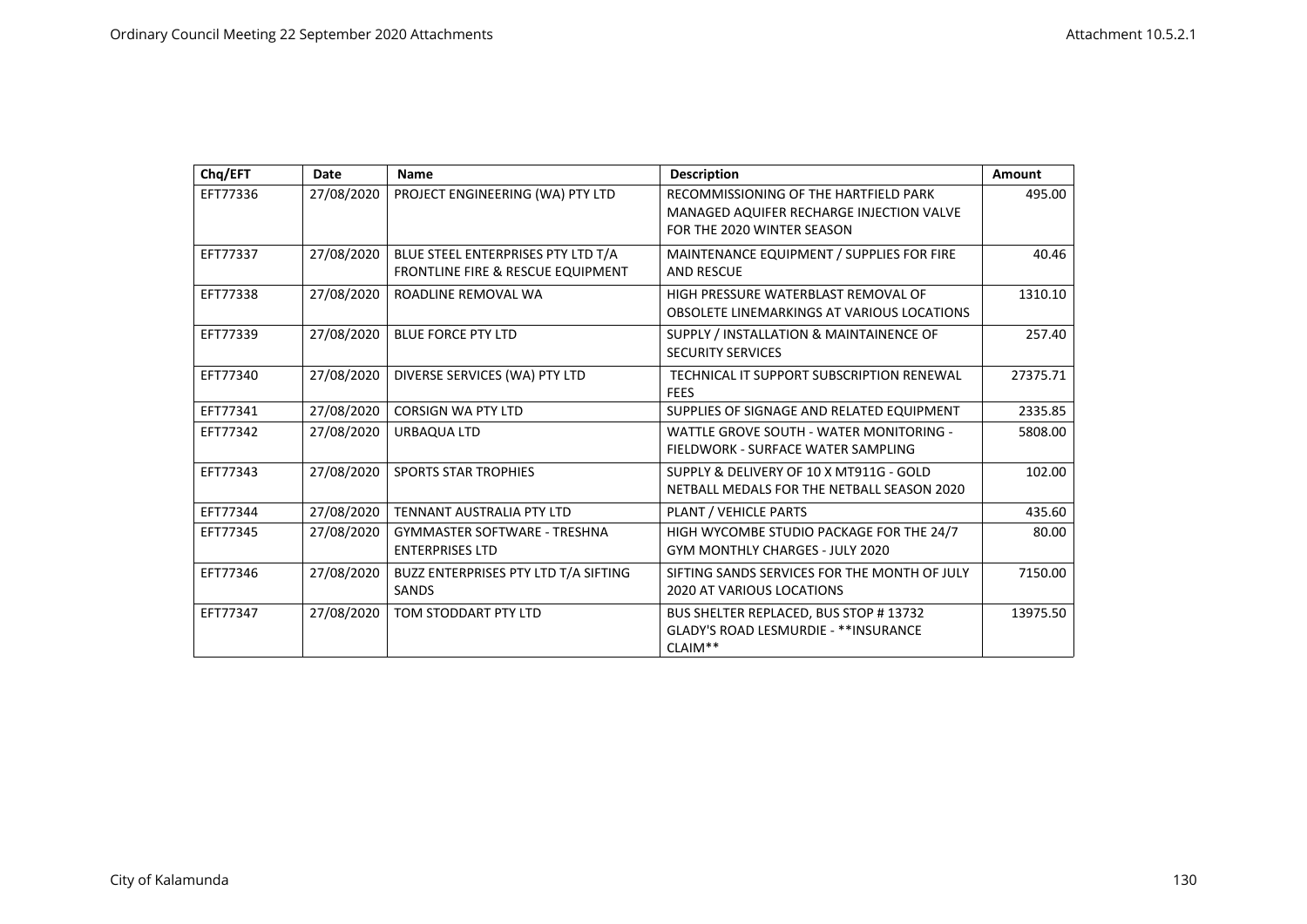| Chq/EFT  | Date       | <b>Name</b>                                                             | <b>Description</b>                                                                                              | Amount   |
|----------|------------|-------------------------------------------------------------------------|-----------------------------------------------------------------------------------------------------------------|----------|
| EFT77336 | 27/08/2020 | PROJECT ENGINEERING (WA) PTY LTD                                        | RECOMMISSIONING OF THE HARTFIELD PARK<br>MANAGED AQUIFER RECHARGE INJECTION VALVE<br>FOR THE 2020 WINTER SEASON | 495.00   |
| EFT77337 | 27/08/2020 | BLUE STEEL ENTERPRISES PTY LTD T/A<br>FRONTLINE FIRE & RESCUE EQUIPMENT | MAINTENANCE EQUIPMENT / SUPPLIES FOR FIRE<br><b>AND RESCUE</b>                                                  | 40.46    |
| EFT77338 | 27/08/2020 | ROADLINE REMOVAL WA                                                     | HIGH PRESSURE WATERBLAST REMOVAL OF<br>OBSOLETE LINEMARKINGS AT VARIOUS LOCATIONS                               | 1310.10  |
| EFT77339 | 27/08/2020 | <b>BLUE FORCE PTY LTD</b>                                               | SUPPLY / INSTALLATION & MAINTAINENCE OF<br><b>SECURITY SERVICES</b>                                             | 257.40   |
| EFT77340 | 27/08/2020 | DIVERSE SERVICES (WA) PTY LTD                                           | TECHNICAL IT SUPPORT SUBSCRIPTION RENEWAL<br><b>FEES</b>                                                        | 27375.71 |
| EFT77341 | 27/08/2020 | <b>CORSIGN WA PTY LTD</b>                                               | SUPPLIES OF SIGNAGE AND RELATED EQUIPMENT                                                                       | 2335.85  |
| EFT77342 | 27/08/2020 | URBAQUA LTD                                                             | WATTLE GROVE SOUTH - WATER MONITORING -<br>FIELDWORK - SURFACE WATER SAMPLING                                   | 5808.00  |
| EFT77343 | 27/08/2020 | <b>SPORTS STAR TROPHIES</b>                                             | SUPPLY & DELIVERY OF 10 X MT911G - GOLD<br>NETBALL MEDALS FOR THE NETBALL SEASON 2020                           | 102.00   |
| EFT77344 | 27/08/2020 | TENNANT AUSTRALIA PTY LTD                                               | PLANT / VEHICLE PARTS                                                                                           | 435.60   |
| EFT77345 | 27/08/2020 | <b>GYMMASTER SOFTWARE - TRESHNA</b><br><b>ENTERPRISES LTD</b>           | HIGH WYCOMBE STUDIO PACKAGE FOR THE 24/7<br><b>GYM MONTHLY CHARGES - JULY 2020</b>                              | 80.00    |
| EFT77346 | 27/08/2020 | BUZZ ENTERPRISES PTY LTD T/A SIFTING<br>SANDS                           | SIFTING SANDS SERVICES FOR THE MONTH OF JULY<br><b>2020 AT VARIOUS LOCATIONS</b>                                | 7150.00  |
| EFT77347 | 27/08/2020 | TOM STODDART PTY LTD                                                    | BUS SHELTER REPLACED, BUS STOP # 13732<br><b>GLADY'S ROAD LESMURDIE - **INSURANCE</b><br>CLAIM**                | 13975.50 |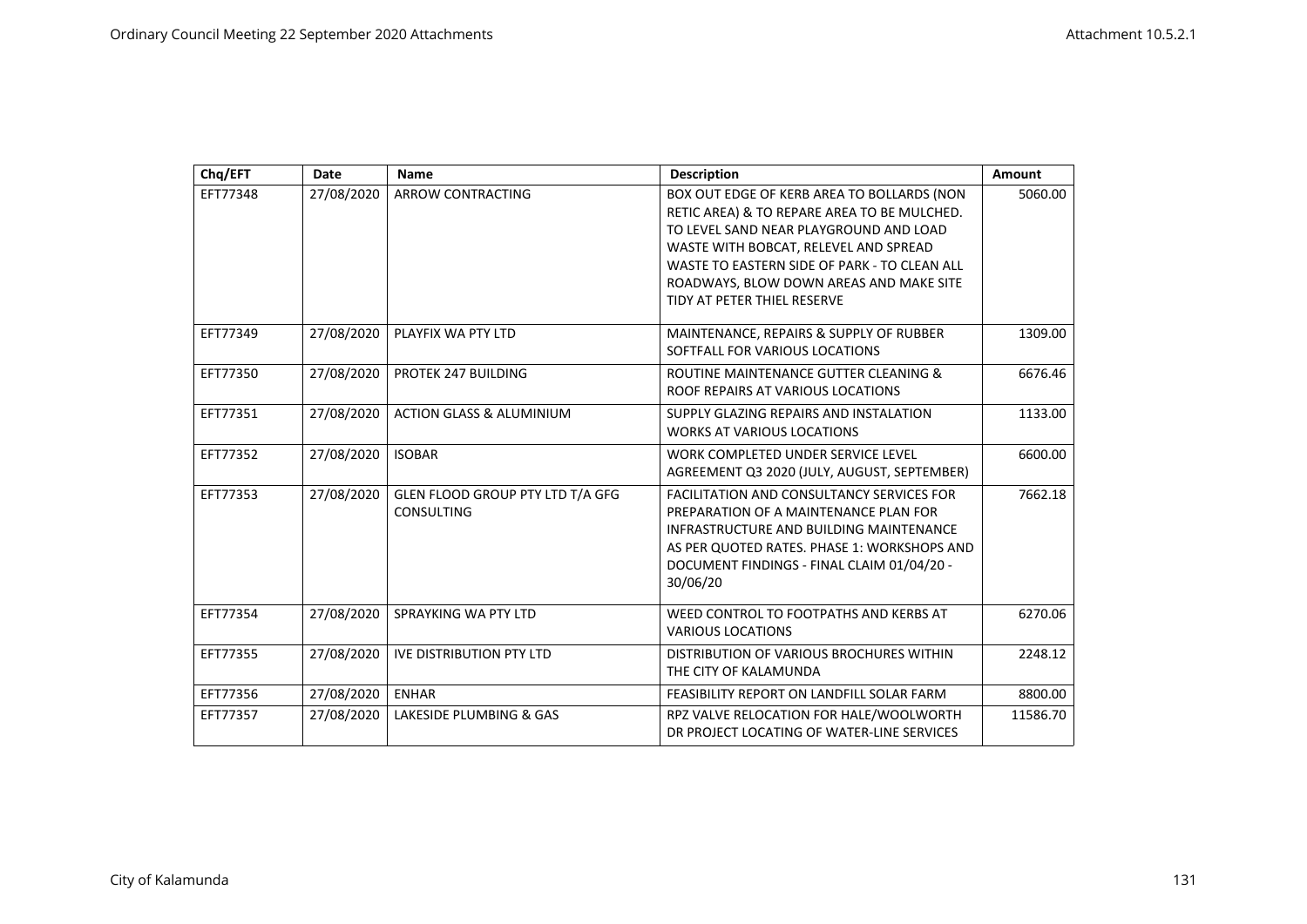| Chq/EFT  | <b>Date</b> | <b>Name</b>                                    | <b>Description</b>                                                                                                                                                                                                                                                                                     | Amount   |
|----------|-------------|------------------------------------------------|--------------------------------------------------------------------------------------------------------------------------------------------------------------------------------------------------------------------------------------------------------------------------------------------------------|----------|
| EFT77348 | 27/08/2020  | <b>ARROW CONTRACTING</b>                       | BOX OUT EDGE OF KERB AREA TO BOLLARDS (NON<br>RETIC AREA) & TO REPARE AREA TO BE MULCHED.<br>TO LEVEL SAND NEAR PLAYGROUND AND LOAD<br>WASTE WITH BOBCAT, RELEVEL AND SPREAD<br>WASTE TO EASTERN SIDE OF PARK - TO CLEAN ALL<br>ROADWAYS, BLOW DOWN AREAS AND MAKE SITE<br>TIDY AT PETER THIEL RESERVE | 5060.00  |
| EFT77349 | 27/08/2020  | PLAYFIX WA PTY LTD                             | MAINTENANCE, REPAIRS & SUPPLY OF RUBBER<br>SOFTFALL FOR VARIOUS LOCATIONS                                                                                                                                                                                                                              | 1309.00  |
| EFT77350 | 27/08/2020  | PROTEK 247 BUILDING                            | ROUTINE MAINTENANCE GUTTER CLEANING &<br>ROOF REPAIRS AT VARIOUS LOCATIONS                                                                                                                                                                                                                             | 6676.46  |
| EFT77351 | 27/08/2020  | <b>ACTION GLASS &amp; ALUMINIUM</b>            | SUPPLY GLAZING REPAIRS AND INSTALATION<br><b>WORKS AT VARIOUS LOCATIONS</b>                                                                                                                                                                                                                            | 1133.00  |
| EFT77352 | 27/08/2020  | <b>ISOBAR</b>                                  | WORK COMPLETED UNDER SERVICE LEVEL<br>AGREEMENT Q3 2020 (JULY, AUGUST, SEPTEMBER)                                                                                                                                                                                                                      | 6600.00  |
| EFT77353 | 27/08/2020  | GLEN FLOOD GROUP PTY LTD T/A GFG<br>CONSULTING | <b>FACILITATION AND CONSULTANCY SERVICES FOR</b><br>PREPARATION OF A MAINTENANCE PLAN FOR<br>INFRASTRUCTURE AND BUILDING MAINTENANCE<br>AS PER QUOTED RATES. PHASE 1: WORKSHOPS AND<br>DOCUMENT FINDINGS - FINAL CLAIM 01/04/20 -<br>30/06/20                                                          | 7662.18  |
| EFT77354 | 27/08/2020  | SPRAYKING WA PTY LTD                           | WEED CONTROL TO FOOTPATHS AND KERBS AT<br><b>VARIOUS LOCATIONS</b>                                                                                                                                                                                                                                     | 6270.06  |
| EFT77355 | 27/08/2020  | <b>IVE DISTRIBUTION PTY LTD</b>                | DISTRIBUTION OF VARIOUS BROCHURES WITHIN<br>THE CITY OF KALAMUNDA                                                                                                                                                                                                                                      | 2248.12  |
| EFT77356 | 27/08/2020  | <b>ENHAR</b>                                   | FEASIBILITY REPORT ON LANDFILL SOLAR FARM                                                                                                                                                                                                                                                              | 8800.00  |
| EFT77357 | 27/08/2020  | LAKESIDE PLUMBING & GAS                        | RPZ VALVE RELOCATION FOR HALE/WOOLWORTH<br>DR PROJECT LOCATING OF WATER-LINE SERVICES                                                                                                                                                                                                                  | 11586.70 |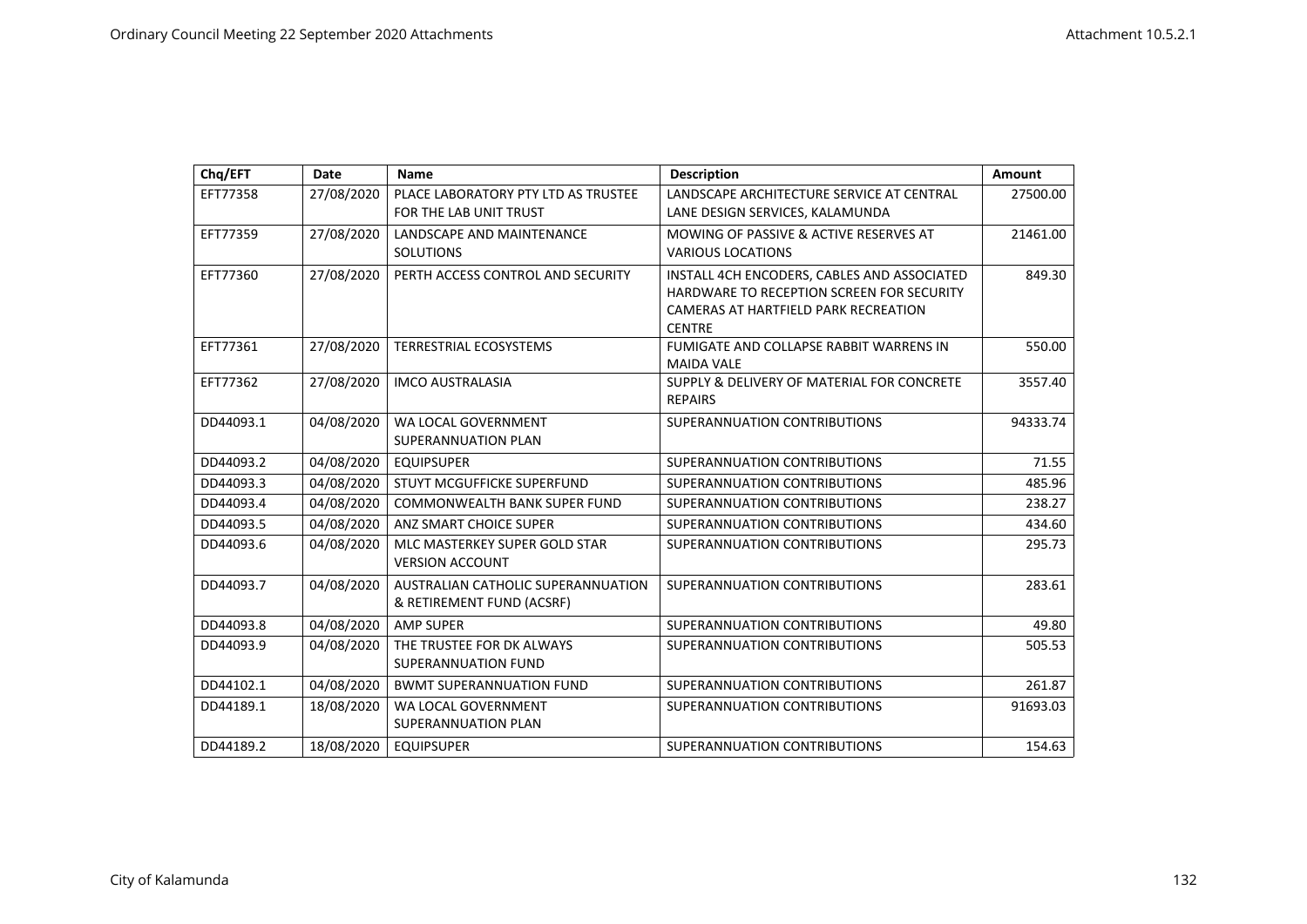| Chq/EFT   | Date       | <b>Name</b>                                                     | <b>Description</b>                                                                                                                                | Amount   |
|-----------|------------|-----------------------------------------------------------------|---------------------------------------------------------------------------------------------------------------------------------------------------|----------|
| EFT77358  | 27/08/2020 | PLACE LABORATORY PTY LTD AS TRUSTEE<br>FOR THE LAB UNIT TRUST   | LANDSCAPE ARCHITECTURE SERVICE AT CENTRAL<br>LANE DESIGN SERVICES, KALAMUNDA                                                                      | 27500.00 |
| EFT77359  | 27/08/2020 | LANDSCAPE AND MAINTENANCE<br><b>SOLUTIONS</b>                   | MOWING OF PASSIVE & ACTIVE RESERVES AT<br><b>VARIOUS LOCATIONS</b>                                                                                | 21461.00 |
| EFT77360  | 27/08/2020 | PERTH ACCESS CONTROL AND SECURITY                               | INSTALL 4CH ENCODERS. CABLES AND ASSOCIATED<br>HARDWARE TO RECEPTION SCREEN FOR SECURITY<br>CAMERAS AT HARTFIELD PARK RECREATION<br><b>CENTRE</b> | 849.30   |
| EFT77361  | 27/08/2020 | TERRESTRIAL ECOSYSTEMS                                          | FUMIGATE AND COLLAPSE RABBIT WARRENS IN<br><b>MAIDA VALE</b>                                                                                      | 550.00   |
| EFT77362  | 27/08/2020 | <b>IMCO AUSTRALASIA</b>                                         | SUPPLY & DELIVERY OF MATERIAL FOR CONCRETE<br><b>REPAIRS</b>                                                                                      | 3557.40  |
| DD44093.1 | 04/08/2020 | WA LOCAL GOVERNMENT<br>SUPERANNUATION PLAN                      | SUPERANNUATION CONTRIBUTIONS                                                                                                                      | 94333.74 |
| DD44093.2 | 04/08/2020 | <b>EQUIPSUPER</b>                                               | SUPERANNUATION CONTRIBUTIONS                                                                                                                      | 71.55    |
| DD44093.3 | 04/08/2020 | STUYT MCGUFFICKE SUPERFUND                                      | SUPERANNUATION CONTRIBUTIONS                                                                                                                      | 485.96   |
| DD44093.4 | 04/08/2020 | <b>COMMONWEALTH BANK SUPER FUND</b>                             | SUPERANNUATION CONTRIBUTIONS                                                                                                                      | 238.27   |
| DD44093.5 | 04/08/2020 | ANZ SMART CHOICE SUPER                                          | SUPERANNUATION CONTRIBUTIONS                                                                                                                      | 434.60   |
| DD44093.6 | 04/08/2020 | MLC MASTERKEY SUPER GOLD STAR<br><b>VERSION ACCOUNT</b>         | SUPERANNUATION CONTRIBUTIONS                                                                                                                      | 295.73   |
| DD44093.7 | 04/08/2020 | AUSTRALIAN CATHOLIC SUPERANNUATION<br>& RETIREMENT FUND (ACSRF) | SUPERANNUATION CONTRIBUTIONS                                                                                                                      | 283.61   |
| DD44093.8 | 04/08/2020 | <b>AMP SUPER</b>                                                | SUPERANNUATION CONTRIBUTIONS                                                                                                                      | 49.80    |
| DD44093.9 | 04/08/2020 | THE TRUSTEE FOR DK ALWAYS<br>SUPERANNUATION FUND                | SUPERANNUATION CONTRIBUTIONS                                                                                                                      | 505.53   |
| DD44102.1 | 04/08/2020 | <b>BWMT SUPERANNUATION FUND</b>                                 | SUPERANNUATION CONTRIBUTIONS                                                                                                                      | 261.87   |
| DD44189.1 | 18/08/2020 | WA LOCAL GOVERNMENT<br>SUPERANNUATION PLAN                      | SUPERANNUATION CONTRIBUTIONS                                                                                                                      | 91693.03 |
| DD44189.2 | 18/08/2020 | <b>EQUIPSUPER</b>                                               | SUPERANNUATION CONTRIBUTIONS                                                                                                                      | 154.63   |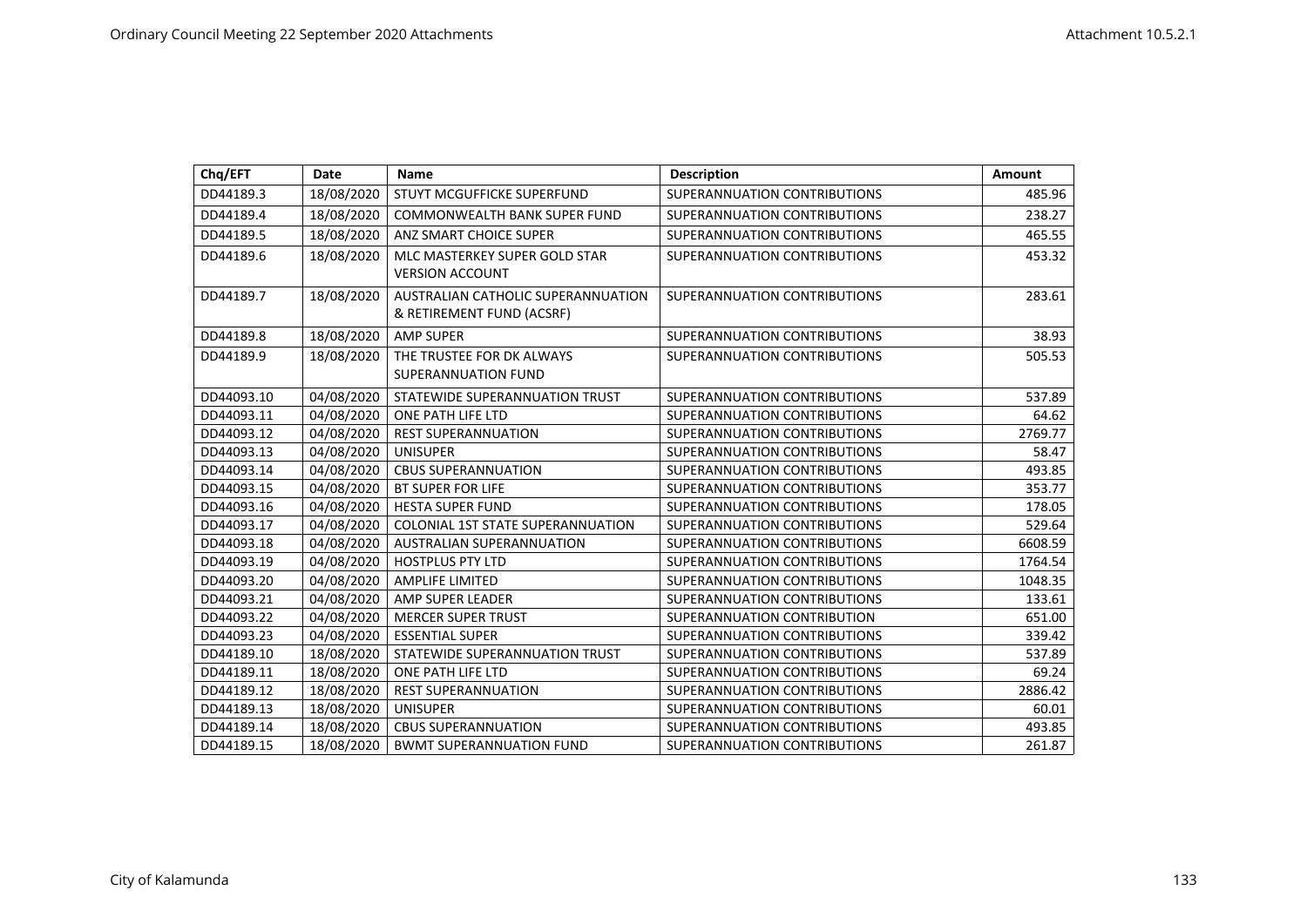| Chq/EFT    | Date       | <b>Name</b>                                                     | <b>Description</b>           | Amount  |
|------------|------------|-----------------------------------------------------------------|------------------------------|---------|
| DD44189.3  | 18/08/2020 | STUYT MCGUFFICKE SUPERFUND                                      | SUPERANNUATION CONTRIBUTIONS | 485.96  |
| DD44189.4  | 18/08/2020 | <b>COMMONWEALTH BANK SUPER FUND</b>                             | SUPERANNUATION CONTRIBUTIONS | 238.27  |
| DD44189.5  | 18/08/2020 | ANZ SMART CHOICE SUPER                                          | SUPERANNUATION CONTRIBUTIONS | 465.55  |
| DD44189.6  | 18/08/2020 | MLC MASTERKEY SUPER GOLD STAR<br><b>VERSION ACCOUNT</b>         | SUPERANNUATION CONTRIBUTIONS | 453.32  |
| DD44189.7  | 18/08/2020 | AUSTRALIAN CATHOLIC SUPERANNUATION<br>& RETIREMENT FUND (ACSRF) | SUPERANNUATION CONTRIBUTIONS | 283.61  |
| DD44189.8  | 18/08/2020 | <b>AMP SUPER</b>                                                | SUPERANNUATION CONTRIBUTIONS | 38.93   |
| DD44189.9  | 18/08/2020 | THE TRUSTEE FOR DK ALWAYS<br>SUPERANNUATION FUND                | SUPERANNUATION CONTRIBUTIONS | 505.53  |
| DD44093.10 | 04/08/2020 | STATEWIDE SUPERANNUATION TRUST                                  | SUPERANNUATION CONTRIBUTIONS | 537.89  |
| DD44093.11 | 04/08/2020 | ONE PATH LIFE LTD                                               | SUPERANNUATION CONTRIBUTIONS | 64.62   |
| DD44093.12 | 04/08/2020 | <b>REST SUPERANNUATION</b>                                      | SUPERANNUATION CONTRIBUTIONS | 2769.77 |
| DD44093.13 | 04/08/2020 | <b>UNISUPER</b>                                                 | SUPERANNUATION CONTRIBUTIONS | 58.47   |
| DD44093.14 | 04/08/2020 | <b>CBUS SUPERANNUATION</b>                                      | SUPERANNUATION CONTRIBUTIONS | 493.85  |
| DD44093.15 | 04/08/2020 | <b>BT SUPER FOR LIFE</b>                                        | SUPERANNUATION CONTRIBUTIONS | 353.77  |
| DD44093.16 | 04/08/2020 | <b>HESTA SUPER FUND</b>                                         | SUPERANNUATION CONTRIBUTIONS | 178.05  |
| DD44093.17 | 04/08/2020 | COLONIAL 1ST STATE SUPERANNUATION                               | SUPERANNUATION CONTRIBUTIONS | 529.64  |
| DD44093.18 | 04/08/2020 | AUSTRALIAN SUPERANNUATION                                       | SUPERANNUATION CONTRIBUTIONS | 6608.59 |
| DD44093.19 | 04/08/2020 | HOSTPLUS PTY LTD                                                | SUPERANNUATION CONTRIBUTIONS | 1764.54 |
| DD44093.20 | 04/08/2020 | <b>AMPLIFE LIMITED</b>                                          | SUPERANNUATION CONTRIBUTIONS | 1048.35 |
| DD44093.21 | 04/08/2020 | AMP SUPER LEADER                                                | SUPERANNUATION CONTRIBUTIONS | 133.61  |
| DD44093.22 | 04/08/2020 | <b>MERCER SUPER TRUST</b>                                       | SUPERANNUATION CONTRIBUTION  | 651.00  |
| DD44093.23 | 04/08/2020 | <b>ESSENTIAL SUPER</b>                                          | SUPERANNUATION CONTRIBUTIONS | 339.42  |
| DD44189.10 | 18/08/2020 | STATEWIDE SUPERANNUATION TRUST                                  | SUPERANNUATION CONTRIBUTIONS | 537.89  |
| DD44189.11 | 18/08/2020 | ONE PATH LIFE LTD                                               | SUPERANNUATION CONTRIBUTIONS | 69.24   |
| DD44189.12 | 18/08/2020 | <b>REST SUPERANNUATION</b>                                      | SUPERANNUATION CONTRIBUTIONS | 2886.42 |
| DD44189.13 | 18/08/2020 | <b>UNISUPER</b>                                                 | SUPERANNUATION CONTRIBUTIONS | 60.01   |
| DD44189.14 | 18/08/2020 | <b>CBUS SUPERANNUATION</b>                                      | SUPERANNUATION CONTRIBUTIONS | 493.85  |
| DD44189.15 | 18/08/2020 | <b>BWMT SUPERANNUATION FUND</b>                                 | SUPERANNUATION CONTRIBUTIONS | 261.87  |